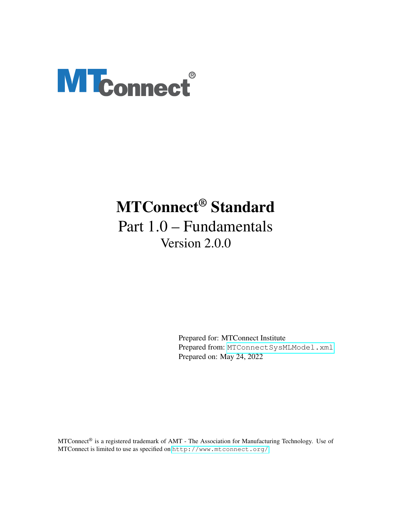# <span id="page-0-0"></span>**MTconnect®**

# MTConnect® Standard Part 1.0 – Fundamentals Version 2.0.0

Prepared for: MTConnect Institute Prepared from: [MTConnectSysMLModel.xml](https://model.mtconnect.org/MTConnectSysMLModel.xml) Prepared on: May 24, 2022

MTConnect® is a registered trademark of AMT - The Association for Manufacturing Technology. Use of MTConnect is limited to use as specified on <http://www.mtconnect.org/>.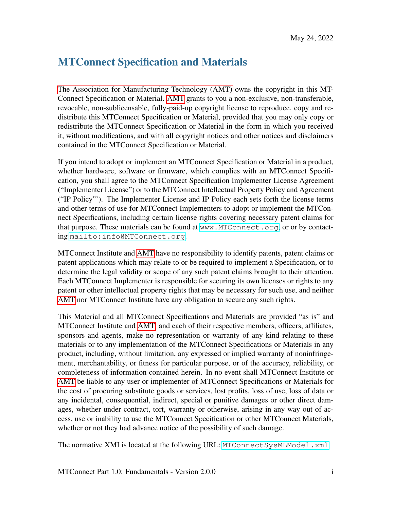# MTConnect Specification and Materials

[The Association for Manufacturing Technology \(AMT\)](#page-25-0) owns the copyright in this MT-Connect Specification or Material. [AMT](#page-25-0) grants to you a non-exclusive, non-transferable, revocable, non-sublicensable, fully-paid-up copyright license to reproduce, copy and redistribute this MTConnect Specification or Material, provided that you may only copy or redistribute the MTConnect Specification or Material in the form in which you received it, without modifications, and with all copyright notices and other notices and disclaimers contained in the MTConnect Specification or Material.

If you intend to adopt or implement an MTConnect Specification or Material in a product, whether hardware, software or firmware, which complies with an MTConnect Specification, you shall agree to the MTConnect Specification Implementer License Agreement ("Implementer License") or to the MTConnect Intellectual Property Policy and Agreement ("IP Policy"'). The Implementer License and IP Policy each sets forth the license terms and other terms of use for MTConnect Implementers to adopt or implement the MTConnect Specifications, including certain license rights covering necessary patent claims for that purpose. These materials can be found at <www.MTConnect.org>, or or by contacting <mailto:info@MTConnect.org>.

MTConnect Institute and [AMT](#page-25-0) have no responsibility to identify patents, patent claims or patent applications which may relate to or be required to implement a Specification, or to determine the legal validity or scope of any such patent claims brought to their attention. Each MTConnect Implementer is responsible for securing its own licenses or rights to any patent or other intellectual property rights that may be necessary for such use, and neither [AMT](#page-25-0) nor MTConnect Institute have any obligation to secure any such rights.

This Material and all MTConnect Specifications and Materials are provided "as is" and MTConnect Institute and [AMT,](#page-25-0) and each of their respective members, officers, affiliates, sponsors and agents, make no representation or warranty of any kind relating to these materials or to any implementation of the MTConnect Specifications or Materials in any product, including, without limitation, any expressed or implied warranty of noninfringement, merchantability, or fitness for particular purpose, or of the accuracy, reliability, or completeness of information contained herein. In no event shall MTConnect Institute or [AMT](#page-25-0) be liable to any user or implementer of MTConnect Specifications or Materials for the cost of procuring substitute goods or services, lost profits, loss of use, loss of data or any incidental, consequential, indirect, special or punitive damages or other direct damages, whether under contract, tort, warranty or otherwise, arising in any way out of access, use or inability to use the MTConnect Specification or other MTConnect Materials, whether or not they had advance notice of the possibility of such damage.

The normative XMI is located at the following URL: MTConnect SysMLModel.xml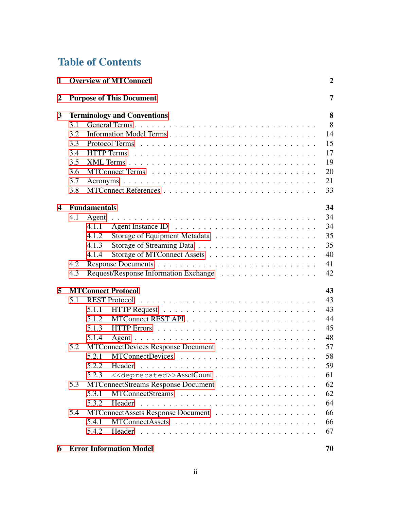# Table of Contents

| 1                |     | <b>Overview of MTConnect</b>                       | $\boldsymbol{2}$ |
|------------------|-----|----------------------------------------------------|------------------|
| $\boldsymbol{2}$ |     | <b>Purpose of This Document</b>                    | 7                |
| 3                |     | <b>Terminology and Conventions</b>                 | 8                |
|                  | 3.1 | General Terms                                      | 8                |
|                  | 3.2 |                                                    | 14               |
|                  | 3.3 |                                                    | 15               |
|                  | 3.4 | <b>HTTP</b> Terms                                  | 17               |
|                  | 3.5 |                                                    | 19               |
|                  | 3.6 |                                                    | 20               |
|                  | 3.7 |                                                    | 21               |
|                  | 3.8 |                                                    | 33               |
| 4                |     | <b>Fundamentals</b>                                | 34               |
|                  | 4.1 |                                                    | 34               |
|                  |     | 4.1.1                                              | 34               |
|                  |     | 4.1.2                                              | 35               |
|                  |     |                                                    | 35               |
|                  |     | 4.1.3                                              |                  |
|                  |     | 4.1.4                                              | 40               |
|                  | 4.2 |                                                    | 41               |
|                  | 4.3 |                                                    | 42               |
| 5                |     | <b>MTConnect Protocol</b>                          | 43               |
|                  | 5.1 |                                                    | 43               |
|                  |     | 5.1.1                                              | 43               |
|                  |     | 5.1.2                                              | 44               |
|                  |     | 5.1.3                                              | 45               |
|                  |     | 5.1.4                                              | 48               |
|                  | 5.2 | MTConnectDevices Response Document                 | 57               |
|                  |     | 5.2.1                                              | 58               |
|                  |     | 5.2.2                                              | 59               |
|                  |     | 5.2.3<br>< <deprecated>&gt;AssetCount</deprecated> | 61               |
|                  | 5.3 | MTConnectStreams Response Document                 | 62               |
|                  |     | 5.3.1                                              | 62               |
|                  |     | 5.3.2<br>Header                                    | 64               |
|                  | 5.4 |                                                    | 66               |
|                  |     |                                                    | 66               |
|                  |     | 5.4.1                                              |                  |
|                  |     | 5.4.2                                              | 67               |
|                  |     |                                                    |                  |

## [6 Error Information Model](#page-73-0) 70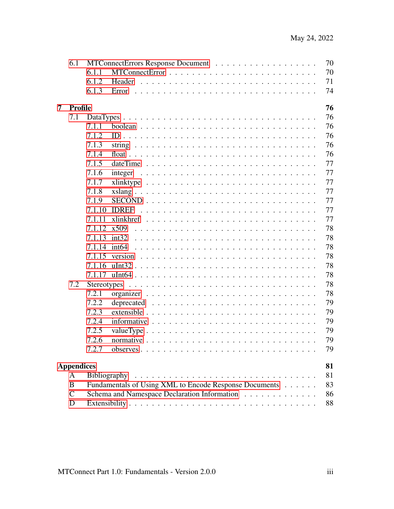|   | 6.1               |                     | 70                                                                                          |
|---|-------------------|---------------------|---------------------------------------------------------------------------------------------|
|   |                   | 6.1.1               | 70                                                                                          |
|   |                   | 6.1.2               | 71<br>Header                                                                                |
|   |                   | 6.1.3               | 74<br>Error                                                                                 |
|   |                   |                     |                                                                                             |
| 7 | <b>Profile</b>    |                     | 76                                                                                          |
|   | 7.1               |                     | 76                                                                                          |
|   |                   | 7.1.1               | 76                                                                                          |
|   |                   | 7.1.2               | 76                                                                                          |
|   |                   | 7.1.3               | 76                                                                                          |
|   |                   | 7.1.4               | 76                                                                                          |
|   |                   | 7.1.5               | 77<br>dateTime                                                                              |
|   |                   | 7.1.6               | 77<br>integer                                                                               |
|   |                   | 7.1.7               | 77                                                                                          |
|   |                   | 7.1.8               | 77<br>$xslang \ldots \ldots \ldots \ldots \ldots \ldots \ldots \ldots \ldots \ldots \ldots$ |
|   |                   | 7.1.9               | 77                                                                                          |
|   |                   | 7.1.10              | 77<br><b>IDREF</b>                                                                          |
|   |                   | 7.1.11              | 77                                                                                          |
|   |                   | 7.1.12              | 78<br>x509                                                                                  |
|   |                   | 7.1.13              | 78<br>int <sub>32</sub>                                                                     |
|   |                   | 7.1.14              | 78<br>int64                                                                                 |
|   |                   | 7.1.15              | 78<br>version                                                                               |
|   |                   | 7.1.16              | 78                                                                                          |
|   |                   |                     | 78                                                                                          |
|   | 7.2               | Stereotypes         | 78                                                                                          |
|   |                   | 7.2.1               | 78                                                                                          |
|   |                   | 7.2.2               | 79                                                                                          |
|   |                   | 7.2.3               | 79<br>$extensible \ldots \ldots \ldots \ldots \ldots \ldots \ldots \ldots \ldots \ldots$    |
|   |                   | 7.2.4               | 79                                                                                          |
|   |                   | 7.2.5               | 79                                                                                          |
|   |                   | 7.2.6               | 79                                                                                          |
|   |                   | 7.2.7               | 79                                                                                          |
|   |                   |                     |                                                                                             |
|   | <b>Appendices</b> |                     | 81                                                                                          |
|   | A                 | <b>Bibliography</b> | 81                                                                                          |
|   | B                 |                     | 83<br>Fundamentals of Using XML to Encode Response Documents                                |
|   | $\mathsf{C}$      |                     | Schema and Namespace Declaration Information<br>86                                          |
|   | D                 |                     | 88                                                                                          |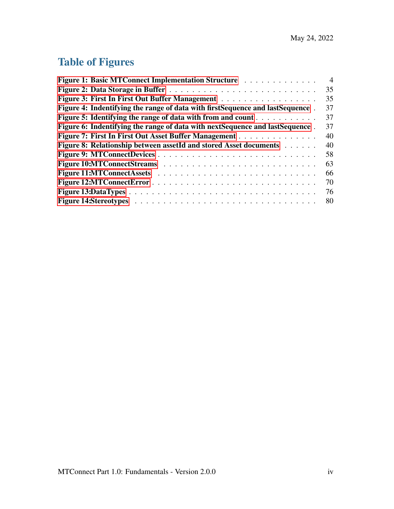# Table of Figures

| Figure 1: Basic MTConnect Implementation Structure                              | $\overline{4}$ |
|---------------------------------------------------------------------------------|----------------|
|                                                                                 | 35             |
| Figure 3: First In First Out Buffer Management                                  | 35             |
| Figure 4: Indentifying the range of data with first Sequence and last Sequence. | 37             |
| <b>Figure 5: Identifying the range of data with from and count </b>             | 37             |
| Figure 6: Indentifying the range of data with next Sequence and last Sequence.  | 37             |
| Figure 7: First In First Out Asset Buffer Management                            | 40             |
| <b>Figure 8: Relationship between assetId and stored Asset documents Actual</b> | 40             |
|                                                                                 | 58             |
|                                                                                 | 63             |
|                                                                                 | 66             |
|                                                                                 | 70             |
|                                                                                 | 76             |
|                                                                                 | 80             |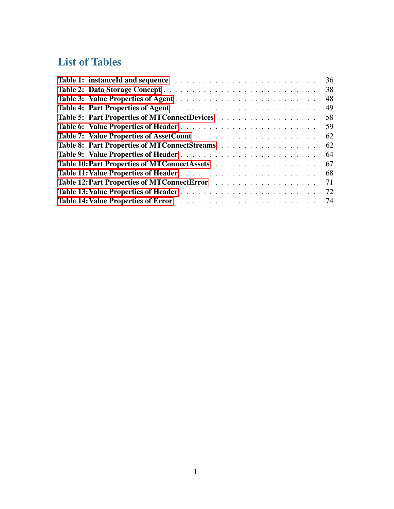# List of Tables

<span id="page-5-0"></span>

|                                              | 36 |
|----------------------------------------------|----|
|                                              | 38 |
|                                              | 48 |
|                                              | 49 |
| Table 5: Part Properties of MTConnectDevices | 58 |
|                                              | 59 |
|                                              | 62 |
| Table 8: Part Properties of MTConnectStreams | 62 |
|                                              | 64 |
|                                              | 67 |
|                                              | 68 |
|                                              | 71 |
|                                              | 72 |
|                                              |    |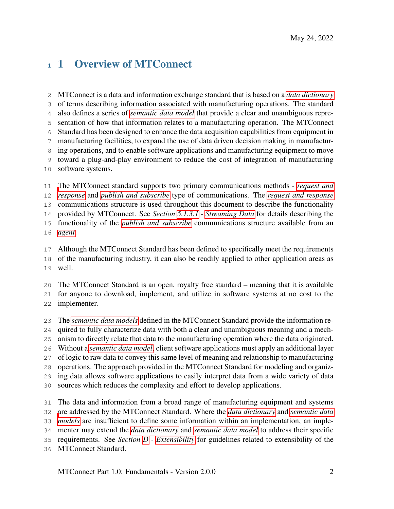# 1 Overview of MTConnect

 MTConnect is a data and information exchange standard that is based on a *[data dictionary](#page-13-0)* of terms describing information associated with manufacturing operations. The standard also defines a series of *[semantic data model](#page-17-0)* that provide a clear and unambiguous repre- sentation of how that information relates to a manufacturing operation. The MTConnect Standard has been designed to enhance the data acquisition capabilities from equipment in manufacturing facilities, to expand the use of data driven decision making in manufactur- ing operations, and to enable software applications and manufacturing equipment to move toward a plug-and-play environment to reduce the cost of integration of manufacturing software systems.

 [T](#page-20-1)he MTConnect standard supports two primary communications methods - *[request and](#page-20-1) [response](#page-20-1)* and *[publish and subscribe](#page-20-2)* type of communications. The *[request and response](#page-20-1)* communications structure is used throughout this document to describe the functionality provided by MTConnect. See *Section [5.1.3.1](#page-49-0) - [Streaming Data](#page-49-0)* for details describing the functionality of the *[publish and subscribe](#page-20-2)* communications structure available from an *[agent](#page-12-1)*.

 Although the MTConnect Standard has been defined to specifically meet the requirements of the manufacturing industry, it can also be readily applied to other application areas as well.

 The MTConnect Standard is an open, royalty free standard – meaning that it is available for anyone to download, implement, and utilize in software systems at no cost to the

- implementer.
- The *[semantic data models](#page-17-0)* defined in the MTConnect Standard provide the information re-
- quired to fully characterize data with both a clear and unambiguous meaning and a mech-
- anism to directly relate that data to the manufacturing operation where the data originated.
- Without a *[semantic data model](#page-17-0)*, client software applications must apply an additional layer
- of logic to raw data to convey this same level of meaning and relationship to manufacturing
- operations. The approach provided in the MTConnect Standard for modeling and organiz-
- ing data allows software applications to easily interpret data from a wide variety of data
- sources which reduces the complexity and effort to develop applications.

 The data and information from a broad range of manufacturing equipment and systems [a](#page-17-0)re addressed by the MTConnect Standard. Where the *[data dictionary](#page-13-0)* and *[semantic data](#page-17-0)*

- 
- *[models](#page-17-0)* are insufficient to define some information within an implementation, an imple-
- menter may extend the *[data dictionary](#page-13-0)* and *[semantic data model](#page-17-0)* to address their specific
- requirements. See *Section [D](#page-92-0) - [Extensibility](#page-92-0)* for guidelines related to extensibility of the
- MTConnect Standard.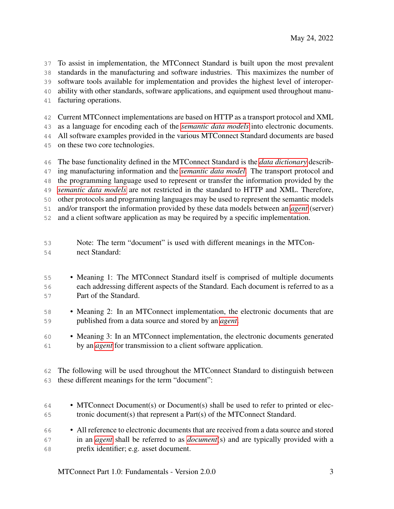To assist in implementation, the MTConnect Standard is built upon the most prevalent standards in the manufacturing and software industries. This maximizes the number of software tools available for implementation and provides the highest level of interoper- ability with other standards, software applications, and equipment used throughout manu-facturing operations.

Current MTConnect implementations are based on HTTP as a transport protocol and XML

as a language for encoding each of the *[semantic data models](#page-17-0)* into electronic documents.

All software examples provided in the various MTConnect Standard documents are based

on these two core technologies.

 The base functionality defined in the MTConnect Standard is the *[data dictionary](#page-13-0)* describ- ing manufacturing information and the *[semantic data model](#page-17-0)*. The transport protocol and the programming language used to represent or transfer the information provided by the *[semantic data models](#page-17-0)* are not restricted in the standard to HTTP and XML. Therefore, other protocols and programming languages may be used to represent the semantic models and/or transport the information provided by these data models between an *[agent](#page-12-1)* (server) and a client software application as may be required by a specific implementation.

- Note: The term "document" is used with different meanings in the MTCon-nect Standard:
- 55 Meaning 1: The MTConnect Standard itself is comprised of multiple documents each addressing different aspects of the Standard. Each document is referred to as a Part of the Standard.
- Meaning 2: In an MTConnect implementation, the electronic documents that are published from a data source and stored by an *[agent](#page-12-1)*.

 • Meaning 3: In an MTConnect implementation, the electronic documents generated by an *[agent](#page-12-1)* for transmission to a client software application.

 The following will be used throughout the MTConnect Standard to distinguish between these different meanings for the term "document":

- MTConnect Document(s) or Document(s) shall be used to refer to printed or elec-tronic document(s) that represent a Part(s) of the MTConnect Standard.
- All reference to electronic documents that are received from a data source and stored in an *[agent](#page-12-1)* shall be referred to as *[document](#page-13-1)*(s) and are typically provided with a prefix identifier; e.g. asset document.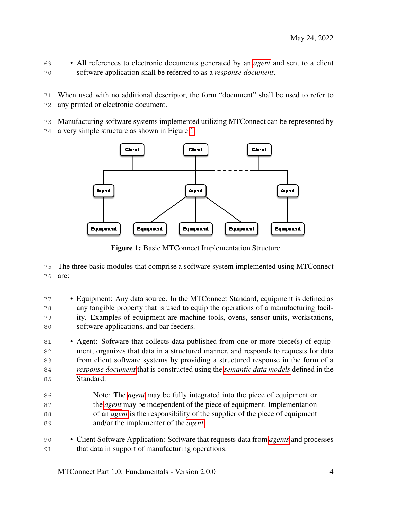- All references to electronic documents generated by an *[agent](#page-12-1)* and sent to a client software application shall be referred to as a *[response document](#page-16-0)*.
- When used with no additional descriptor, the form "document" shall be used to refer to any printed or electronic document.
- Manufacturing software systems implemented utilizing MTConnect can be represented by
- <span id="page-8-0"></span>a very simple structure as shown in Figure [1.](#page-8-0)



Figure 1: Basic MTConnect Implementation Structure

 The three basic modules that comprise a software system implemented using MTConnect are:

 • Equipment: Any data source. In the MTConnect Standard, equipment is defined as any tangible property that is used to equip the operations of a manufacturing facil- ity. Examples of equipment are machine tools, ovens, sensor units, workstations, software applications, and bar feeders.

- Agent: Software that collects data published from one or more piece(s) of equip- ment, organizes that data in a structured manner, and responds to requests for data from client software systems by providing a structured response in the form of a *[response document](#page-16-0)* that is constructed using the *[semantic data models](#page-17-0)* defined in the Standard.
- Note: The *[agent](#page-12-1)* may be fully integrated into the piece of equipment or the *[agent](#page-12-1)* may be independent of the piece of equipment. Implementation 88 of an *[agent](#page-12-1)* is the responsibility of the supplier of the piece of equipment and/or the implementer of the *[agent](#page-12-1)*.
- Client Software Application: Software that requests data from *[agents](#page-12-1)* and processes that data in support of manufacturing operations.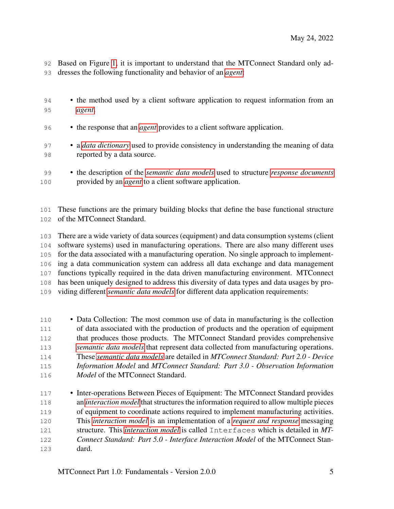Based on Figure [1,](#page-8-0) it is important to understand that the MTConnect Standard only ad-dresses the following functionality and behavior of an *[agent](#page-12-1)*:

- the method used by a client software application to request information from an *[agent](#page-12-1)*. • the response that an *[agent](#page-12-1)* provides to a client software application.
- a *[data dictionary](#page-13-0)* used to provide consistency in understanding the meaning of data reported by a data source.
- the description of the *[semantic data models](#page-17-0)* used to structure *[response documents](#page-16-0)* provided by an *[agent](#page-12-1)* to a client software application.

 These functions are the primary building blocks that define the base functional structure of the MTConnect Standard.

 There are a wide variety of data sources (equipment) and data consumption systems (client software systems) used in manufacturing operations. There are also many different uses for the data associated with a manufacturing operation. No single approach to implement- ing a data communication system can address all data exchange and data management functions typically required in the data driven manufacturing environment. MTConnect has been uniquely designed to address this diversity of data types and data usages by pro-viding different *[semantic data models](#page-17-0)* for different data application requirements:

- Data Collection: The most common use of data in manufacturing is the collection of data associated with the production of products and the operation of equipment that produces those products. The MTConnect Standard provides comprehensive *[semantic data models](#page-17-0)* that represent data collected from manufacturing operations. These *[semantic data models](#page-17-0)* are detailed in *MTConnect Standard: Part 2.0 - Device Information Model* and *MTConnect Standard: Part 3.0 - Observation Information Model* of the MTConnect Standard.
- Inter-operations Between Pieces of Equipment: The MTConnect Standard provides an *[interaction model](#page-14-0)* that structures the information required to allow multiple pieces of equipment to coordinate actions required to implement manufacturing activities. This *[interaction model](#page-14-0)* is an implementation of a *[request and response](#page-20-1)* messaging structure. This *[interaction model](#page-14-0)* is called Interfaces which is detailed in *MT- Connect Standard: Part 5.0 - Interface Interaction Model* of the MTConnect Stan-dard.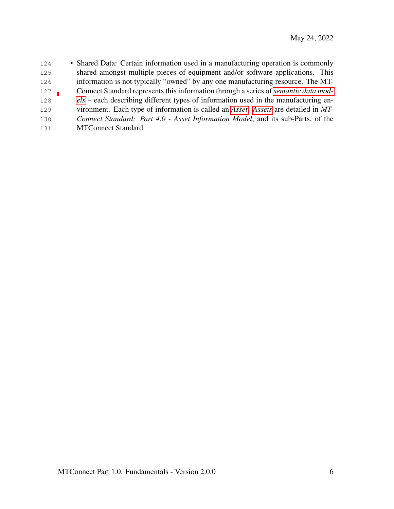<span id="page-10-0"></span> • Shared Data: Certain information used in a manufacturing operation is commonly shared amongst multiple pieces of equipment and/or software applications. This information is not typically "owned" by any one manufacturing resource. The MT- Connect Standard represents this information through a series of *[semantic data mod-](#page-17-0) [els](#page-17-0)* – each describing different types of information used in the manufacturing en- vironment. Each type of information is called an *[Asset](#page-24-1)*. *[Assets](#page-24-1)* are detailed in *MT- Connect Standard: Part 4.0 - Asset Information Model*, and its sub-Parts, of the MTConnect Standard.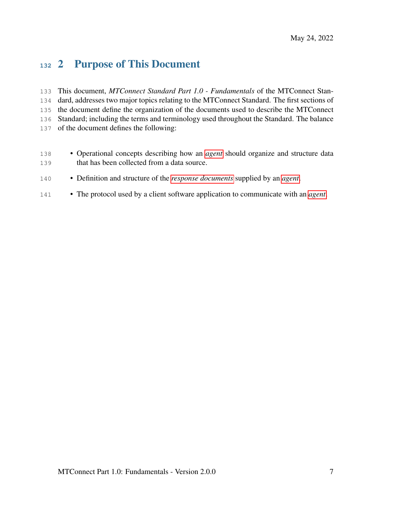## 2 Purpose of This Document

 This document, *MTConnect Standard Part 1.0 - Fundamentals* of the MTConnect Stan- dard, addresses two major topics relating to the MTConnect Standard. The first sections of the document define the organization of the documents used to describe the MTConnect Standard; including the terms and terminology used throughout the Standard. The balance of the document defines the following:

- 138 Operational concepts describing how an *[agent](#page-12-1)* should organize and structure data that has been collected from a data source.
- Definition and structure of the *[response documents](#page-16-0)* supplied by an *[agent](#page-12-1)*.
- <span id="page-11-0"></span>• The protocol used by a client software application to communicate with an *[agent](#page-12-1)*.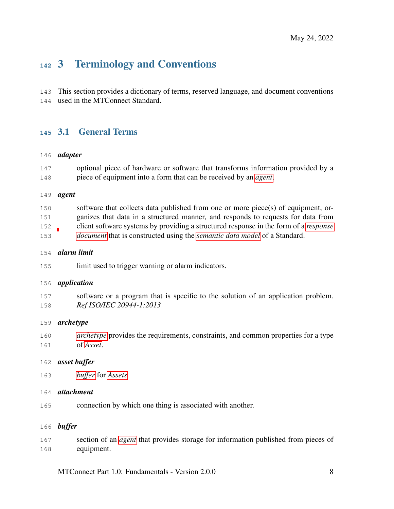# 3 Terminology and Conventions

This section provides a dictionary of terms, reserved language, and document conventions

<span id="page-12-0"></span>used in the MTConnect Standard.

## 3.1 General Terms

## *adapter*

| 147 | optional piece of hardware or software that transforms information provided by a |
|-----|----------------------------------------------------------------------------------|
| 148 | piece of equipment into a form that can be received by an <i>agent</i> .         |

## <span id="page-12-1"></span>*agent*

| 150 | software that collects data published from one or more piece(s) of equipment, or-           |
|-----|---------------------------------------------------------------------------------------------|
| 151 | ganizes that data in a structured manner, and responds to requests for data from            |
| 152 | client software systems by providing a structured response in the form of a <i>response</i> |
| 153 | <i>document</i> that is constructed using the <i>semantic data model</i> of a Standard.     |

## *alarm limit*

limit used to trigger warning or alarm indicators.

## <span id="page-12-4"></span>*application*

 software or a program that is specific to the solution of an application problem. *Ref ISO/IEC 20944-1:2013*

## <span id="page-12-2"></span>*archetype*

- *[archetype](#page-12-2)* provides the requirements, constraints, and common properties for a type of *[Asset](#page-24-1)*.
- *asset buffer*
- *[buffer](#page-12-3)* for *[Assets](#page-24-1)*.

## *attachment*

connection by which one thing is associated with another.

## <span id="page-12-3"></span>*buffer*

 section of an *[agent](#page-12-1)* that provides storage for information published from pieces of equipment.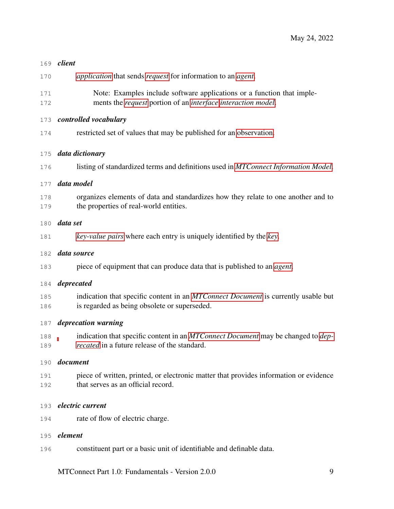## <span id="page-13-3"></span>*client*

- *[application](#page-12-4)* that sends *[request](#page-20-3)* for information to an *[agent](#page-12-1)*.
- Note: Examples include software applications or a function that imple-ments the *[request](#page-20-3)* portion of an *[interface](#page-14-1) [interaction model](#page-14-0)*.

## *controlled vocabulary*

restricted set of values that may be published for an [observation.](#page-0-0)

## <span id="page-13-0"></span>*data dictionary*

listing of standardized terms and definitions used in *[MTConnect Information Model](#page-18-1)*.

## *data model*

 organizes elements of data and standardizes how they relate to one another and to the properties of real-world entities.

## <span id="page-13-4"></span>*data set*

*[key-value pairs](#page-14-2)* where each entry is uniquely identified by the *[key](#page-14-3)*.

## *data source*

piece of equipment that can produce data that is published to an *[agent](#page-12-1)*.

## <span id="page-13-2"></span>*deprecated*

 indication that specific content in an *[MTConnect Document](#page-25-2)* is currently usable but is regarded as being obsolete or superseded.

## *deprecation warning*

 indication that specific content in an *[MTConnect Document](#page-25-2)* may be changed to *[dep-](#page-13-2)[recated](#page-13-2)* in a future release of the standard.

## <span id="page-13-1"></span>*document*

 piece of written, printed, or electronic matter that provides information or evidence that serves as an official record.

## *electric current*

rate of flow of electric charge.

## <span id="page-13-5"></span>*element*

constituent part or a basic unit of identifiable and definable data.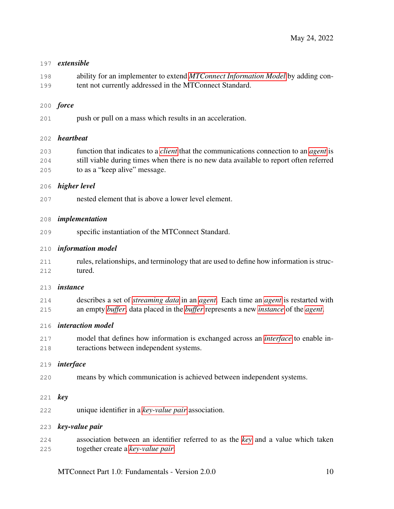## *extensible*

 ability for an implementer to extend *[MTConnect Information Model](#page-18-1)* by adding con-tent not currently addressed in the MTConnect Standard.

## *force*

push or pull on a mass which results in an acceleration.

## *heartbeat*

 function that indicates to a *[client](#page-13-3)* that the communications connection to an *[agent](#page-12-1)* is still viable during times when there is no new data available to report often referred to as a "keep alive" message.

## *higher level*

nested element that is above a lower level element.

## *implementation*

specific instantiation of the MTConnect Standard.

## <span id="page-14-5"></span>*information model*

 rules, relationships, and terminology that are used to define how information is struc-tured.

## <span id="page-14-4"></span>*instance*

 describes a set of *[streaming data](#page-20-4)* in an *[agent](#page-12-1)*. Each time an *[agent](#page-12-1)* is restarted with an empty *[buffer](#page-12-3)*, data placed in the *[buffer](#page-12-3)* represents a new *[instance](#page-14-4)* of the *[agent](#page-12-1)*.

## <span id="page-14-0"></span>*interaction model*

 model that defines how information is exchanged across an *[interface](#page-14-1)* to enable in-teractions between independent systems.

## <span id="page-14-1"></span>*interface*

means by which communication is achieved between independent systems.

## <span id="page-14-3"></span>*key*

unique identifier in a *[key-value pair](#page-14-2)* association.

## <span id="page-14-2"></span>*key-value pair*

 association between an identifier referred to as the *[key](#page-14-3)* and a value which taken together create a *[key-value pair](#page-14-2)*.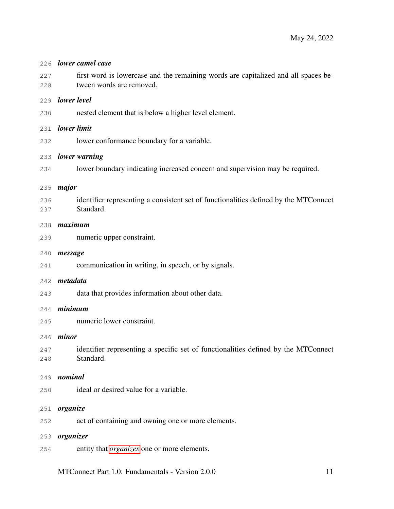<span id="page-15-1"></span><span id="page-15-0"></span>

| 226        | lower camel case                                                                                               |
|------------|----------------------------------------------------------------------------------------------------------------|
| 227<br>228 | first word is lowercase and the remaining words are capitalized and all spaces be-<br>tween words are removed. |
| 229        | lower level                                                                                                    |
| 230        | nested element that is below a higher level element.                                                           |
| 231        | lower limit                                                                                                    |
| 232        | lower conformance boundary for a variable.                                                                     |
| 233        | lower warning                                                                                                  |
| 234        | lower boundary indicating increased concern and supervision may be required.                                   |
| 235        | major                                                                                                          |
| 236<br>237 | identifier representing a consistent set of functionalities defined by the MTConnect<br>Standard.              |
| 238        | maximum                                                                                                        |
| 239        | numeric upper constraint.                                                                                      |
| 240        | message                                                                                                        |
| 241        | communication in writing, in speech, or by signals.                                                            |
| 242        | metadata                                                                                                       |
| 243        | data that provides information about other data.                                                               |
| 2.44       | minimum                                                                                                        |
| 245        | numeric lower constraint.                                                                                      |
| 246        | minor                                                                                                          |
| 247<br>248 | identifier representing a specific set of functionalities defined by the MTConnect<br>Standard.                |
| 249        | nominal                                                                                                        |
| 250        | ideal or desired value for a variable.                                                                         |
| 251        | organize                                                                                                       |
| 252        | act of containing and owning one or more elements.                                                             |
| 253        | organizer                                                                                                      |
| 254        | entity that <i>organizes</i> one or more elements.                                                             |
|            | MTConnect Part 1.0: Fundamentals - Version 2.0.0<br>11                                                         |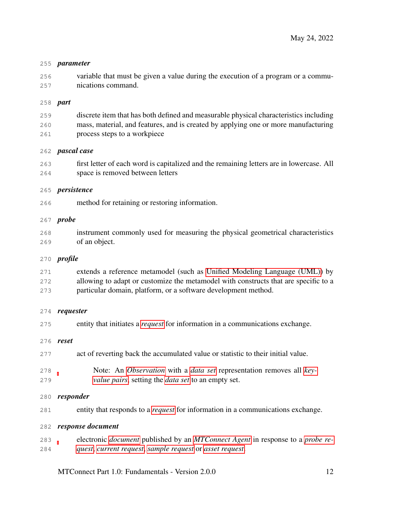## *parameter*

 variable that must be given a value during the execution of a program or a commu-nications command.

## *part*

 discrete item that has both defined and measurable physical characteristics including mass, material, and features, and is created by applying one or more manufacturing process steps to a workpiece

## *pascal case*

 first letter of each word is capitalized and the remaining letters are in lowercase. All space is removed between letters

## *persistence*

method for retaining or restoring information.

## *probe*

 instrument commonly used for measuring the physical geometrical characteristics of an object.

## <span id="page-16-1"></span>*profile*

 extends a reference metamodel (such as [Unified Modeling Language \(UML\)\)](#page-36-1) by allowing to adapt or customize the metamodel with constructs that are specific to a particular domain, platform, or a software development method.

## *requester*

| 275        | entity that initiates a <i>request</i> for information in a communications exchange.                                                                    |
|------------|---------------------------------------------------------------------------------------------------------------------------------------------------------|
|            | 276 <b>reset</b>                                                                                                                                        |
| 277        | act of reverting back the accumulated value or statistic to their initial value.                                                                        |
| 278<br>279 | Note: An <i>Observation</i> with a <i>data set</i> representation removes all <i>key</i> -<br><i>value pairs, setting the data set to an empty set.</i> |

## *responder*

entity that responds to a *[request](#page-20-3)* for information in a communications exchange.

## <span id="page-16-0"></span>*response document*

 electronic *[document](#page-13-1)* published by an *[MTConnect Agent](#page-25-4)* in response to a *[probe re-](#page-20-5)[quest](#page-20-5)*, *[current request](#page-19-1)*, *[sample request](#page-20-6)* or *[asset request](#page-19-2)*.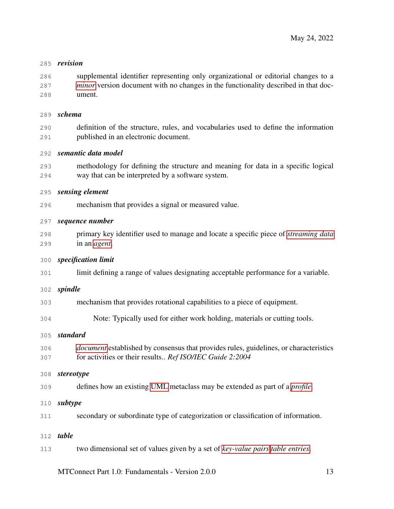#### *revision*

 supplemental identifier representing only organizational or editorial changes to a *[minor](#page-15-1)* version document with no changes in the functionality described in that doc-ument.

#### <span id="page-17-3"></span>*schema*

 definition of the structure, rules, and vocabularies used to define the information published in an electronic document.

## <span id="page-17-0"></span>*semantic data model*

 methodology for defining the structure and meaning for data in a specific logical way that can be interpreted by a software system.

#### *sensing element*

mechanism that provides a signal or measured value.

## <span id="page-17-2"></span>*sequence number*

 primary key identifier used to manage and locate a specific piece of *[streaming data](#page-20-4)* in an *[agent](#page-12-1)*.

## *specification limit*

limit defining a range of values designating acceptable performance for a variable.

## *spindle*

- mechanism that provides rotational capabilities to a piece of equipment.
- Note: Typically used for either work holding, materials or cutting tools.

## *standard*

 *[document](#page-13-1)* established by consensus that provides rules, guidelines, or characteristics for activities or their results.. *Ref ISO/IEC Guide 2:2004*

## *stereotype*

- defines how an existing [UML](#page-36-1) metaclass may be extended as part of a *[profile](#page-16-1)*.
- *subtype*
- secondary or subordinate type of categorization or classification of information.

## <span id="page-17-1"></span>*table*

two dimensional set of values given by a set of *[key-value pairs](#page-14-2) [table entries](#page-18-2)*.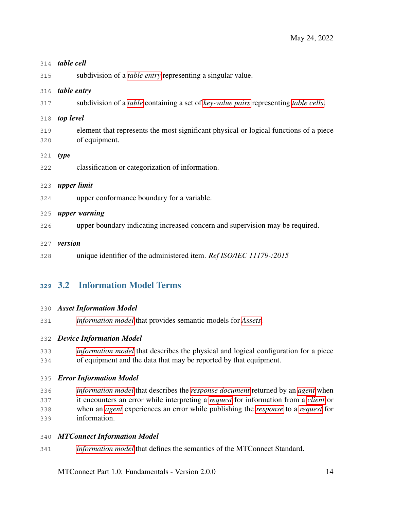<span id="page-18-3"></span><span id="page-18-2"></span>

|            | 314 <b>table cell</b>                                                                                      |
|------------|------------------------------------------------------------------------------------------------------------|
| 315        | subdivision of a <i>table entry</i> representing a singular value.                                         |
| 316        | table entry                                                                                                |
| 317        | subdivision of a <i>table</i> containing a set of <i>key-value pairs</i> representing <i>table cells</i> . |
| 318        | top level                                                                                                  |
| 319<br>320 | element that represents the most significant physical or logical functions of a piece<br>of equipment.     |
| 321        | type                                                                                                       |
| 322        | classification or categorization of information.                                                           |
| 323        | upper limit                                                                                                |
| 324        | upper conformance boundary for a variable.                                                                 |
| 325        | upper warning                                                                                              |
| 326        | upper boundary indicating increased concern and supervision may be required.                               |
| 327        | version                                                                                                    |
| 328        | unique identifier of the administered item. Ref ISO/IEC 11179-:2015                                        |

## <span id="page-18-0"></span>3.2 Information Model Terms

## *Asset Information Model*

*[information model](#page-14-5)* that provides semantic models for *[Assets](#page-24-1)*.

## <span id="page-18-4"></span>*Device Information Model*

 *[information model](#page-14-5)* that describes the physical and logical configuration for a piece of equipment and the data that may be reported by that equipment.

## *Error Information Model*

 *[information model](#page-14-5)* that describes the *[response document](#page-16-0)* returned by an *[agent](#page-12-1)* when it encounters an error while interpreting a *[request](#page-20-3)* for information from a *[client](#page-13-3)* or when an *[agent](#page-12-1)* experiences an error while publishing the *[response](#page-20-7)* to a *[request](#page-20-3)* for information.

## <span id="page-18-1"></span>*MTConnect Information Model*

*[information model](#page-14-5)* that defines the semantics of the MTConnect Standard.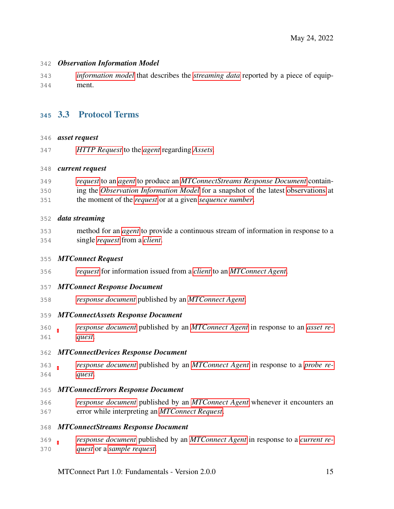## <span id="page-19-4"></span>*Observation Information Model*

 *[information model](#page-14-5)* that describes the *[streaming data](#page-20-4)* reported by a piece of equip-ment.

## <span id="page-19-0"></span>3.3 Protocol Terms

## <span id="page-19-2"></span>*asset request*

*[HTTP Request](#page-21-0)* to the *[agent](#page-12-1)* regarding *[Assets](#page-24-1)*.

## <span id="page-19-1"></span>*current request*

 *[request](#page-20-3)* to an *[agent](#page-12-1)* to produce an *[MTConnectStreams Response Document](#page-19-3)* contain- ing the *[Observation Information Model](#page-19-4)* for a snapshot of the latest [observations](#page-0-0) at the moment of the *[request](#page-20-3)* or at a given *[sequence number](#page-17-2)*.

## *data streaming*

 method for an *[agent](#page-12-1)* to provide a continuous stream of information in response to a single *[request](#page-20-3)* from a *[client](#page-13-3)*.

## <span id="page-19-5"></span>*MTConnect Request*

*[request](#page-20-3)* for information issued from a *[client](#page-13-3)* to an *[MTConnect Agent](#page-25-4)*.

## <span id="page-19-7"></span>*MTConnect Response Document*

*[response document](#page-16-0)* published by an *[MTConnect Agent](#page-25-4)*.

## *MTConnectAssets Response Document*

 *[response document](#page-16-0)* published by an *[MTConnect Agent](#page-25-4)* in response to an *[asset re-](#page-19-2)[quest](#page-19-2)*.

## <span id="page-19-6"></span>*MTConnectDevices Response Document*

 *[response document](#page-16-0)* published by an *[MTConnect Agent](#page-25-4)* in response to a *[probe re-](#page-20-5)[quest](#page-20-5)*.

## *MTConnectErrors Response Document*

 *[response document](#page-16-0)* published by an *[MTConnect Agent](#page-25-4)* whenever it encounters an error while interpreting an *[MTConnect Request](#page-19-5)*.

## <span id="page-19-3"></span>*MTConnectStreams Response Document*

 *[response document](#page-16-0)* published by an *[MTConnect Agent](#page-25-4)* in response to a *[current re-](#page-19-1)[quest](#page-19-1)* or a *[sample request](#page-20-6)*.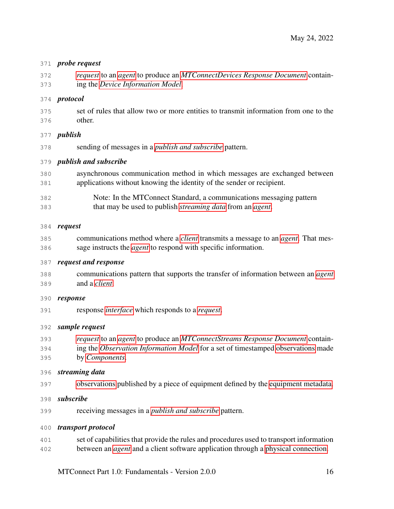## <span id="page-20-5"></span>*probe request*

 *[request](#page-20-3)* to an *[agent](#page-12-1)* to produce an *[MTConnectDevices Response Document](#page-19-6)* contain-ing the *[Device Information Model](#page-18-4)*.

## *protocol*

 set of rules that allow two or more entities to transmit information from one to the other.

## *publish*

sending of messages in a *[publish and subscribe](#page-20-2)* pattern.

## <span id="page-20-2"></span>*publish and subscribe*

- asynchronous communication method in which messages are exchanged between applications without knowing the identity of the sender or recipient.
- Note: In the MTConnect Standard, a communications messaging pattern that may be used to publish *[streaming data](#page-20-4)* from an *[agent](#page-12-1)*.

## <span id="page-20-3"></span>*request*

 communications method where a *[client](#page-13-3)* transmits a message to an *[agent](#page-12-1)*. That mes-sage instructs the *[agent](#page-12-1)* to respond with specific information.

## <span id="page-20-1"></span>*request and response*

 communications pattern that supports the transfer of information between an *[agent](#page-12-1)* and a *[client](#page-13-3)*.

## <span id="page-20-7"></span>*response*

response *[interface](#page-14-1)* which responds to a *[request](#page-20-3)*.

## <span id="page-20-6"></span>*sample request*

- *[request](#page-20-3)* to an *[agent](#page-12-1)* to produce an *[MTConnectStreams Response Document](#page-19-3)* contain-ing the *[Observation Information Model](#page-19-4)* for a set of timestamped [observations](#page-0-0) made
- by *[Components](#page-24-2)*.
- <span id="page-20-4"></span>*streaming data*
- [observations](#page-0-0) published by a piece of equipment defined by the [equipment metadata.](#page-0-0)
- *subscribe*
- receiving messages in a *[publish and subscribe](#page-20-2)* pattern.

## *transport protocol*

<span id="page-20-0"></span> set of capabilities that provide the rules and procedures used to transport information between an *[agent](#page-12-1)* and a client software application through a [physical connection.](#page-0-0)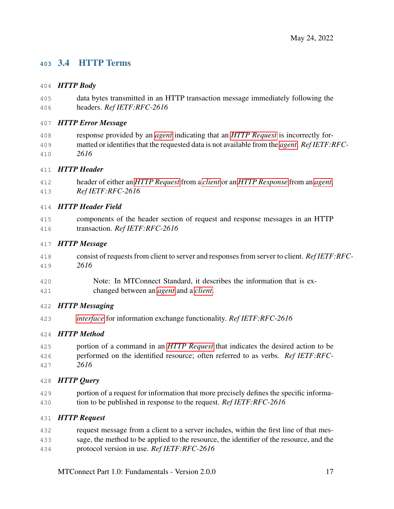## 3.4 HTTP Terms

## *HTTP Body*

 data bytes transmitted in an HTTP transaction message immediately following the headers. *Ref IETF:RFC-2616*

## *HTTP Error Message*

 response provided by an *[agent](#page-12-1)* indicating that an *[HTTP Request](#page-21-0)* is incorrectly for- matted or identifies that the requested data is not available from the *[agent](#page-12-1)*. *Ref IETF:RFC-2616*

## *HTTP Header*

 header of either an *[HTTP Request](#page-21-0)* from a *[client](#page-13-3)* or an *[HTTP Response](#page-22-1)* from an *[agent](#page-12-1)*. *Ref IETF:RFC-2616*

## *HTTP Header Field*

 components of the header section of request and response messages in an HTTP transaction. *Ref IETF:RFC-2616*

## *HTTP Message*

- consist of requests from client to server and responses from server to client. *Ref IETF:RFC-2616*
- Note: In MTConnect Standard, it describes the information that is ex-changed between an *[agent](#page-12-1)* and a *[client](#page-13-3)*.

## *HTTP Messaging*

*[interface](#page-14-1)* for information exchange functionality. *Ref IETF:RFC-2616*

## *HTTP Method*

- portion of a command in an *[HTTP Request](#page-21-0)* that indicates the desired action to be performed on the identified resource; often referred to as verbs. *Ref IETF:RFC-*
- *2616*

## *HTTP Query*

 portion of a request for information that more precisely defines the specific informa-tion to be published in response to the request. *Ref IETF:RFC-2616*

## <span id="page-21-0"></span>*HTTP Request*

- request message from a client to a server includes, within the first line of that mes-sage, the method to be applied to the resource, the identifier of the resource, and the
- protocol version in use. *Ref IETF:RFC-2616*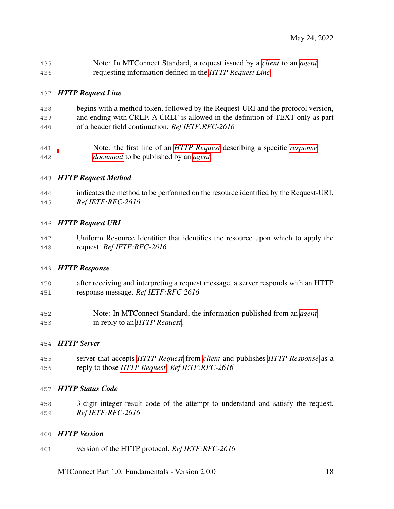| 435 | Note: In MTConnect Standard, a request issued by a <i>client</i> to an <i>agent</i> |
|-----|-------------------------------------------------------------------------------------|
| 436 | requesting information defined in the HTTP Request Line.                            |

## <span id="page-22-2"></span>*HTTP Request Line*

- begins with a method token, followed by the Request-URI and the protocol version, and ending with CRLF. A CRLF is allowed in the definition of TEXT only as part of a header field continuation. *Ref IETF:RFC-2616*
- Note: the first line of an *[HTTP Request](#page-21-0)* describing a specific *[response](#page-16-0) [document](#page-16-0)* to be published by an *[agent](#page-12-1)*.

## *HTTP Request Method*

 indicates the method to be performed on the resource identified by the Request-URI. *Ref IETF:RFC-2616*

## *HTTP Request URI*

 Uniform Resource Identifier that identifies the resource upon which to apply the request. *Ref IETF:RFC-2616*

## <span id="page-22-1"></span>*HTTP Response*

- after receiving and interpreting a request message, a server responds with an HTTP response message. *Ref IETF:RFC-2616*
- Note: In MTConnect Standard, the information published from an *[agent](#page-12-1)* in reply to an *[HTTP Request](#page-21-0)*.

## *HTTP Server*

 server that accepts *[HTTP Request](#page-21-0)* from *[client](#page-13-3)* and publishes *[HTTP Response](#page-22-1)* as a reply to those *[HTTP Request](#page-21-0)*. *Ref IETF:RFC-2616*

## *HTTP Status Code*

 3-digit integer result code of the attempt to understand and satisfy the request. *Ref IETF:RFC-2616*

## *HTTP Version*

<span id="page-22-0"></span>version of the HTTP protocol. *Ref IETF:RFC-2616*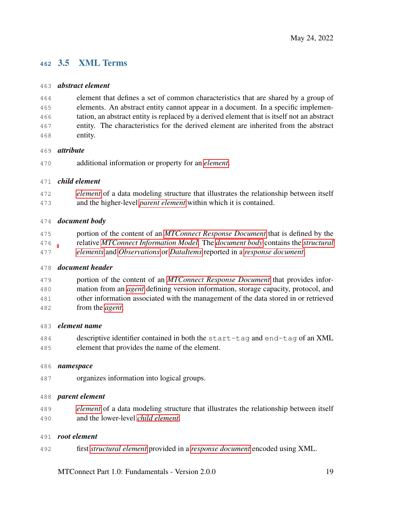## 3.5 XML Terms

## *abstract element*

 element that defines a set of common characteristics that are shared by a group of elements. An abstract entity cannot appear in a document. In a specific implemen- tation, an abstract entity is replaced by a derived element that is itself not an abstract entity. The characteristics for the derived element are inherited from the abstract entity.

## *attribute*

additional information or property for an *[element](#page-13-5)*.

## <span id="page-23-2"></span>*child element*

 *[element](#page-13-5)* of a data modeling structure that illustrates the relationship between itself and the higher-level *[parent element](#page-23-0)* within which it is contained.

## <span id="page-23-1"></span>*document body*

 portion of the content of an *[MTConnect Response Document](#page-19-7)* that is defined by the relative *[MTConnect Information Model](#page-18-1)*. The *[document body](#page-23-1)* contains the *[structural](#page-24-3) [elements](#page-24-3)* and *[Observations](#page-25-3)* or *[DataItems](#page-24-4)* reported in a *[response document](#page-16-0)*.

## *document header*

 portion of the content of an *[MTConnect Response Document](#page-19-7)* that provides infor- mation from an *[agent](#page-12-1)* defining version information, storage capacity, protocol, and other information associated with the management of the data stored in or retrieved from the *[agent](#page-12-1)*.

## *element name*

 descriptive identifier contained in both the start-tag and end-tag of an XML element that provides the name of the element.

## *namespace*

organizes information into logical groups.

## <span id="page-23-0"></span>*parent element*

 *[element](#page-13-5)* of a data modeling structure that illustrates the relationship between itself and the lower-level *[child element](#page-23-2)*.

## *root element*

first *[structural element](#page-24-3)* provided in a *[response document](#page-16-0)* encoded using XML.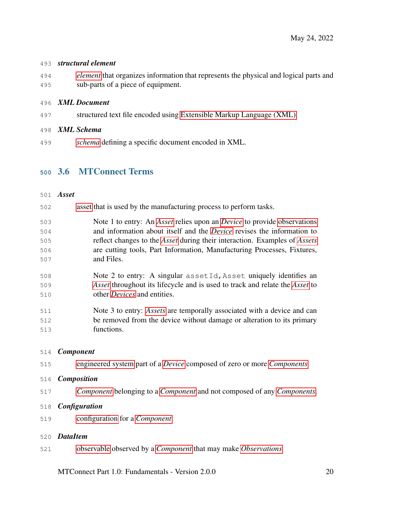## <span id="page-24-3"></span>*structural element*

 *[element](#page-13-5)* that organizes information that represents the physical and logical parts and sub-parts of a piece of equipment.

## *XML Document*

structured text file encoded using [Extensible Markup Language \(XML\).](#page-36-2)

## *XML Schema*

<span id="page-24-0"></span>*[schema](#page-17-3)* defining a specific document encoded in XML.

## 3.6 MTConnect Terms

## <span id="page-24-1"></span>*Asset*

- [asset](#page-0-0) that is used by the manufacturing process to perform tasks.
- Note 1 to entry: An *[Asset](#page-24-1)* relies upon an *[Device](#page-25-5)* to provide [observations](#page-0-0) and information about itself and the *[Device](#page-25-5)* revises the information to reflect changes to the *[Asset](#page-24-1)* during their interaction. Examples of *[Assets](#page-24-1)* are cutting tools, Part Information, Manufacturing Processes, Fixtures, and Files.
- 508 Note 2 to entry: A singular asset Id, Asset uniquely identifies an *[Asset](#page-24-1)* throughout its lifecycle and is used to track and relate the *[Asset](#page-24-1)* to other *[Devices](#page-25-5)* and entities.
- Note 3 to entry: *[Assets](#page-24-1)* are temporally associated with a device and can be removed from the device without damage or alteration to its primary functions.

## <span id="page-24-2"></span>*Component*

[engineered system](#page-0-0) part of a *[Device](#page-25-5)* composed of zero or more *[Components](#page-24-2)*

## *Composition*

*[Component](#page-24-2)* belonging to a *[Component](#page-24-2)* and not composed of any *[Components](#page-24-2)*.

## *Configuration*

[configuration](#page-0-0) for a *[Component](#page-24-2)*

## <span id="page-24-4"></span>*DataItem*

[observable](#page-0-0) observed by a *[Component](#page-24-2)* that may make *[Observations](#page-25-3)*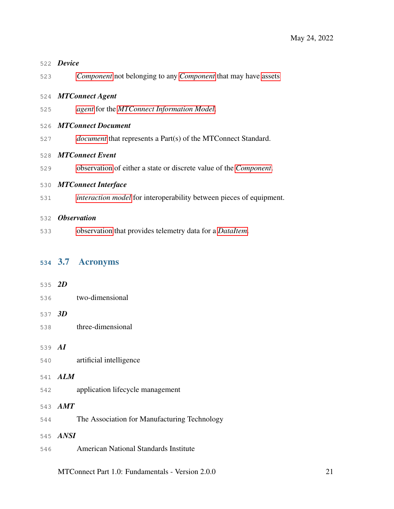<span id="page-25-5"></span><span id="page-25-4"></span><span id="page-25-2"></span>

|     | 522 Device                                                                  |
|-----|-----------------------------------------------------------------------------|
| 523 | <i>Component</i> not belonging to any <i>Component</i> that may have assets |
|     | 524 MTConnect Agent                                                         |
| 525 | agent for the MTConnect Information Model.                                  |
|     | 526 MTConnect Document                                                      |
| 527 | <i>document</i> that represents a Part(s) of the MTConnect Standard.        |
|     | 528 MTConnect Event                                                         |
| 529 | observation of either a state or discrete value of the Component.           |
|     | 530 MTConnect Interface                                                     |
| 531 | <i>interaction model</i> for interoperability between pieces of equipment.  |
|     | 532 Observation                                                             |
| 533 | observation that provides telemetry data for a <i>DataItem</i> .            |
|     | 534 3.7 Acronyms                                                            |

<span id="page-25-3"></span><span id="page-25-1"></span><span id="page-25-0"></span>

| 535 2D |                                              |
|--------|----------------------------------------------|
|        | two-dimensional<br>536 7                     |
| 537 3D |                                              |
| 538    | three-dimensional                            |
|        |                                              |
| 539 AI |                                              |
| 540    | artificial intelligence                      |
|        |                                              |
|        | 541 ALM                                      |
| 542    | application lifecycle management             |
|        | 543 AMT                                      |
|        |                                              |
| 544    | The Association for Manufacturing Technology |
|        | 545 ANSI                                     |
|        |                                              |
| 546    | <b>American National Standards Institute</b> |
|        |                                              |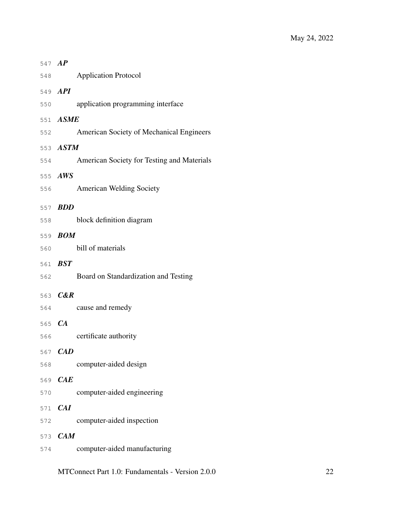| 547 AP        |                    |                                            |
|---------------|--------------------|--------------------------------------------|
| 548           |                    | <b>Application Protocol</b>                |
|               | 549 API            |                                            |
| 550           |                    | application programming interface          |
|               | 551 ASME           |                                            |
| 552           |                    | American Society of Mechanical Engineers   |
|               | 553 ASTM           |                                            |
| 554           |                    | American Society for Testing and Materials |
|               | 555 AWS            |                                            |
| 556           |                    | <b>American Welding Society</b>            |
|               | 557 <b>BDD</b>     |                                            |
| 558           |                    | block definition diagram                   |
|               | 559 <b>BOM</b>     |                                            |
| 560           |                    | bill of materials                          |
|               | 561 BST            |                                            |
| 562           |                    | Board on Standardization and Testing       |
|               |                    |                                            |
|               |                    |                                            |
| 564           | 563 <b>C&amp;R</b> | cause and remedy                           |
|               |                    |                                            |
| 565 CA<br>566 |                    | certificate authority                      |
| 567           | CAD                |                                            |
| 568           |                    | computer-aided design                      |
| 569           | CAE                |                                            |
| 570           |                    | computer-aided engineering                 |
| 571           | CAI                |                                            |
| 572           |                    | computer-aided inspection                  |
| 573           | CAM                |                                            |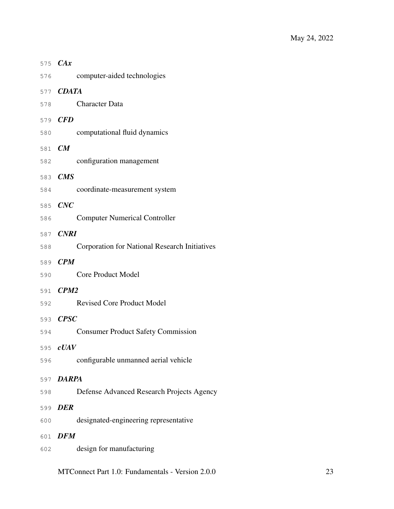|        | 575 CAx                                              |
|--------|------------------------------------------------------|
| 576    | computer-aided technologies                          |
|        | 577 <b>CDATA</b>                                     |
| 578    | <b>Character Data</b>                                |
|        | 579 CFD                                              |
| 580    | computational fluid dynamics                         |
| 581 CM |                                                      |
| 582    | configuration management                             |
|        | 583 CMS                                              |
| 584    | coordinate-measurement system                        |
|        | 585 CNC                                              |
| 586    | <b>Computer Numerical Controller</b>                 |
|        | 587 CNRI                                             |
| 588    | <b>Corporation for National Research Initiatives</b> |
|        | 589 CPM                                              |
| 590    | <b>Core Product Model</b>                            |
|        | 591 CPM2                                             |
| 592    | <b>Revised Core Product Model</b>                    |
|        | 593 CPSC                                             |
| 594    | <b>Consumer Product Safety Commission</b>            |
|        | 595 <b>cUAV</b>                                      |
| 596    | configurable unmanned aerial vehicle                 |
|        | 597 DARPA                                            |
| 598    | Defense Advanced Research Projects Agency            |
|        | 599 DER                                              |
| 600    | designated-engineering representative                |
|        | 601 DFM                                              |
| 602    | design for manufacturing                             |
|        |                                                      |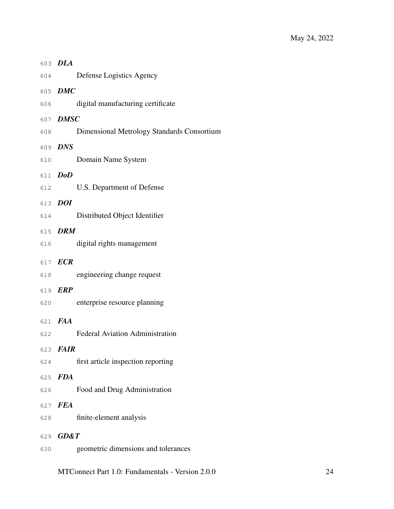|     | 603 DLA                                    |
|-----|--------------------------------------------|
| 604 | Defense Logistics Agency                   |
|     | 605 DMC                                    |
| 606 | digital manufacturing certificate          |
|     | 607 DMSC                                   |
| 608 | Dimensional Metrology Standards Consortium |
|     | 609 DNS                                    |
| 610 | Domain Name System                         |
|     | 611 DoD                                    |
| 612 | U.S. Department of Defense                 |
|     | 613 DOI                                    |
| 614 | Distributed Object Identifier              |
|     | 615 DRM                                    |
| 616 | digital rights management                  |
|     | 617 ECR                                    |
| 618 | engineering change request                 |
|     | 619 ERP                                    |
| 620 | enterprise resource planning               |
|     | 621 FAA                                    |
| 622 | <b>Federal Aviation Administration</b>     |
|     | 623 FAIR                                   |
| 624 | first article inspection reporting         |
|     | 625 FDA                                    |
| 626 | Food and Drug Administration               |
| 627 | <b>FEA</b>                                 |
| 628 | finite-element analysis                    |
|     | 629 GD&T                                   |
| 630 | geometric dimensions and tolerances        |
|     |                                            |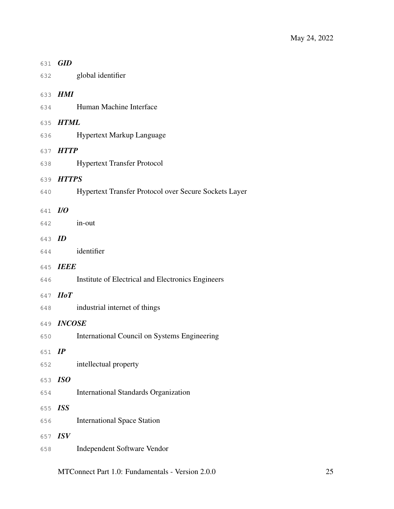|         | 631 GID           |                                                       |
|---------|-------------------|-------------------------------------------------------|
|         | 632               | global identifier                                     |
|         | 633 HMI           |                                                       |
| 634     |                   | Human Machine Interface                               |
|         | 635 HTML          |                                                       |
| 636     |                   | <b>Hypertext Markup Language</b>                      |
|         | 637 HTTP          |                                                       |
| 638     |                   | <b>Hypertext Transfer Protocol</b>                    |
|         | 639 HTTPS         |                                                       |
| 640     |                   | Hypertext Transfer Protocol over Secure Sockets Layer |
| 641 I/O |                   |                                                       |
|         | 642               | in-out                                                |
| 643 ID  |                   |                                                       |
|         |                   | 644 identifier                                        |
|         | 645 IEEE          |                                                       |
| 646     |                   | Institute of Electrical and Electronics Engineers     |
|         | 647 <i>HoT</i>    |                                                       |
| 648     |                   | industrial internet of things                         |
|         | 649 <b>INCOSE</b> |                                                       |
| 650     |                   | International Council on Systems Engineering          |
| 651     | IP                |                                                       |
| 652     |                   | intellectual property                                 |
| 653     | ISO               |                                                       |
| 654     |                   | <b>International Standards Organization</b>           |
| 655     | <b>ISS</b>        |                                                       |
| 656     |                   | <b>International Space Station</b>                    |
| 657     | <b>ISV</b>        |                                                       |
| 658     |                   | Independent Software Vendor                           |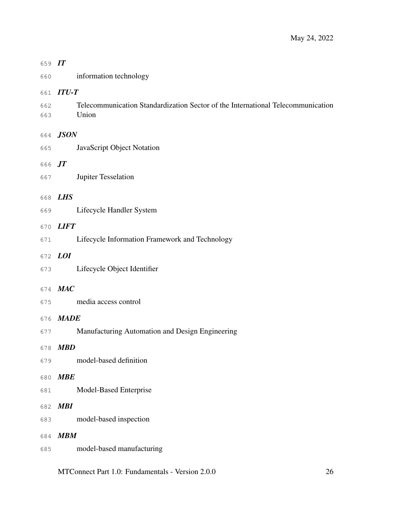| 659 IT     |                                                                                          |
|------------|------------------------------------------------------------------------------------------|
| 660        | information technology                                                                   |
| 661        | $ITU-T$                                                                                  |
| 662<br>663 | Telecommunication Standardization Sector of the International Telecommunication<br>Union |
|            | 664 JSON                                                                                 |
| 665        | JavaScript Object Notation                                                               |
| 666 JT     |                                                                                          |
| 667        | Jupiter Tesselation                                                                      |
| 668        | <i>LHS</i>                                                                               |
| 669        | Lifecycle Handler System                                                                 |
| 670        | <b>LIFT</b>                                                                              |
| 671        | Lifecycle Information Framework and Technology                                           |
| 672        | <i>LOI</i>                                                                               |
| 673        | Lifecycle Object Identifier                                                              |
|            | MAC                                                                                      |
| 674<br>675 | media access control                                                                     |
|            | <b>MADE</b>                                                                              |
| 676<br>677 | Manufacturing Automation and Design Engineering                                          |
|            |                                                                                          |
| 679        | 678 MBD<br>model-based definition                                                        |
|            | <b>MBE</b>                                                                               |
| 680<br>681 | Model-Based Enterprise                                                                   |
|            |                                                                                          |
| 682<br>683 | <b>MBI</b><br>model-based inspection                                                     |
|            |                                                                                          |
| 684<br>685 | <b>MBM</b><br>model-based manufacturing                                                  |
|            |                                                                                          |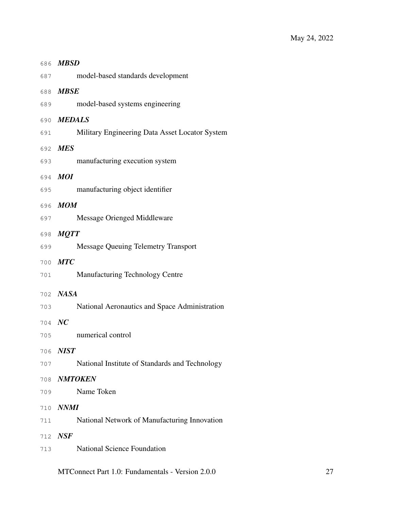|        | 686 MBSD                                       |
|--------|------------------------------------------------|
|        | model-based standards development<br>687       |
|        | 688 MBSE                                       |
| 689    | model-based systems engineering                |
|        | 690 MEDALS                                     |
| 691    | Military Engineering Data Asset Locator System |
|        | 692 MES                                        |
| 693    | manufacturing execution system                 |
|        | 694 MOI                                        |
| 695    | manufacturing object identifier                |
|        | 696 MOM                                        |
| 697    | <b>Message Orienged Middleware</b>             |
|        | 698 MQTT                                       |
| 699    | <b>Message Queuing Telemetry Transport</b>     |
|        | 700 MTC                                        |
| 701    | <b>Manufacturing Technology Centre</b>         |
|        | 702 NASA                                       |
| 703    | National Aeronautics and Space Administration  |
| 704 NC |                                                |
| 705    | numerical control                              |
| 706    | <b>NIST</b>                                    |
| 707    | National Institute of Standards and Technology |
| 708    | <b>NMTOKEN</b>                                 |
| 709    | Name Token                                     |
| 710    | <i>NNMI</i>                                    |
| 711    | National Network of Manufacturing Innovation   |
| 712    | NSF                                            |
| 713    | <b>National Science Foundation</b>             |
|        |                                                |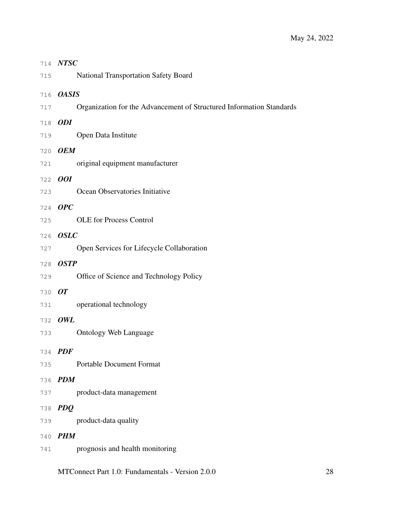| 714 | <b>NTSC</b>                                                          |
|-----|----------------------------------------------------------------------|
| 715 | <b>National Transportation Safety Board</b>                          |
| 716 | <b>OASIS</b>                                                         |
| 717 | Organization for the Advancement of Structured Information Standards |
| 718 | <b>ODI</b>                                                           |
| 719 | Open Data Institute                                                  |
| 720 | <b>OEM</b>                                                           |
| 721 | original equipment manufacturer                                      |
| 722 | <i>OOI</i>                                                           |
| 723 | Ocean Observatories Initiative                                       |
| 724 | OPC                                                                  |
| 725 | <b>OLE</b> for Process Control                                       |
| 726 | <b>OSLC</b>                                                          |
| 727 | Open Services for Lifecycle Collaboration                            |
| 728 | <b>OSTP</b>                                                          |
| 729 | Office of Science and Technology Policy                              |
| 730 | <b>OT</b>                                                            |
| 731 | operational technology                                               |
| 732 | OWL                                                                  |
| 733 | <b>Ontology Web Language</b>                                         |
| 734 | <b>PDF</b>                                                           |
| 735 | <b>Portable Document Format</b>                                      |
| 736 | <b>PDM</b>                                                           |
| 737 | product-data management                                              |
| 738 | <b>PDQ</b>                                                           |
| 739 | product-data quality                                                 |
| 740 | <b>PHM</b>                                                           |
| 741 | prognosis and health monitoring                                      |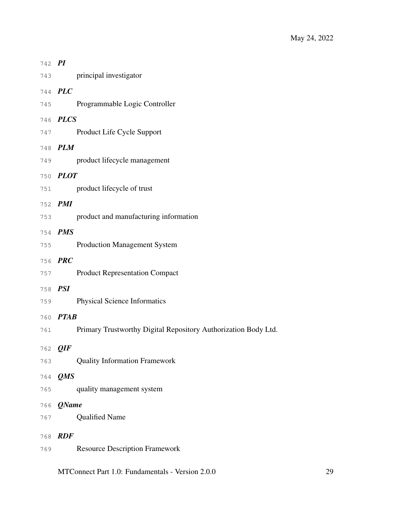| 742 PI |                 |                                                                |
|--------|-----------------|----------------------------------------------------------------|
|        |                 | 743 principal investigator                                     |
|        | 744 PLC         |                                                                |
|        | 745             | Programmable Logic Controller                                  |
|        | 746 PLCS        |                                                                |
|        | 747             | Product Life Cycle Support                                     |
|        | 748 PLM         |                                                                |
|        | 749             | product lifecycle management                                   |
|        | 750 PLOT        |                                                                |
|        |                 | 751 product lifecycle of trust                                 |
|        | 752 PMI         |                                                                |
|        | 753             | product and manufacturing information                          |
|        | 754 PMS         |                                                                |
| 755    |                 | <b>Production Management System</b>                            |
|        | 756 PRC         |                                                                |
| 757    |                 | <b>Product Representation Compact</b>                          |
|        | 758 <i>PSI</i>  |                                                                |
|        | 759             | <b>Physical Science Informatics</b>                            |
|        | 760 <b>PTAB</b> |                                                                |
| 761    |                 | Primary Trustworthy Digital Repository Authorization Body Ltd. |
|        | 762 QIF         |                                                                |
| 763    |                 | <b>Quality Information Framework</b>                           |
| 764    | QMS             |                                                                |
| 765    |                 | quality management system                                      |
| 766    | <b>QName</b>    |                                                                |
| 767    |                 | <b>Qualified Name</b>                                          |
| 768    | <b>RDF</b>      |                                                                |
| 769    |                 | <b>Resource Description Framework</b>                          |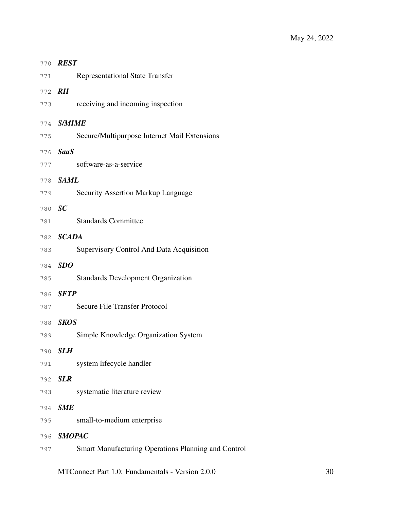|         | 770 REST                                            |
|---------|-----------------------------------------------------|
| 771     | <b>Representational State Transfer</b>              |
| 772 RII |                                                     |
| 773     | receiving and incoming inspection                   |
|         | 774 <b>S/MIME</b>                                   |
| 775     | Secure/Multipurpose Internet Mail Extensions        |
|         | 776 SaaS                                            |
| 777     | software-as-a-service                               |
|         | 778 SAML                                            |
| 779     | <b>Security Assertion Markup Language</b>           |
| 780 SC  |                                                     |
| 781     | <b>Standards Committee</b>                          |
|         | 782 SCADA                                           |
| 783     | Supervisory Control And Data Acquisition            |
| 784     | SDO                                                 |
| 785     | <b>Standards Development Organization</b>           |
|         | 786 <b>SFTP</b>                                     |
| 787     | Secure File Transfer Protocol                       |
|         | 788 SKOS                                            |
| 789     | Simple Knowledge Organization System                |
| 790     | <b>SLH</b>                                          |
| 791     | system lifecycle handler                            |
| 792     | <b>SLR</b>                                          |
| 793     | systematic literature review                        |
| 794     | <b>SME</b>                                          |
| 795     | small-to-medium enterprise                          |
| 796     | <b>SMOPAC</b>                                       |
| 797     | Smart Manufacturing Operations Planning and Control |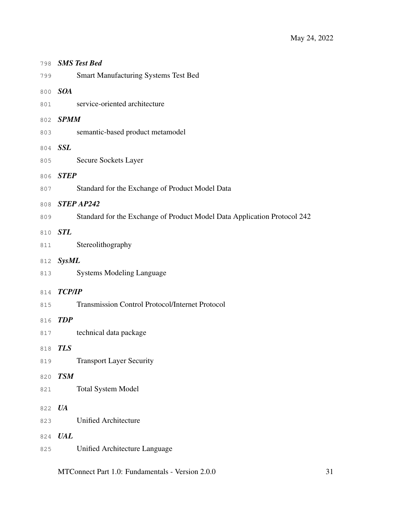| 798 | <b>SMS Test Bed</b>                                                      |
|-----|--------------------------------------------------------------------------|
| 799 | <b>Smart Manufacturing Systems Test Bed</b>                              |
|     | 800 SOA                                                                  |
| 801 | service-oriented architecture                                            |
|     | 802 SPMM                                                                 |
| 803 | semantic-based product metamodel                                         |
|     | 804 SSL                                                                  |
| 805 | Secure Sockets Layer                                                     |
|     | 806 STEP                                                                 |
| 807 | Standard for the Exchange of Product Model Data                          |
|     | 808 STEP AP242                                                           |
| 809 | Standard for the Exchange of Product Model Data Application Protocol 242 |
|     | 810 STL                                                                  |
| 811 | Stereolithography                                                        |
|     | 812 SysML                                                                |
| 813 | <b>Systems Modeling Language</b>                                         |
|     | 814 TCP/IP                                                               |
| 815 | <b>Transmission Control Protocol/Internet Protocol</b>                   |
| 816 | <b>TDP</b>                                                               |
| 817 | technical data package                                                   |
| 818 | <b>TLS</b>                                                               |
| 819 | <b>Transport Layer Security</b>                                          |
| 820 | <b>TSM</b>                                                               |
| 821 | <b>Total System Model</b>                                                |
| 822 | <b>UA</b>                                                                |
| 823 | <b>Unified Architecture</b>                                              |
| 824 | <b>UAL</b>                                                               |
| 825 | Unified Architecture Language                                            |
|     |                                                                          |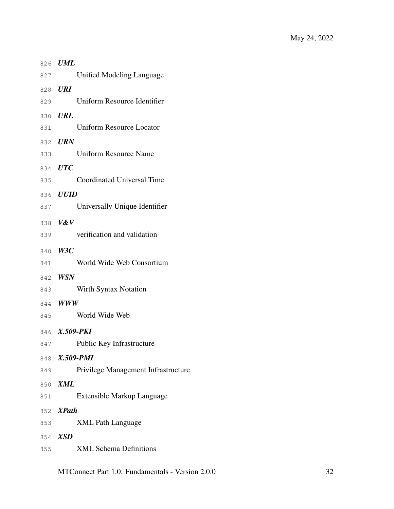<span id="page-36-0"></span>

| 826 | $\boldsymbol{UML}$                  |
|-----|-------------------------------------|
| 827 | Unified Modeling Language           |
| 828 | <b>URI</b>                          |
| 829 | Uniform Resource Identifier         |
| 830 | <b>URL</b>                          |
| 831 | <b>Uniform Resource Locator</b>     |
| 832 | <b>URN</b>                          |
| 833 | <b>Uniform Resource Name</b>        |
| 834 | <b>UTC</b>                          |
| 835 | <b>Coordinated Universal Time</b>   |
| 836 | <b>UUID</b>                         |
| 837 | Universally Unique Identifier       |
| 838 | V&V                                 |
| 839 | verification and validation         |
| 840 | W3C                                 |
| 841 | World Wide Web Consortium           |
| 842 | <b>WSN</b>                          |
| 843 | Wirth Syntax Notation               |
| 844 | <b>WWW</b>                          |
| 845 | World Wide Web                      |
|     | 846 X.509-PKI                       |
|     | 847 Public Key Infrastructure       |
|     | 848 X.509-PMI                       |
| 849 | Privilege Management Infrastructure |
| 850 | XML                                 |
| 851 | Extensible Markup Language          |
|     | 852 XPath                           |
| 853 | <b>XML Path Language</b>            |
|     | 854 XSD                             |
| 855 | <b>XML Schema Definitions</b>       |
|     |                                     |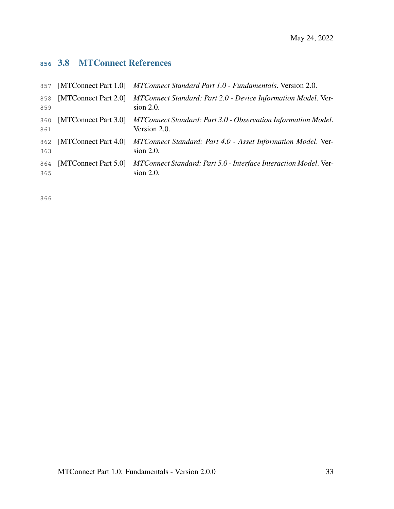# 3.8 MTConnect References

|            |                      | 857 [MTConnect Part 1.0] MTConnect Standard Part 1.0 - Fundamentals. Version 2.0.                    |
|------------|----------------------|------------------------------------------------------------------------------------------------------|
| 858<br>859 | [MTConnect Part 2.0] | MTConnect Standard: Part 2.0 - Device Information Model. Ver-<br>$sion$ 2.0.                         |
| 860<br>861 |                      | [MTConnect Part 3.0] MTConnect Standard: Part 3.0 - Observation Information Model.<br>Version 2.0.   |
| 862<br>863 |                      | [MTConnect Part 4.0] MTConnect Standard: Part 4.0 - Asset Information Model. Ver-<br>$sion$ 2.0.     |
| 864<br>865 |                      | [MTConnect Part 5.0] MTConnect Standard: Part 5.0 - Interface Interaction Model. Ver-<br>$sion$ 2.0. |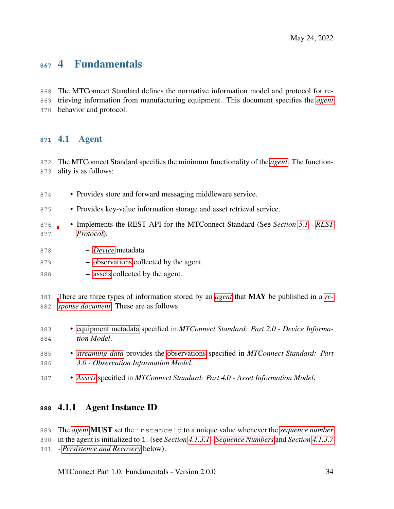# 4 Fundamentals

 The MTConnect Standard defines the normative information model and protocol for re- trieving information from manufacturing equipment. This document specifies the *[agent](#page-12-0)* behavior and protocol.

## <span id="page-38-0"></span>4.1 Agent

 The MTConnect Standard specifies the minimum functionality of the *[agent](#page-12-0)*. The function-ality is as follows:

- Provides store and forward messaging middleware service.
- Provides key-value information storage and asset retrieval service.
- Implements the REST API for the MTConnect Standard (See *Section [5.1](#page-47-0) - [REST](#page-47-0) [Protocol](#page-47-0)*).
- *[Device](#page-25-0)* metadata.
- [observations](#page-0-0) collected by the agent.
- [assets](#page-0-0) collected by the agent.

 [T](#page-16-0)here are three types of information stored by an *[agent](#page-12-0)* that MAY be published in a *[re-](#page-16-0)[sponse document](#page-16-0)*. These are as follows:

- [equipment metadata](#page-0-0) specified in *MTConnect Standard: Part 2.0 Device Informa-tion Model*.
- *[streaming data](#page-20-0)* provides the [observations](#page-0-0) specified in *MTConnect Standard: Part 3.0 - Observation Information Model*.
- *[Assets](#page-24-0)* specified in *MTConnect Standard: Part 4.0 Asset Information Model*.

## 4.1.1 Agent Instance ID

- The *[agent](#page-12-0)* MUST set the instanceId to a unique value whenever the *[sequence number](#page-17-0)*
- in the agent is initialized to 1. (see *Section [4.1.3.1](#page-39-0) - [Sequence Numbers](#page-39-0)* and *Section [4.1.3.7](#page-43-0)*
- *- [Persistence and Recovery](#page-43-0)* below).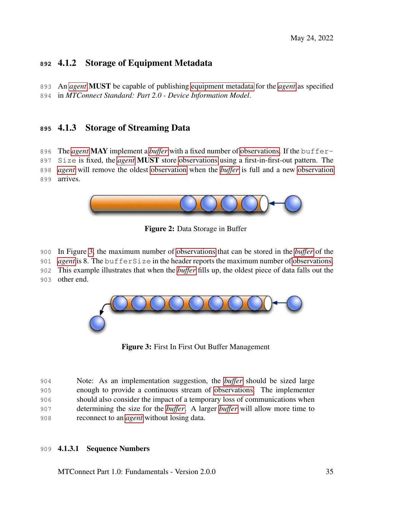## 4.1.2 Storage of Equipment Metadata

 An *[agent](#page-12-0)* MUST be capable of publishing [equipment metadata](#page-0-0) for the *[agent](#page-12-0)* as specified in *MTConnect Standard: Part 2.0 - Device Information Model*.

## 4.1.3 Storage of Streaming Data

The *[agent](#page-12-0)* MAY implement a *[buffer](#page-12-1)* with a fixed number of [observations.](#page-0-0) If the buffer-

 Size is fixed, the *[agent](#page-12-0)* MUST store [observations](#page-0-0) using a first-in-first-out pattern. The *[agent](#page-12-0)* will remove the oldest [observation](#page-0-0) when the *[buffer](#page-12-1)* is full and a new [observation](#page-0-0) arrives.



Figure 2: Data Storage in Buffer

In Figure [3,](#page-39-1) the maximum number of [observations](#page-0-0) that can be stored in the *[buffer](#page-12-1)* of the

*[agent](#page-12-0)* is 8. The bufferSize in the header reports the maximum number of [observations.](#page-0-0)

This example illustrates that when the *[buffer](#page-12-1)* fills up, the oldest piece of data falls out the

other end.

<span id="page-39-1"></span>

Figure 3: First In First Out Buffer Management

 Note: As an implementation suggestion, the *[buffer](#page-12-1)* should be sized large enough to provide a continuous stream of [observations.](#page-0-0) The implementer should also consider the impact of a temporary loss of communications when determining the size for the *[buffer](#page-12-1)*. A larger *[buffer](#page-12-1)* will allow more time to reconnect to an *[agent](#page-12-0)* without losing data.

#### <span id="page-39-0"></span>4.1.3.1 Sequence Numbers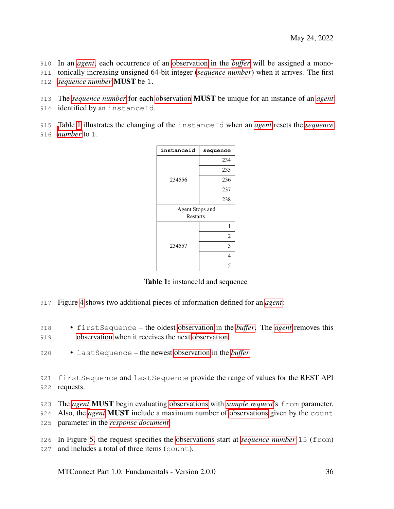In an *[agent](#page-12-0)*, each occurrence of an [observation](#page-0-0) in the *[buffer](#page-12-1)* will be assigned a mono-

- tonically increasing unsigned 64-bit integer (*[sequence number](#page-17-0)*) when it arrives. The first
- *[sequence number](#page-17-0)* MUST be 1.
- The *[sequence number](#page-17-0)* for each [observation](#page-0-0) MUST be unique for an instance of an *[agent](#page-12-0)*
- 914 identified by an instanceId.
- [T](#page-17-0)able [1](#page-40-0) illustrates the changing of the instanceId when an *[agent](#page-12-0)* resets the *[sequence](#page-17-0)*
- <span id="page-40-0"></span>*[number](#page-17-0)* to 1.

| instanceId      | sequence        |  |  |
|-----------------|-----------------|--|--|
|                 | 234             |  |  |
|                 | 235             |  |  |
| 234556          | 236             |  |  |
|                 | 237             |  |  |
|                 | 238             |  |  |
|                 | Agent Stops and |  |  |
| <b>Restarts</b> |                 |  |  |
|                 | 1               |  |  |
|                 | $\overline{2}$  |  |  |
| 234557          | 3               |  |  |
|                 | 4               |  |  |
|                 | 5               |  |  |

Table 1: instanceId and sequence

- Figure [4](#page-41-0) shows two additional pieces of information defined for an *[agent](#page-12-0)*:
- firstSequence the oldest [observation](#page-0-0) in the *[buffer](#page-12-1)*. The *[agent](#page-12-0)* removes this [observation](#page-0-0) when it receives the next [observation](#page-0-0)
- lastSequence the newest [observation](#page-0-0) in the *[buffer](#page-12-1)*
- 921 firstSequence and lastSequence provide the range of values for the REST API requests.
- The *[agent](#page-12-0)* MUST begin evaluating [observations](#page-0-0) with *[sample request](#page-20-1)*'s from parameter.
- Also, the *[agent](#page-12-0)* MUST include a maximum number of [observations](#page-0-0) given by the count
- parameter in the *[response document](#page-16-0)*.
- In Figure [5,](#page-41-1) the request specifies the [observations](#page-0-0) start at *[sequence number](#page-17-0)* 15 (from) 927 and includes a total of three items (count).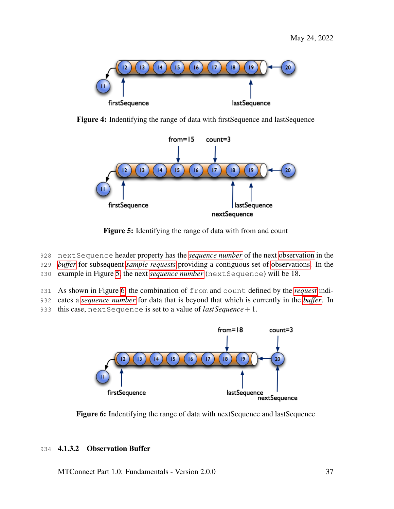<span id="page-41-0"></span>

<span id="page-41-1"></span>Figure 4: Indentifying the range of data with firstSequence and lastSequence



Figure 5: Identifying the range of data with from and count

- 928 nextSequence header property has the *[sequence number](#page-17-0)* of the next [observation](#page-0-0) in the
- 929 *[buffer](#page-12-1)* for subsequent *[sample requests](#page-20-1)* providing a contiguous set of [observations.](#page-0-0) In the
- 930 example in Figure [5,](#page-41-1) the next *[sequence number](#page-17-0)* (nextSequence) will be 18.
- 931 As shown in Figure [6,](#page-41-2) the combination of from and count defined by the *[request](#page-20-2)* indi-
- 932 cates a *[sequence number](#page-17-0)* for data that is beyond that which is currently in the *[buffer](#page-12-1)*. In
- <span id="page-41-2"></span>933 this case, nextSequence is set to a value of *lastSequence*+1.



Figure 6: Indentifying the range of data with nextSequence and lastSequence

## 934 4.1.3.2 Observation Buffer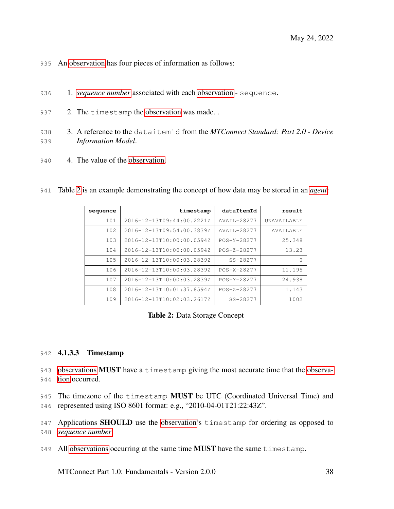- An [observation](#page-0-0) has four pieces of information as follows:
- 1. *[sequence number](#page-17-0)* associated with each [observation](#page-0-0) sequence.
- 937 2. The timestamp the [observation](#page-0-0) was made..
- 3. A reference to the dataitemid from the *MTConnect Standard: Part 2.0 Device Information Model*.
- 4. The value of the [observation.](#page-0-0)

<span id="page-42-0"></span>

| result           | dataItemId   | timestamp                 | sequence |
|------------------|--------------|---------------------------|----------|
| UNAVA TI ABLE    | AVATL-28277  | 2016-12-13T09:44:00.2221Z | 101      |
| <b>AVATLABLE</b> | AVATL-28277  | 2016-12-13T09:54:00.3839Z | 102.     |
| 25.348           | POS-Y-28277  | 2016-12-13T10:00:00.0594Z | 103      |
| 13.23            | POS-Z-28277  | 2016-12-13T10:00:00.0594Z | 104      |
| $\Omega$         | $SS - 28277$ | 2016-12-13T10:00:03.2839Z | 105      |
| 11.195           | POS-X-28277  | 2016-12-13T10:00:03.2839Z | 106      |
| 24.938           | POS-Y-28277  | 2016-12-13T10:00:03.2839Z | 107      |
| 1.143            | POS-Z-28277  | 2016-12-13T10:01:37.8594Z | 108      |
| 1002             | $SS - 28277$ | 2016-12-13T10:02:03.2617Z | 109      |

Table [2](#page-42-0) is an example demonstrating the concept of how data may be stored in an *[agent](#page-12-0)*:

#### Table 2: Data Storage Concept

#### 4.1.3.3 Timestamp

- [observations](#page-0-0) MUST have a timestamp giving the most accurate time that the [observa-](#page-0-0)[tion](#page-0-0) occurred.
- 945 The timezone of the timestamp MUST be UTC (Coordinated Universal Time) and
- represented using ISO 8601 format: e.g., "2010-04-01T21:22:43Z".

947 Applications **SHOULD** use the [observation'](#page-0-0)s timestamp for ordering as opposed to *[sequence number](#page-17-0)*.

949 All [observations](#page-0-0) occurring at the same time **MUST** have the same timestamp.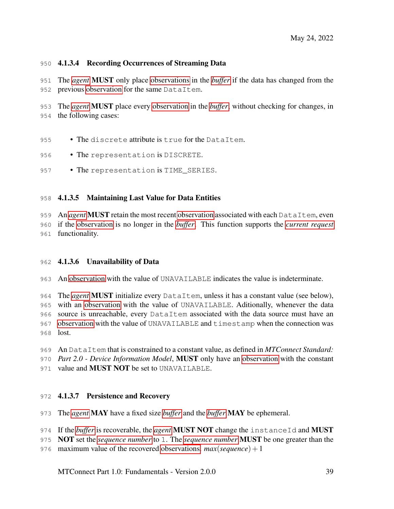### 4.1.3.4 Recording Occurrences of Streaming Data

 The *[agent](#page-12-0)* MUST only place [observations](#page-0-0) in the *[buffer](#page-12-1)* if the data has changed from the 952 previous [observation](#page-0-0) for the same DataItem.

 The *[agent](#page-12-0)* MUST place every [observation](#page-0-0) in the *[buffer](#page-12-1)*, without checking for changes, in the following cases:

- 955 The discrete attribute is true for the DataItem.
- 956 The representation is DISCRETE.
- 957 The representation is TIME SERIES.

### 4.1.3.5 Maintaining Last Value for Data Entities

 An *[agent](#page-12-0)* MUST retain the most recent [observation](#page-0-0) associated with each DataItem, even if the [observation](#page-0-0) is no longer in the *[buffer](#page-12-1)*. This function supports the *[current request](#page-19-0)* functionality.

#### 4.1.3.6 Unavailability of Data

An [observation](#page-0-0) with the value of UNAVAILABLE indicates the value is indeterminate.

 The *[agent](#page-12-0)* MUST initialize every DataItem, unless it has a constant value (see below), with an [observation](#page-0-0) with the value of UNAVAILABLE. Aditionally, whenever the data source is unreachable, every DataItem associated with the data source must have an [observation](#page-0-0) with the value of UNAVAILABLE and timestamp when the connection was lost.

An DataItem that is constrained to a constant value, as defined in *MTConnect Standard:*

*Part 2.0 - Device Information Model*, MUST only have an [observation](#page-0-0) with the constant

<span id="page-43-0"></span>971 value and **MUST NOT** be set to UNAVAILABLE.

#### **4.1.3.7 Persistence and Recovery**

The *[agent](#page-12-0)* MAY have a fixed size *[buffer](#page-12-1)* and the *[buffer](#page-12-1)* MAY be ephemeral.

- If the *[buffer](#page-12-1)* is recoverable, the *[agent](#page-12-0)* MUST NOT change the instanceId and MUST
- NOT set the *[sequence number](#page-17-0)* to 1. The *[sequence number](#page-17-0)* MUST be one greater than the
- 976 maximum value of the recovered [observations.](#page-0-0)  $max(sequence) + 1$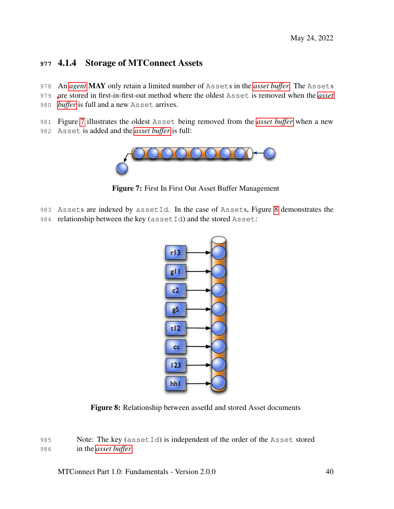## **<sup>977</sup>** 4.1.4 Storage of MTConnect Assets

- 978 An *[agent](#page-12-0)* MAY only retain a limited number of Assets in the *[asset buffer](#page-12-2)*. The Assets
- 979 [a](#page-12-2)re stored in first-in-first-out method where the oldest Asset is removed when the *[asset](#page-12-2)*
- 980 *[buffer](#page-12-2)* is full and a new Asset arrives.
- 981 Figure [7](#page-44-0) illustrates the oldest Asset being removed from the *[asset buffer](#page-12-2)* when a new
- <span id="page-44-0"></span>982 Asset is added and the *[asset buffer](#page-12-2)* is full:



Figure 7: First In First Out Asset Buffer Management

- 983 Assets are indexed by assetId. In the case of Assets, Figure [8](#page-44-1) demonstrates the
- <span id="page-44-1"></span>984 relationship between the key (assetId) and the stored Asset:



Figure 8: Relationship between assetId and stored Asset documents

985 Note: The key (assetId) is independent of the order of the Asset stored 986 in the *[asset buffer](#page-12-2)*.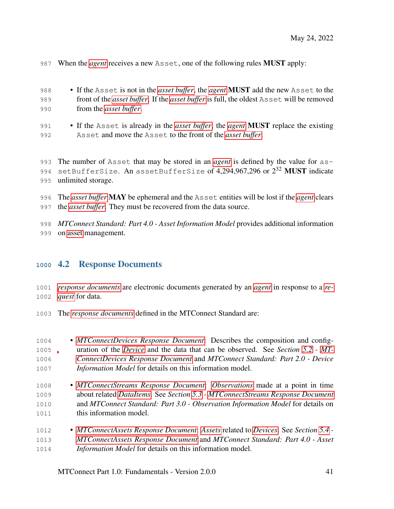When the *[agent](#page-12-0)* receives a new Asset, one of the following rules MUST apply:

| 988 | • If the Asset is not in the <i>asset buffer</i> , the <i>agent</i> <b>MUST</b> add the new Asset to the |
|-----|----------------------------------------------------------------------------------------------------------|
| 989 | front of the <i>asset buffer</i> . If the <i>asset buffer</i> is full, the oldest Asset will be removed  |
| 990 | from the <i>asset buffer</i> .                                                                           |

 • If the Asset is already in the *[asset buffer](#page-12-2)*, the *[agent](#page-12-0)* MUST replace the existing Asset and move the Asset to the front of the *[asset buffer](#page-12-2)*.

 The number of Asset that may be stored in an *[agent](#page-12-0)* is defined by the value for as-994 setBufferSize. An assetBufferSize of 4,294,967,296 or  $2^{32}$  MUST indicate unlimited storage.

- The *[asset buffer](#page-12-2)* MAY be ephemeral and the Asset entities will be lost if the *[agent](#page-12-0)* clears the *[asset buffer](#page-12-2)*. They must be recovered from the data source.
- *MTConnect Standard: Part 4.0 Asset Information Model* provides additional information on [asset](#page-0-0) management.

## 4.2 Response Documents

 *[response documents](#page-16-0)* are electronic documents generated by an *[agent](#page-12-0)* in response to a *[re-](#page-20-2)[quest](#page-20-2)* for data.

- The *[response documents](#page-16-0)* defined in the MTConnect Standard are:
- *[MTConnectDevices Response Document](#page-19-1)*: Describes the composition and config- uration of the *[Device](#page-25-0)* and the data that can be observed. See *Section [5.2](#page-61-0) - [MT-](#page-61-0) [ConnectDevices Response Document](#page-61-0)* and *MTConnect Standard: Part 2.0 - Device Information Model* for details on this information model.
- *[MTConnectStreams Response Document](#page-19-2)*: *[Observations](#page-25-1)* made at a point in time about related *[DataItems](#page-24-1)*. See *Section [5.3](#page-66-0) - [MTConnectStreams Response Document](#page-66-0)* and *MTConnect Standard: Part 3.0 - Observation Information Model* for details on this information model.
- *[MTConnectAssets Response Document](#page-19-3)*: *[Assets](#page-24-0)* related to *[Devices](#page-25-0)*. See *Section [5.4](#page-70-0) - [MTConnectAssets Response Document](#page-70-0)* and *MTConnect Standard: Part 4.0 - Asset Information Model* for details on this information model.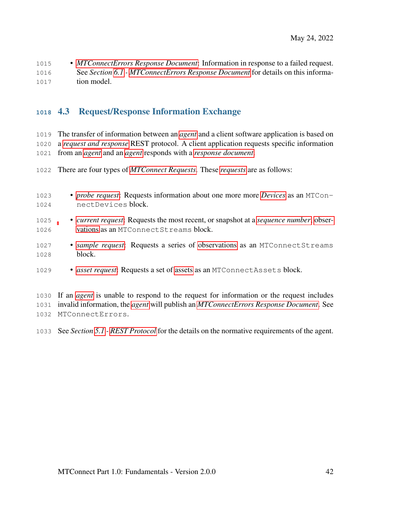• *[MTConnectErrors Response Document](#page-19-4)*: Information in response to a failed request. See *Section [6.1](#page-74-0) - [MTConnectErrors Response Document](#page-74-0)* for details on this informa-tion model.

## 4.3 Request/Response Information Exchange

 The transfer of information between an *[agent](#page-12-0)* and a client software application is based on a *[request and response](#page-20-3)* REST protocol. A client application requests specific information from an *[agent](#page-12-0)* and an *[agent](#page-12-0)* responds with a *[response document](#page-16-0)*.

There are four types of *[MTConnect Requests](#page-19-5)*. These *[requests](#page-20-2)* are as follows:

| 1023 | • <i>probe request</i> : Requests information about one more more <i>Devices</i> as an MTCon-                                                                                             |
|------|-------------------------------------------------------------------------------------------------------------------------------------------------------------------------------------------|
| 1024 | nectDevices block.                                                                                                                                                                        |
| 1025 | • <i>current request:</i> Requests the most recent, or snapshot at a <i>sequence number</i> , obser-                                                                                      |
| 1026 | vations as an MTConnect Streams block.                                                                                                                                                    |
| 1027 | • sample request: Requests a series of observations as an MTConnectStreams                                                                                                                |
| 1028 | block.                                                                                                                                                                                    |
| 1029 | • asset request: Requests a set of assets as an MTConnect Assets block.                                                                                                                   |
|      | $\mathcal{A} \wedge \mathcal{A} \wedge \mathcal{A}$ . The contraction of the second $\mathcal{A}$ is the contraction of $\mathcal{A}$ in the contract of $\mathcal{A}$ . In the finite of |

 If an *[agent](#page-12-0)* is unable to respond to the request for information or the request includes invalid information, the *[agent](#page-12-0)* will publish an *[MTConnectErrors Response Document](#page-19-4)*. See MTConnectErrors.

See *Section [5.1](#page-47-0) - [REST Protocol](#page-47-0)* for the details on the normative requirements of the agent.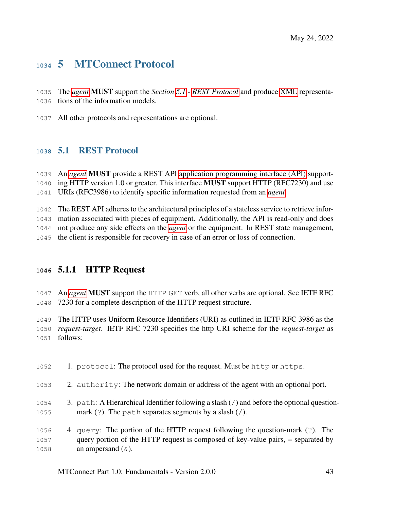# 5 MTConnect Protocol

- The *[agent](#page-12-0)* MUST support the *Section [5.1](#page-47-0) - [REST Protocol](#page-47-0)* and produce [XML](#page-36-0) representa-tions of the information models.
- <span id="page-47-0"></span>All other protocols and representations are optional.

## 5.1 REST Protocol

 An *[agent](#page-12-0)* MUST provide a REST API [application programming interface \(API\)](#page-26-0) support-1040 ing HTTP version 1.0 or greater. This interface **MUST** support HTTP (RFC7230) and use URIs (RFC3986) to identify specific information requested from an *[agent](#page-12-0)*.

The REST API adheres to the architectural principles of a stateless service to retrieve infor-

mation associated with pieces of equipment. Additionally, the API is read-only and does

not produce any side effects on the *[agent](#page-12-0)* or the equipment. In REST state management,

the client is responsible for recovery in case of an error or loss of connection.

## 5.1.1 HTTP Request

 An *[agent](#page-12-0)* MUST support the HTTP GET verb, all other verbs are optional. See IETF RFC 7230 for a complete description of the HTTP request structure.

 The HTTP uses Uniform Resource Identifiers (URI) as outlined in IETF RFC 3986 as the *request-target*. IETF RFC 7230 specifies the http URI scheme for the *request-target* as follows:

1. protocol: The protocol used for the request. Must be http or https.

- 2. authority: The network domain or address of the agent with an optional port.
- 3. path: A Hierarchical Identifier following a slash (/) and before the optional question-mark (?). The path separates segments by a slash (/).
- 4. query: The portion of the HTTP request following the question-mark (?). The query portion of the HTTP request is composed of key-value pairs, = separated by 1058 an ampersand  $(\&)$ .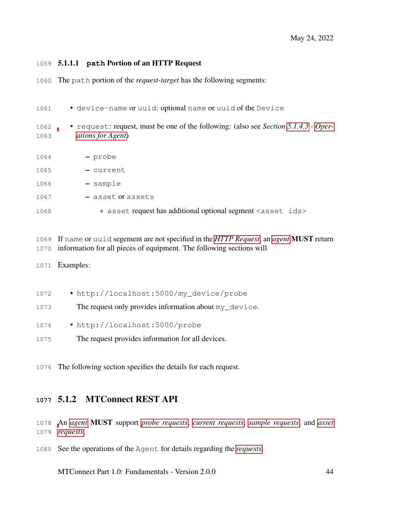#### 5.1.1.1 **path** Portion of an HTTP Request

The path portion of the *request-target* has the following segments:

| 1061         | · device-name or uuid: optional name or uuid of the Device                                                       |
|--------------|------------------------------------------------------------------------------------------------------------------|
| 1062<br>1063 | • request: request, must be one of the following: (also see Section 5.1.4.3 - Oper-<br><i>ations for Agent</i> ) |
| 1064         | - probe                                                                                                          |
| 1065         | - current                                                                                                        |
| 1066         | - sample                                                                                                         |
| 1067         | - asset or assets                                                                                                |
| 1068         | * asset request has additional optional segment <asset ids=""></asset>                                           |

 If name or uuid segement are not specified in the *[HTTP Request](#page-21-0)*, an *[agent](#page-12-0)* MUST return information for all pieces of equipment. The following sections will

- Examples:
- http://localhost:5000/my\_device/probe
- 1073 The request only provides information about my\_device.
- http://localhost:5000/probe
- The request provides information for all devices.

The following section specifies the details for each request.

## 5.1.2 MTConnect REST API

 [A](#page-19-6)n *[agent](#page-12-0)* MUST support *[probe requests](#page-20-4)*, *[current requests](#page-19-0)*, *[sample requests](#page-20-1)*, and *[asset](#page-19-6) [requests](#page-19-6)*.

See the operations of the Agent for details regarding the *[requests](#page-20-2)*.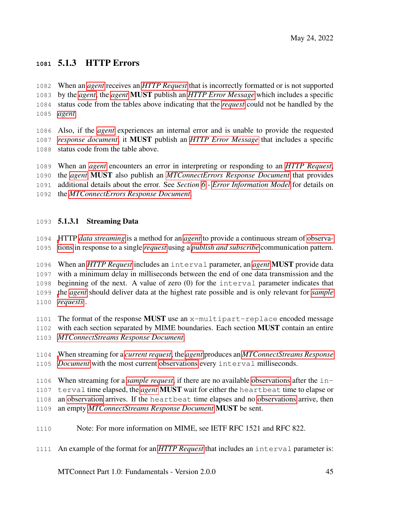## 5.1.3 HTTP Errors

 When an *[agent](#page-12-0)* receives an *[HTTP Request](#page-21-0)* that is incorrectly formatted or is not supported by the *[agent](#page-12-0)*, the *[agent](#page-12-0)* MUST publish an *[HTTP Error Message](#page-21-1)* which includes a specific status code from the tables above indicating that the *[request](#page-20-2)* could not be handled by the *[agent](#page-12-0)*.

 Also, if the *[agent](#page-12-0)* experiences an internal error and is unable to provide the requested *[response document](#page-16-0)*, it MUST publish an *[HTTP Error Message](#page-21-1)* that includes a specific status code from the table above.

 When an *[agent](#page-12-0)* encounters an error in interpreting or responding to an *[HTTP Request](#page-21-0)*, the *[agent](#page-12-0)* MUST also publish an *[MTConnectErrors Response Document](#page-19-4)* that provides additional details about the error. See *Section [6](#page-73-0) - [Error Information Model](#page-73-0)* for details on the *[MTConnectErrors Response Document](#page-19-4)*.

### 5.1.3.1 Streaming Data

 [H](#page-0-0)TTP *[data streaming](#page-19-7)* is a method for an *[agent](#page-12-0)* to provide a continuous stream of [observa-](#page-0-0)[tions](#page-0-0) in response to a single *[request](#page-20-2)* using a *[publish and subscribe](#page-20-5)* communication pattern.

 When an *[HTTP Request](#page-21-0)* includes an interval parameter, an *[agent](#page-12-0)* MUST provide data with a minimum delay in milliseconds between the end of one data transmission and the beginning of the next. A value of zero (0) for the interval parameter indicates that [t](#page-20-1)he *[agent](#page-12-0)* should deliver data at the highest rate possible and is only relevant for *[sample](#page-20-1) [requests](#page-20-1)* .

1101 The format of the response **MUST** use an  $x$ -multipart-replace encoded message with each section separated by MIME boundaries. Each section MUST contain an entire

*[MTConnectStreams Response Document](#page-19-2)*.

 [W](#page-19-2)hen streaming for a *[current request](#page-19-0)*, the *[agent](#page-12-0)* produces an *[MTConnectStreams Response](#page-19-2) [Document](#page-19-2)* with the most current [observations](#page-0-0) every interval milliseconds.

When streaming for a *[sample request](#page-20-1)*, if there are no available [observations](#page-0-0) after the in-

terval time elapsed, the *[agent](#page-12-0)* MUST wait for either the heartbeat time to elapse or

an [observation](#page-0-0) arrives. If the heartbeat time elapses and no [observations](#page-0-0) arrive, then

an empty *[MTConnectStreams Response Document](#page-19-2)* MUST be sent.

Note: For more information on MIME, see IETF RFC 1521 and RFC 822.

An example of the format for an *[HTTP Request](#page-21-0)* that includes an interval parameter is: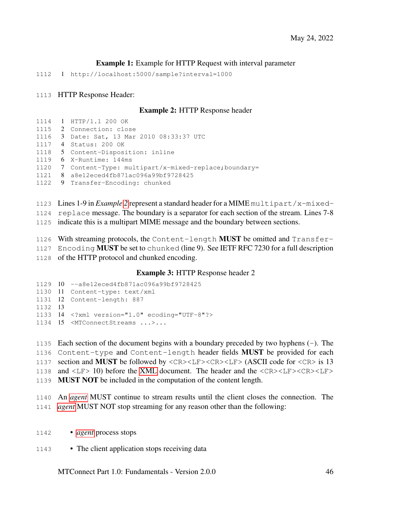#### Example 1: Example for HTTP Request with interval parameter

1 http://localhost:5000/sample?interval=1000

#### <span id="page-50-0"></span>HTTP Response Header:

1114 1 HTTP/1.1 200 OK

#### Example 2: HTTP Response header

|      | 1114 1 HTTP/1.1 200 OK                                    |
|------|-----------------------------------------------------------|
|      | 1115 2 Connection: close                                  |
|      | 1116 3 Date: Sat, 13 Mar 2010 08:33:37 UTC                |
|      | 1117 4 Status: 200 OK                                     |
| 1118 | 5 Content-Disposition: inline                             |
|      | $1119$ 6 X-Runtime: 144ms                                 |
|      | 1120 7 Content-Type: multipart/x-mixed-replace; boundary= |
|      | 1121 8 a8e12eced4fb871ac096a99bf9728425                   |
|      | 1122 9 Transfer-Encoding: chunked                         |
|      |                                                           |

Lines 1-9 in *Example [2](#page-50-0)* represent a standard header for a MIME multipart/x-mixed-

replace message. The boundary is a separator for each section of the stream. Lines 7-8

indicate this is a multipart MIME message and the boundary between sections.

1126 With streaming protocols, the Content-length **MUST** be omitted and  $\text{Transformer}$ 

1127 Encoding **MUST** be set to chunked (line 9). See IETF RFC 7230 for a full description

of the HTTP protocol and chunked encoding.

#### Example 3: HTTP Response header 2

```
1129 10 --a8e12eced4fb871ac096a99bf9728425
1130 11 Content-type: text/xml
1131 12 Content-length: 887
1132 13
1133 14 <?xml version="1.0" ecoding="UTF-8"?>
1134 15 <MTConnectStreams ...>...
```
 Each section of the document begins with a boundary preceded by two hyphens (-). The Content-type and Content-length header fields MUST be provided for each section and MUST be followed by <CR><LF><CR><LF> (ASCII code for <CR> is 13 and <LF> 10) before the [XML](#page-36-0) document. The header and the <CR><LF><CR><LF> MUST NOT be included in the computation of the content length.

 An *[agent](#page-12-0)* MUST continue to stream results until the client closes the connection. The *[agent](#page-12-0)* MUST NOT stop streaming for any reason other than the following:

• *[agent](#page-12-0)* process stops

1143 • The client application stops receiving data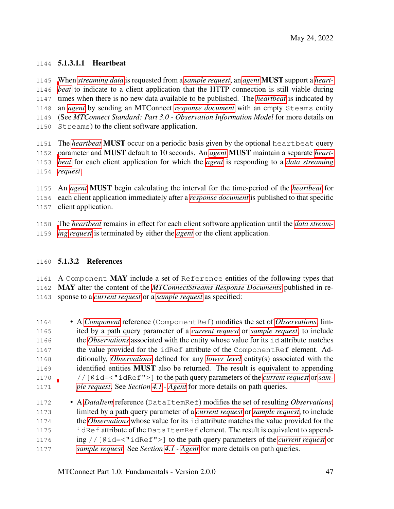### 5.1.3.1.1 Heartbeat

 [W](#page-14-0)hen *[streaming data](#page-20-0)* is requested from a *[sample request](#page-20-1)*, an *[agent](#page-12-0)* MUST support a *[heart-](#page-14-0) [beat](#page-14-0)* to indicate to a client application that the HTTP connection is still viable during times when there is no new data available to be published. The *[heartbeat](#page-14-0)* is indicated by an *[agent](#page-12-0)* by sending an MTConnect *[response document](#page-16-0)* with an empty Steams entity (See *MTConnect Standard: Part 3.0 - Observation Information Model* for more details on Streams) to the client software application.

 The *[heartbeat](#page-14-0)* MUST occur on a periodic basis given by the optional heartbeat query [p](#page-14-0)arameter and MUST default to 10 seconds. An *[agent](#page-12-0)* MUST maintain a separate *[heart-](#page-14-0) [beat](#page-14-0)* for each client application for which the *[agent](#page-12-0)* is responding to a *[data streaming](#page-19-7) [request](#page-20-2)*.

 An *[agent](#page-12-0)* MUST begin calculating the interval for the time-period of the *[heartbeat](#page-14-0)* for each client application immediately after a *[response document](#page-16-0)* is published to that specific client application.

 [T](#page-19-7)he *[heartbeat](#page-14-0)* remains in effect for each client software application until the *[data stream-](#page-19-7)[ing](#page-19-7) [request](#page-20-2)* is terminated by either the *[agent](#page-12-0)* or the client application.

#### 5.1.3.2 References

1161 A Component MAY include a set of Reference entities of the following types that MAY alter the content of the *[MTConnectStreams Response Documents](#page-19-2)* published in re-sponse to a *[current request](#page-19-0)* or a *[sample request](#page-20-1)* as specified:

- A *[Component](#page-24-2)* reference (ComponentRef) modifies the set of *[Observations](#page-25-1)*, lim- ited by a path query parameter of a *[current request](#page-19-0)* or *[sample request](#page-20-1)*, to include the *[Observations](#page-25-1)* associated with the entity whose value for its id attribute matches 1167 the value provided for the idRef attribute of the ComponentRef element. Ad- ditionally, *[Observations](#page-25-1)* defined for any *[lower level](#page-15-0)* entity(s) associated with the identified entities MUST also be returned. The result is equivalent to appending //[@id=<"idRef">] to the path query parameters of the *[current request](#page-19-0)* or*[sam-](#page-20-1)[ple request](#page-20-1)*. See *Section [4.1](#page-38-0) - [Agent](#page-38-0)* for more details on path queries.
- A *[DataItem](#page-24-1)* reference (DataItemRef) modifies the set of resulting *[Observations](#page-25-1)*, limited by a path query parameter of a *[current request](#page-19-0)* or *[sample request](#page-20-1)*, to include the *[Observations](#page-25-1)* whose value for its id attribute matches the value provided for the idRef attribute of the DataItemRef element. The result is equivalent to append- ing //[@id=<"idRef">] to the path query parameters of the *[current request](#page-19-0)* or *[sample request](#page-20-1)*. See *Section [4.1](#page-38-0) - [Agent](#page-38-0)* for more details on path queries.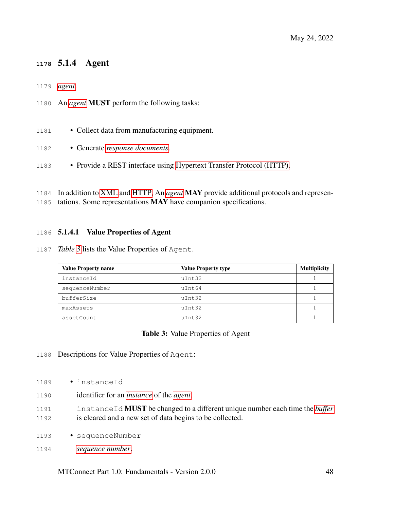## 5.1.4 Agent

- *[agent](#page-12-0)*.
- An *[agent](#page-12-0)* MUST perform the following tasks:
- 1181 Collect data from manufacturing equipment.
- Generate *[response documents](#page-16-0)*.
- Provide a REST interface using [Hypertext Transfer Protocol \(HTTP\).](#page-29-0)
- In addition to [XML](#page-36-0) and [HTTP,](#page-29-0) An *[agent](#page-12-0)* MAY provide additional protocols and represen-
- tations. Some representations MAY have companion specifications.

#### 5.1.4.1 Value Properties of Agent

*Table [3](#page-52-0)* lists the Value Properties of Agent.

<span id="page-52-0"></span>

| <b>Value Property name</b> | <b>Value Property type</b> | <b>Multiplicity</b> |
|----------------------------|----------------------------|---------------------|
| instanceId                 | uInt32                     |                     |
| sequenceNumber             | uInt64                     |                     |
| bufferSize                 | uInt32                     |                     |
| maxAssets                  | uInt32                     |                     |
| assetCount                 | uInt32                     |                     |

#### Table 3: Value Properties of Agent

- Descriptions for Value Properties of Agent:
- instanceId
- identifier for an *[instance](#page-14-1)* of the *[agent](#page-12-0)*.
- instanceId MUST be changed to a different unique number each time the *[buffer](#page-12-1)* is cleared and a new set of data begins to be collected.
- sequenceNumber
- *[sequence number](#page-17-0)*.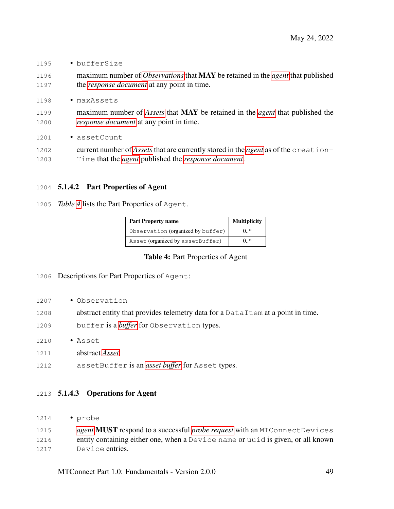- bufferSize
- maximum number of *[Observations](#page-25-1)* that MAY be retained in the *[agent](#page-12-0)* that published the *[response document](#page-16-0)* at any point in time.
- maxAssets
- maximum number of *[Assets](#page-24-0)* that MAY be retained in the *[agent](#page-12-0)* that published the *[response document](#page-16-0)* at any point in time.
- 1201 · assetCount
- current number of *[Assets](#page-24-0)* that are currently stored in the *[agent](#page-12-0)* as of the creation-Time that the *[agent](#page-12-0)* published the *[response document](#page-16-0)*.

### 5.1.4.2 Part Properties of Agent

<span id="page-53-1"></span>*Table [4](#page-53-1)* lists the Part Properties of Agent.

| <b>Part Property name</b>         | <b>Multiplicity</b> |
|-----------------------------------|---------------------|
| Observation (organized by buffer) | 0.*                 |
| Asset (organized by assetBuffer)  | $0.$ *              |

#### Table 4: Part Properties of Agent

#### Descriptions for Part Properties of Agent:

- 1207 Observation
- 1208 abstract entity that provides telemetry data for a DataItem at a point in time.
- buffer is a *[buffer](#page-12-1)* for Observation types.
- Asset
- abstract *[Asset](#page-24-0)*.
- assetBuffer is an *[asset buffer](#page-12-2)* for Asset types.

#### <span id="page-53-0"></span>5.1.4.3 Operations for Agent

• probe

| 1215 | <i>agent</i> <b>MUST</b> respond to a successful <i>probe request</i> with an MTConnect Devices |
|------|-------------------------------------------------------------------------------------------------|
| 1216 | entity containing either one, when a Device name or unid is given, or all known                 |
| 1217 | Device entries.                                                                                 |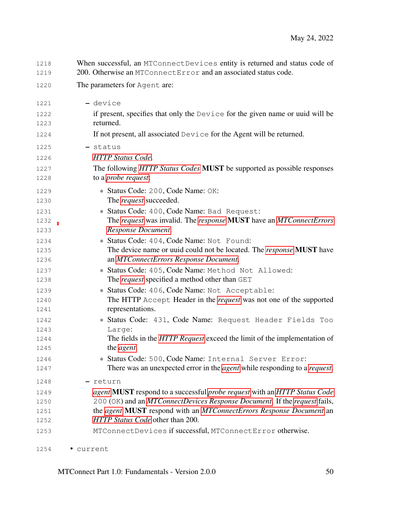| 1218<br>1219 | When successful, an MTConnectDevices entity is returned and status code of<br>200. Otherwise an MTConnectError and an associated status code. |
|--------------|-----------------------------------------------------------------------------------------------------------------------------------------------|
| 1220         | The parameters for Agent are:                                                                                                                 |
| 1221         | - device                                                                                                                                      |
| 1222         | if present, specifies that only the Device for the given name or uuid will be                                                                 |
| 1223         | returned.                                                                                                                                     |
| 1224         | If not present, all associated Device for the Agent will be returned.                                                                         |
| 1225         | - status                                                                                                                                      |
| 1226         | <b>HTTP</b> Status Code.                                                                                                                      |
| 1227         | The following HTTP Status Codes MUST be supported as possible responses                                                                       |
| 1228         | to a <i>probe request</i> :                                                                                                                   |
| 1229         | * Status Code: 200, Code Name: OK:                                                                                                            |
| 1230         | The <i>request</i> succeeded.                                                                                                                 |
| 1231         | * Status Code: 400, Code Name: Bad Request:                                                                                                   |
| 1232         | The request was invalid. The response MUST have an MTConnectErrors                                                                            |
| 1233         | Response Document.                                                                                                                            |
| 1234         | * Status Code: 404, Code Name: Not Found:                                                                                                     |
| 1235         | The device name or uuid could not be located. The <i>response</i> <b>MUST</b> have                                                            |
| 1236         | an MTConnectErrors Response Document.                                                                                                         |
| 1237         | * Status Code: 405, Code Name: Method Not Allowed:                                                                                            |
| 1238         | The <i>request</i> specified a method other than GET                                                                                          |
| 1239         | * Status Code: 406, Code Name: Not Acceptable:                                                                                                |
| 1240         | The HTTP Accept Header in the <i>request</i> was not one of the supported                                                                     |
| 1241         | representations.                                                                                                                              |
| 1242         | * Status Code: 431, Code Name: Request Header Fields Too                                                                                      |
| 1243         | Large:                                                                                                                                        |
| 1244         | The fields in the HTTP Request exceed the limit of the implementation of                                                                      |
| 1245         | the agent.                                                                                                                                    |
| 1246         | * Status Code: 500, Code Name: Internal Server Error:                                                                                         |
| 1247         | There was an unexpected error in the <i>agent</i> while responding to a <i>request</i> .                                                      |
| 1248         | - return                                                                                                                                      |
| 1249         | agent MUST respond to a successful probe request with an HTTP Status Code                                                                     |
| 1250         | 200 (OK) and an MTConnectDevices Response Document. If the request fails,                                                                     |
| 1251         | the agent MUST respond with an MTConnectErrors Response Document an                                                                           |
| 1252         | HTTP Status Code other than 200.                                                                                                              |
| 1253         | MTConnectDevices if successful, MTConnectError otherwise.                                                                                     |
| 1254         | current                                                                                                                                       |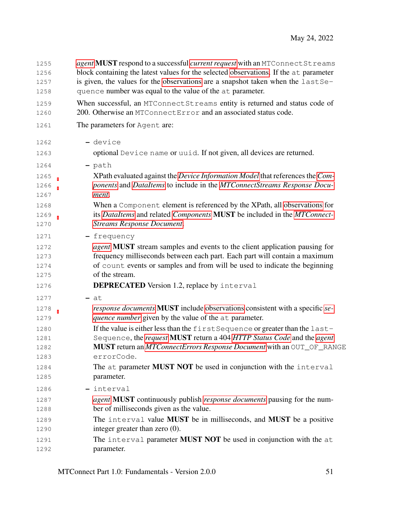| 1255 | agent MUST respond to a successful current request with an MTConnect Streams                 |
|------|----------------------------------------------------------------------------------------------|
| 1256 | block containing the latest values for the selected observations. If the at parameter        |
| 1257 | is given, the values for the observations are a snapshot taken when the last Se-             |
| 1258 | quence number was equal to the value of the at parameter.                                    |
| 1259 | When successful, an MTConnectStreams entity is returned and status code of                   |
| 1260 | 200. Otherwise an MTConnectError and an associated status code.                              |
| 1261 | The parameters for Agent are:                                                                |
| 1262 | - device                                                                                     |
| 1263 | optional Device name or uuid. If not given, all devices are returned.                        |
| 1264 | - path                                                                                       |
| 1265 | XPath evaluated against the Device Information Model that references the Com-                |
| 1266 | ponents and DataItems to include in the MTConnectStreams Response Docu-                      |
| 1267 | ment.                                                                                        |
| 1268 | When a Component element is referenced by the XPath, all observations for                    |
| 1269 | its DataItems and related Components MUST be included in the MTConnect-                      |
| 1270 | <b>Streams Response Document.</b>                                                            |
| 1271 | - frequency                                                                                  |
| 1272 | <i>agent</i> <b>MUST</b> stream samples and events to the client application pausing for     |
| 1273 | frequency milliseconds between each part. Each part will contain a maximum                   |
| 1274 | of count events or samples and from will be used to indicate the beginning                   |
| 1275 | of the stream.                                                                               |
| 1276 | <b>DEPRECATED</b> Version 1.2, replace by interval                                           |
| 1277 | $-$ at                                                                                       |
| 1278 | <i>response documents</i> <b>MUST</b> include observations consistent with a specific se-    |
| 1279 | quence number given by the value of the at parameter.                                        |
| 1280 | If the value is either less than the first Sequence or greater than the last-                |
| 1281 | Sequence, the request MUST return a 404 HTTP Status Code and the agent                       |
| 1282 | <b>MUST</b> return an <i>MTConnectErrors Response Document</i> with an OUT_OF_RANGE          |
| 1283 | errorCode.                                                                                   |
| 1284 | The at parameter MUST NOT be used in conjunction with the interval                           |
| 1285 | parameter.                                                                                   |
| 1286 | - interval                                                                                   |
| 1287 | <i>agent</i> <b>MUST</b> continuously publish <i>response documents</i> pausing for the num- |
| 1288 | ber of milliseconds given as the value.                                                      |
| 1289 | The interval value MUST be in milliseconds, and MUST be a positive                           |
| 1290 | integer greater than zero $(0)$ .                                                            |
| 1291 | The interval parameter MUST NOT be used in conjunction with the at                           |
| 1292 | parameter.                                                                                   |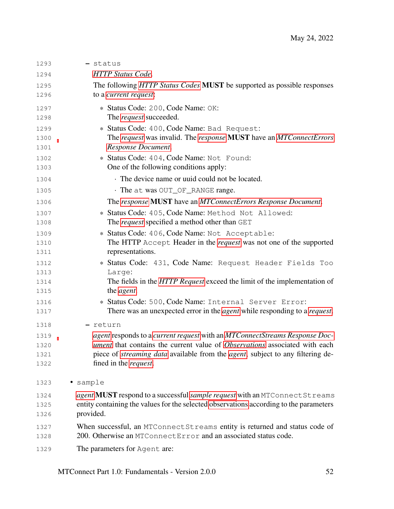| 1293         | - status                                                                                            |
|--------------|-----------------------------------------------------------------------------------------------------|
| 1294         | <b>HTTP</b> Status Code.                                                                            |
| 1295         | The following HTTP Status Codes MUST be supported as possible responses                             |
| 1296         | to a current request:                                                                               |
| 1297         | * Status Code: 200, Code Name: OK:                                                                  |
| 1298         | The <i>request</i> succeeded.                                                                       |
| 1299         | * Status Code: 400, Code Name: Bad Request:                                                         |
| 1300         | The request was invalid. The response MUST have an MTConnectErrors                                  |
| 1301         | Response Document.                                                                                  |
| 1302         | * Status Code: 404, Code Name: Not Found:                                                           |
| 1303         | One of the following conditions apply:                                                              |
| 1304         | The device name or uuid could not be located.                                                       |
| 1305         | · The at was OUT_OF_RANGE range.                                                                    |
| 1306         | The response MUST have an MTConnectErrors Response Document.                                        |
| 1307         | * Status Code: 405, Code Name: Method Not Allowed:                                                  |
| 1308         | The <i>request</i> specified a method other than GET                                                |
| 1309         | * Status Code: 406, Code Name: Not Acceptable:                                                      |
| 1310         | The HTTP Accept Header in the <i>request</i> was not one of the supported                           |
| 1311         | representations.                                                                                    |
| 1312         | * Status Code: 431, Code Name: Request Header Fields Too                                            |
| 1313         | Large:                                                                                              |
| 1314         | The fields in the <i>HTTP Request</i> exceed the limit of the implementation of                     |
| 1315         | the <i>agent</i> .                                                                                  |
| 1316         | * Status Code: 500, Code Name: Internal Server Error:                                               |
| 1317         | There was an unexpected error in the <i>agent</i> while responding to a <i>request</i> .            |
| 1318         | - return                                                                                            |
| 1319         | agent responds to a current request with an MTConnectStreams Response Doc-                          |
| 1320         | ument that contains the current value of Observations associated with each                          |
| 1321         | piece of <i>streaming data</i> available from the <i>agent</i> , subject to any filtering de-       |
| 1322         | fined in the <i>request</i> .                                                                       |
| 1323         | • sample                                                                                            |
|              |                                                                                                     |
| 1324         | agent MUST respond to a successful <i>sample request</i> with an MTConnect Streams                  |
| 1325<br>1326 | entity containing the values for the selected observations according to the parameters<br>provided. |
|              |                                                                                                     |
| 1327         | When successful, an MTConnect Streams entity is returned and status code of                         |
| 1328         | 200. Otherwise an MTConnectError and an associated status code.                                     |
| 1329         | The parameters for Agent are:                                                                       |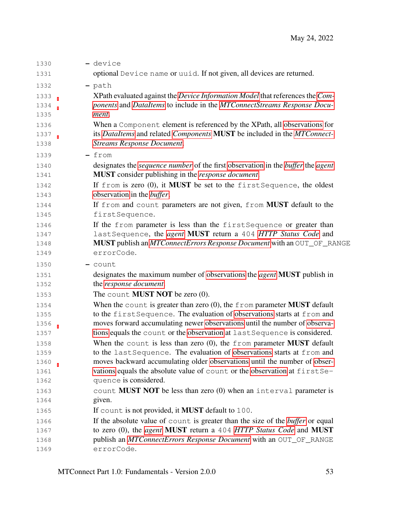| 1330 | - device                                                                                             |
|------|------------------------------------------------------------------------------------------------------|
| 1331 | optional Device name or uuid. If not given, all devices are returned.                                |
| 1332 | $-$ path                                                                                             |
| 1333 | XPath evaluated against the Device Information Model that references the Com-                        |
| 1334 | ponents and DataItems to include in the MTConnectStreams Response Docu-                              |
| 1335 | ment.                                                                                                |
| 1336 | When a Component element is referenced by the XPath, all observations for                            |
| 1337 | its DataItems and related Components MUST be included in the MTConnect-                              |
| 1338 | <b>Streams Response Document.</b>                                                                    |
| 1339 | - from                                                                                               |
| 1340 | designates the <i>sequence number</i> of the first observation in the <i>buffer</i> the <i>agent</i> |
| 1341 | <b>MUST</b> consider publishing in the <i>response document</i> .                                    |
| 1342 | If from is zero (0), it MUST be set to the first Sequence, the oldest                                |
| 1343 | observation in the <i>buffer</i> .                                                                   |
| 1344 | If from and count parameters are not given, from <b>MUST</b> default to the                          |
| 1345 | firstSequence.                                                                                       |
| 1346 | If the from parameter is less than the first Sequence or greater than                                |
| 1347 | last Sequence, the agent MUST return a 404 HTTP Status Code and                                      |
| 1348 | <b>MUST</b> publish an <i>MTConnectErrors Response Document</i> with an OUT_OF_RANGE                 |
| 1349 | errorCode.                                                                                           |
| 1350 | $-$ count                                                                                            |
| 1351 | designates the maximum number of observations the <i>agent</i> MUST publish in                       |
| 1352 | the response document.                                                                               |
| 1353 | The count <b>MUST NOT</b> be zero $(0)$ .                                                            |
| 1354 | When the count is greater than zero $(0)$ , the from parameter <b>MUST</b> default                   |
| 1355 | to the first Sequence. The evaluation of observations starts at from and                             |
| 1356 | moves forward accumulating newer observations until the number of observa-                           |
| 1357 | tions equals the count or the observation at last Sequence is considered.                            |
| 1358 | When the count is less than zero $(0)$ , the from parameter <b>MUST</b> default                      |
| 1359 | to the last Sequence. The evaluation of observations starts at from and                              |
| 1360 | moves backward accumulating older observations until the number of obser-                            |
| 1361 | vations equals the absolute value of count or the observation at firstSe-                            |
| 1362 | quence is considered.                                                                                |
| 1363 | count <b>MUST NOT</b> be less than zero $(0)$ when an interval parameter is                          |
| 1364 | given.                                                                                               |
| 1365 | If count is not provided, it MUST default to 100.                                                    |
| 1366 | If the absolute value of count is greater than the size of the <i>buffer</i> or equal                |
| 1367 | to zero (0), the <i>agent</i> MUST return a 404 HTTP Status Code and MUST                            |
| 1368 | publish an MTConnectErrors Response Document with an OUT_OF_RANGE                                    |
| 1369 | errorCode.                                                                                           |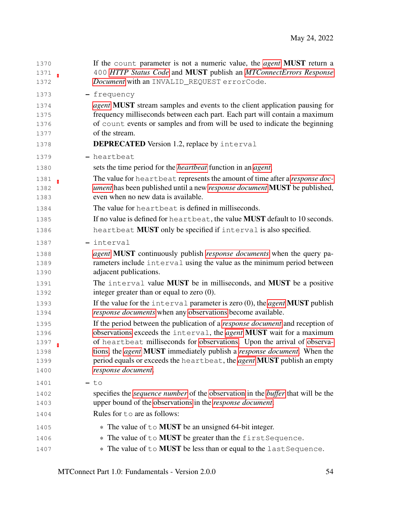| 1370<br>1371<br>1372 | If the count parameter is not a numeric value, the <i>agent</i> <b>MUST</b> return a<br>400 HTTP Status Code and MUST publish an MTConnectErrors Response<br>Document with an INVALID_REQUEST errorCode. |
|----------------------|----------------------------------------------------------------------------------------------------------------------------------------------------------------------------------------------------------|
|                      |                                                                                                                                                                                                          |
| 1373                 | - frequency                                                                                                                                                                                              |
| 1374<br>1375         | <i>agent</i> <b>MUST</b> stream samples and events to the client application pausing for<br>frequency milliseconds between each part. Each part will contain a maximum                                   |
| 1376                 | of count events or samples and from will be used to indicate the beginning                                                                                                                               |
| 1377                 | of the stream.                                                                                                                                                                                           |
| 1378                 | <b>DEPRECATED</b> Version 1.2, replace by interval                                                                                                                                                       |
| 1379                 | - heartbeat                                                                                                                                                                                              |
| 1380                 | sets the time period for the <i>heartbeat</i> function in an <i>agent</i> .                                                                                                                              |
| 1381                 | The value for heartbeat represents the amount of time after a response doc-                                                                                                                              |
| 1382                 | <i>ument</i> has been published until a new <i>response document</i> <b>MUST</b> be published,                                                                                                           |
| 1383                 | even when no new data is available.                                                                                                                                                                      |
| 1384                 | The value for heartbeat is defined in milliseconds.                                                                                                                                                      |
| 1385                 | If no value is defined for heartbeat, the value <b>MUST</b> default to 10 seconds.                                                                                                                       |
| 1386                 | heartbeat MUST only be specified if interval is also specified.                                                                                                                                          |
| 1387                 | - interval                                                                                                                                                                                               |
| 1388                 | agent MUST continuously publish response documents when the query pa-                                                                                                                                    |
| 1389                 | rameters include interval using the value as the minimum period between                                                                                                                                  |
| 1390                 | adjacent publications.                                                                                                                                                                                   |
| 1391                 | The interval value MUST be in milliseconds, and MUST be a positive                                                                                                                                       |
| 1392                 | integer greater than or equal to zero $(0)$ .                                                                                                                                                            |
| 1393<br>1394         | If the value for the interval parameter is zero $(0)$ , the <i>agent</i> <b>MUST</b> publish<br>response documents when any observations become available.                                               |
| 1395                 | If the period between the publication of a <i>response document</i> and reception of                                                                                                                     |
| 1396                 | observations exceeds the interval, the <i>agent</i> MUST wait for a maximum                                                                                                                              |
| 1397                 | of heartbeat milliseconds for observations. Upon the arrival of observa-                                                                                                                                 |
| 1398                 | tions, the <i>agent</i> <b>MUST</b> immediately publish a <i>response document</i> . When the                                                                                                            |
| 1399                 | period equals or exceeds the heartbeat, the agent MUST publish an empty                                                                                                                                  |
| 1400                 | response document.                                                                                                                                                                                       |
| 1401                 | $-$ to                                                                                                                                                                                                   |
| 1402                 | specifies the <i>sequence number</i> of the observation in the <i>buffer</i> that will be the                                                                                                            |
| 1403                 | upper bound of the observations in the response document.                                                                                                                                                |
| 1404                 | Rules for to are as follows:                                                                                                                                                                             |
| 1405                 | * The value of to <b>MUST</b> be an unsigned 64-bit integer.                                                                                                                                             |
| 1406                 | * The value of to <b>MUST</b> be greater than the first Sequence.                                                                                                                                        |
| 1407                 | * The value of to <b>MUST</b> be less than or equal to the last Sequence.                                                                                                                                |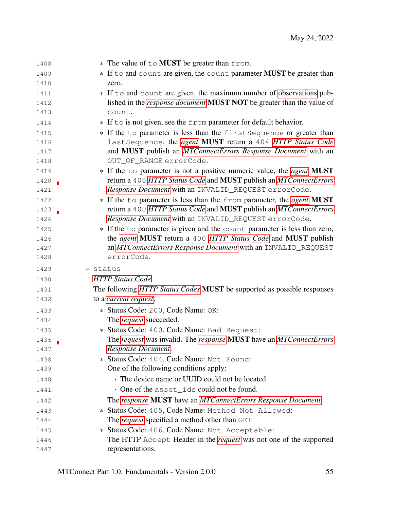| 1408 | * The value of to <b>MUST</b> be greater than from.                                 |
|------|-------------------------------------------------------------------------------------|
| 1409 | * If to and count are given, the count parameter <b>MUST</b> be greater than        |
| 1410 | zero.                                                                               |
| 1411 | * If to and count are given, the maximum number of observations pub-                |
| 1412 | lished in the response document MUST NOT be greater than the value of               |
| 1413 | count.                                                                              |
| 1414 | * If to is not given, see the from parameter for default behavior.                  |
| 1415 | * If the to parameter is less than the first Sequence or greater than               |
| 1416 | lastSequence, the agent MUST return a 404 HTTP Status Code                          |
| 1417 | and MUST publish an MTConnectErrors Response Document with an                       |
| 1418 | OUT_OF_RANGE errorCode.                                                             |
| 1419 | * If the to parameter is not a positive numeric value, the <i>agent</i> <b>MUST</b> |
| 1420 | return a 400 HTTP Status Code and MUST publish an MTConnectErrors                   |
| 1421 | Response Document with an INVALID_REQUEST errorCode.                                |
| 1422 | * If the to parameter is less than the from parameter, the agent MUST               |
| 1423 | return a 400 HTTP Status Code and MUST publish an MTConnectErrors                   |
| 1424 | Response Document with an INVALID_REQUEST errorCode.                                |
| 1425 | * If the to parameter is given and the count parameter is less than zero,           |
| 1426 | the agent MUST return a 400 HTTP Status Code and MUST publish                       |
| 1427 | an MTConnectErrors Response Document with an INVALID_REQUEST                        |
| 1428 | errorCode.                                                                          |
| 1429 | - status                                                                            |
| 1430 | <b>HTTP</b> Status Code.                                                            |
| 1431 | The following HTTP Status Codes MUST be supported as possible responses             |
| 1432 | to a current request:                                                               |
| 1433 | * Status Code: 200, Code Name: OK:                                                  |
| 1434 | The <i>request</i> succeeded.                                                       |
| 1435 | * Status Code: 400, Code Name: Bad Request:                                         |
| 1436 | The request was invalid. The response MUST have an MTConnectErrors                  |
| 1437 | Response Document.                                                                  |
| 1438 | * Status Code: 404, Code Name: Not Found:                                           |
| 1439 | One of the following conditions apply:                                              |
| 1440 | The device name or UUID could not be located.                                       |
| 1441 | . One of the asset_ids could not be found.                                          |
| 1442 | The response MUST have an MTConnectErrors Response Document.                        |
| 1443 | * Status Code: 405, Code Name: Method Not Allowed:                                  |
| 1444 | The <i>request</i> specified a method other than GET                                |
| 1445 | * Status Code: 406, Code Name: Not Acceptable:                                      |
| 1446 | The HTTP Accept Header in the <i>request</i> was not one of the supported           |
| 1447 | representations.                                                                    |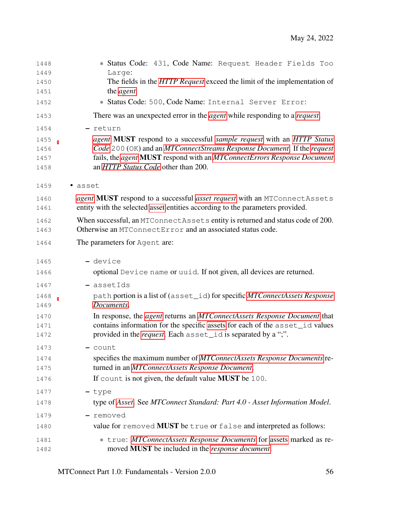| 1448 | * Status Code: 431, Code Name: Request Header Fields Too                                 |
|------|------------------------------------------------------------------------------------------|
| 1449 | Large:                                                                                   |
| 1450 | The fields in the <i>HTTP Request</i> exceed the limit of the implementation of          |
| 1451 | the <i>agent</i> .                                                                       |
| 1452 | * Status Code: 500, Code Name: Internal Server Error:                                    |
| 1453 | There was an unexpected error in the <i>agent</i> while responding to a <i>request</i> . |
| 1454 | - return                                                                                 |
| 1455 | agent MUST respond to a successful sample request with an HTTP Status                    |
| 1456 | Code 200 (OK) and an MTConnectStreams Response Document. If the request                  |
| 1457 | fails, the agent MUST respond with an MTConnectErrors Response Document                  |
| 1458 | an HTTP Status Code other than 200.                                                      |
| 1459 | · asset                                                                                  |
| 1460 | agent MUST respond to a successful asset request with an MTConnectAssets                 |
| 1461 | entity with the selected asset entities according to the parameters provided.            |
| 1462 | When successful, an MTConnectAssets entity is returned and status code of 200.           |
| 1463 | Otherwise an MTConnectError and an associated status code.                               |
| 1464 | The parameters for Agent are:                                                            |
| 1465 | - device                                                                                 |
| 1466 | optional Device name or uuid. If not given, all devices are returned.                    |
| 1467 | - assetIds                                                                               |
| 1468 | path portion is a list of (asset_id) for specific MTConnectAssets Response               |
| 1469 | Documents.                                                                               |
| 1470 | In response, the <i>agent</i> returns an <i>MTConnectAssets Response Document</i> that   |
| 1471 | contains information for the specific assets for each of the asset_id values             |
| 1472 | provided in the <i>request</i> . Each asset_id is separated by a ";".                    |
| 1473 | - count                                                                                  |
| 1474 | specifies the maximum number of MTConnectAssets Response Documents re-                   |
| 1475 | turned in an MTConnectAssets Response Document.                                          |
| 1476 | If count is not given, the default value <b>MUST</b> be 100.                             |
| 1477 | - type                                                                                   |
| 1478 | type of Asset. See MTConnect Standard: Part 4.0 - Asset Information Model.               |
| 1479 | removed                                                                                  |
| 1480 | value for removed <b>MUST</b> be true or false and interpreted as follows:               |
| 1481 | * true: MTConnectAssets Response Documents for assets marked as re-                      |
| 1482 | moved MUST be included in the <i>response document</i> .                                 |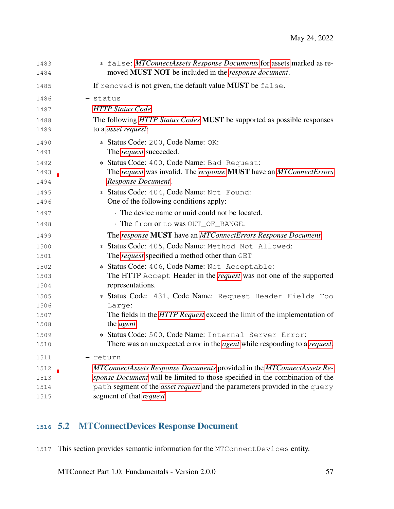| 1483<br>1484 | * false: MTConnectAssets Response Documents for assets marked as re-<br>moved MUST NOT be included in the <i>response document</i> .              |
|--------------|---------------------------------------------------------------------------------------------------------------------------------------------------|
| 1485         | If removed is not given, the default value <b>MUST</b> be false.                                                                                  |
| 1486         | - status                                                                                                                                          |
| 1487         | <b>HTTP</b> Status Code.                                                                                                                          |
| 1488         | The following HTTP Status Codes MUST be supported as possible responses                                                                           |
| 1489         | to a <i>asset request</i> :                                                                                                                       |
| 1490         | * Status Code: 200, Code Name: OK:                                                                                                                |
| 1491         | The <i>request</i> succeeded.                                                                                                                     |
| 1492         | * Status Code: 400, Code Name: Bad Request:                                                                                                       |
| 1493         | The request was invalid. The response MUST have an MTConnectErrors                                                                                |
| 1494         | Response Document.                                                                                                                                |
| 1495         | * Status Code: 404, Code Name: Not Found:                                                                                                         |
| 1496         | One of the following conditions apply:                                                                                                            |
| 1497         | The device name or uuid could not be located.                                                                                                     |
| 1498         | · The from or to was OUT_OF_RANGE.                                                                                                                |
| 1499         | The response MUST have an MTConnectErrors Response Document.                                                                                      |
| 1500         | * Status Code: 405, Code Name: Method Not Allowed:                                                                                                |
| 1501         | The <i>request</i> specified a method other than GET                                                                                              |
| 1502         | * Status Code: 406, Code Name: Not Acceptable:                                                                                                    |
| 1503         | The HTTP Accept Header in the <i>request</i> was not one of the supported                                                                         |
| 1504         | representations.                                                                                                                                  |
| 1505         | * Status Code: 431, Code Name: Request Header Fields Too                                                                                          |
| 1506         | Large:                                                                                                                                            |
| 1507<br>1508 | The fields in the <i>HTTP Request</i> exceed the limit of the implementation of<br>the <i>agent</i> .                                             |
|              |                                                                                                                                                   |
| 1509<br>1510 | * Status Code: 500, Code Name: Internal Server Error:<br>There was an unexpected error in the <i>agent</i> while responding to a <i>request</i> . |
|              |                                                                                                                                                   |
| 1511         | return                                                                                                                                            |
| 1512         | MTConnectAssets Response Documents provided in the MTConnectAssets Re-                                                                            |
| 1513         | sponse Document will be limited to those specified in the combination of the                                                                      |
| 1514<br>1515 | path segment of the asset request and the parameters provided in the query<br>segment of that request.                                            |
|              |                                                                                                                                                   |

# <span id="page-61-0"></span>5.2 MTConnectDevices Response Document

This section provides semantic information for the MTConnectDevices entity.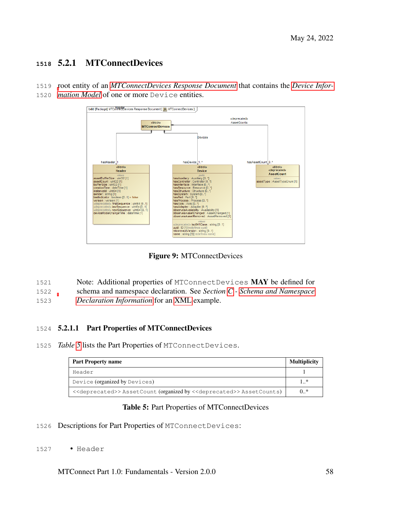## **<sup>1518</sup>** 5.2.1 MTConnectDevices

1519 [r](#page-18-0)oot entity of an *[MTConnectDevices Response Document](#page-19-1)* that contains the *[Device Infor-](#page-18-0)*

1520 *[mation Model](#page-18-0)* of one or more Device entities.



Figure 9: MTConnectDevices

1521 Note: Additional properties of MTConnectDevices MAY be defined for 1522 schema and namespace declaration. See *Section [C](#page-90-0) - [Schema and Namespace](#page-90-0)*

1523 *[Declaration Information](#page-90-0)* for an [XML](#page-36-0) example.

## 1524 5.2.1.1 Part Properties of MTConnectDevices

1525 *Table [5](#page-62-0)* lists the Part Properties of MTConnectDevices.

<span id="page-62-0"></span>

| <b>Part Property name</b>                                                                             | <b>Multiplicity</b> |
|-------------------------------------------------------------------------------------------------------|---------------------|
| Header                                                                                                |                     |
| Device (organized by Devices)                                                                         | 1 *                 |
| < <deprecated>&gt;AssetCount (organized by &lt;<deprecated>&gt;AssetCounts)</deprecated></deprecated> | $0.$ *              |

#### Table 5: Part Properties of MTConnectDevices

- 1526 Descriptions for Part Properties of MTConnectDevices:
- 1527 Header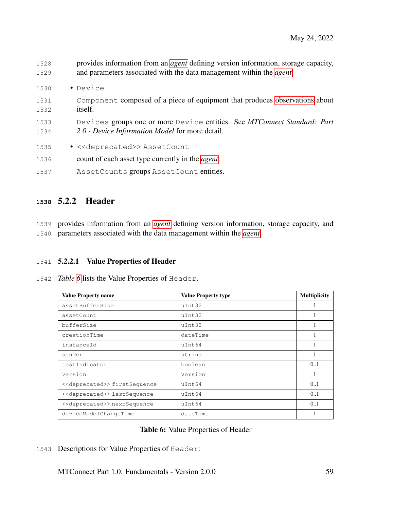- 1528 provides information from an *[agent](#page-12-0)* defining version information, storage capacity, 1529 and parameters associated with the data management within the *[agent](#page-12-0)*.
- 1530 Device
- 1531 Component composed of a piece of equipment that produces [observations](#page-0-0) about 1532 itself.
- 1533 Devices groups one or more Device entities. See *MTConnect Standard: Part* 1534 *2.0 - Device Information Model* for more detail.
- 1535 << deprecated>>AssetCount
- 1536 count of each asset type currently in the *[agent](#page-12-0)*.
- 1537 AssetCounts groups AssetCount entities.

## **<sup>1538</sup>** 5.2.2 Header

1539 provides information from an *[agent](#page-12-0)* defining version information, storage capacity, and 1540 parameters associated with the data management within the *[agent](#page-12-0)*.

#### 1541 5.2.2.1 Value Properties of Header

1542 *Table [6](#page-63-0)* lists the Value Properties of Header.

<span id="page-63-0"></span>

| <b>Value Property name</b>                   | <b>Value Property type</b> | <b>Multiplicity</b> |
|----------------------------------------------|----------------------------|---------------------|
| assetBufferSize                              | uInt32                     |                     |
| assetCount                                   | uInt32                     |                     |
| bufferSize                                   | uInt32                     | 1                   |
| creationTime                                 | dateTime                   | 1                   |
| instanceId                                   | uInt64                     |                     |
| sender                                       | string                     |                     |
| testIndicator                                | boolean                    | 0.1                 |
| version                                      | version                    |                     |
| < <deprecated>&gt;firstSequence</deprecated> | uInt64                     | 0.1                 |
| < <deprecated>&gt; lastSequence</deprecated> | uInt64                     | 0.1                 |
| < <deprecated>&gt; nextSequence</deprecated> | $u$ Tnt.64                 | 0.1                 |
| deviceModelChangeTime                        | dateTime                   |                     |

#### Table 6: Value Properties of Header

1543 Descriptions for Value Properties of Header: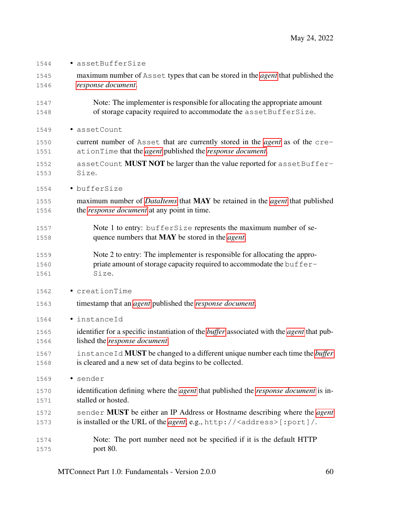- assetBufferSize
- maximum number of Asset types that can be stored in the *[agent](#page-12-0)* that published the *[response document](#page-16-0)*.
- Note: The implementer is responsible for allocating the appropriate amount 1548 of storage capacity required to accommodate the assetBufferSize.
- assetCount
- current number of Asset that are currently stored in the *[agent](#page-12-0)* as of the cre-ationTime that the *[agent](#page-12-0)* published the *[response document](#page-16-0)*.
- 1552 assetCount **MUST NOT** be larger than the value reported for assetBuffer-Size.
- bufferSize
- maximum number of *[DataItems](#page-24-1)* that MAY be retained in the *[agent](#page-12-0)* that published the *[response document](#page-16-0)* at any point in time.
- 1557 Note 1 to entry: bufferSize represents the maximum number of se-quence numbers that MAY be stored in the *[agent](#page-12-0)*.
- Note 2 to entry: The implementer is responsible for allocating the appro-1560 priate amount of storage capacity required to accommodate the buffer-Size.
- creationTime
- timestamp that an *[agent](#page-12-0)* published the *[response document](#page-16-0)*.
- instanceId
- identifier for a specific instantiation of the *[buffer](#page-12-1)* associated with the *[agent](#page-12-0)* that pub-lished the *[response document](#page-16-0)*.
- instanceId MUST be changed to a different unique number each time the *[buffer](#page-12-1)* is cleared and a new set of data begins to be collected.
- sender
- identification defining where the *[agent](#page-12-0)* that published the *[response document](#page-16-0)* is in-stalled or hosted.
- sender MUST be either an IP Address or Hostname describing where the *[agent](#page-12-0)* is installed or the URL of the *[agent](#page-12-0)*; e.g., http://<address>[:port]/.
- Note: The port number need not be specified if it is the default HTTP port 80.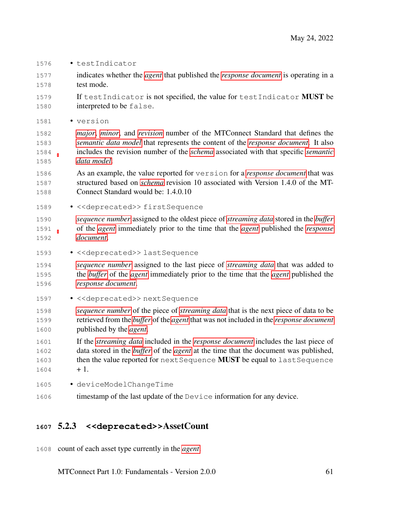- testIndicator
- indicates whether the *[agent](#page-12-0)* that published the *[response document](#page-16-0)* is operating in a test mode.
- 1579 If testIndicator is not specified, the value for testIndicator **MUST** be interpreted to be false.
- version
- *[major](#page-15-1)*, *[minor](#page-15-2)*, and *[revision](#page-17-1)* number of the MTConnect Standard that defines the *[semantic data model](#page-17-2)* that represents the content of the *[response document](#page-16-0)*. It also includes the revision number of the *[schema](#page-17-3)* associated with that specific *[semantic](#page-17-2) [data model](#page-17-2)*.
- As an example, the value reported for version for a *[response document](#page-16-0)* that was structured based on *[schema](#page-17-3)* revision 10 associated with Version 1.4.0 of the MT-Connect Standard would be: 1.4.0.10
- 1589 << deprecated>>firstSequence
- *[sequence number](#page-17-0)* assigned to the oldest piece of *[streaming data](#page-20-0)* stored in the *[buffer](#page-12-1)* of the *[agent](#page-12-0)* immediately prior to the time that the *[agent](#page-12-0)* published the *[response](#page-16-0) [document](#page-16-0)*.
- <<deprecated>> lastSequence
- *[sequence number](#page-17-0)* assigned to the last piece of *[streaming data](#page-20-0)* that was added to the *[buffer](#page-12-1)* of the *[agent](#page-12-0)* immediately prior to the time that the *[agent](#page-12-0)* published the *[response document](#page-16-0)*.
- 1597 << deprecated>> nextSequence
- *[sequence number](#page-17-0)* of the piece of *[streaming data](#page-20-0)* that is the next piece of data to be retrieved from the *[buffer](#page-12-1)* of the *[agent](#page-12-0)* that was not included in the *[response document](#page-16-0)* published by the *[agent](#page-12-0)*.
- If the *[streaming data](#page-20-0)* included in the *[response document](#page-16-0)* includes the last piece of data stored in the *[buffer](#page-12-1)* of the *[agent](#page-12-0)* at the time that the document was published, 1603 then the value reported for next Sequence **MUST** be equal to last Sequence  $1604 + 1.$
- deviceModelChangeTime
- timestamp of the last update of the Device information for any device.

## 5.2.3 **<<deprecated>>**AssetCount

count of each asset type currently in the *[agent](#page-12-0)*.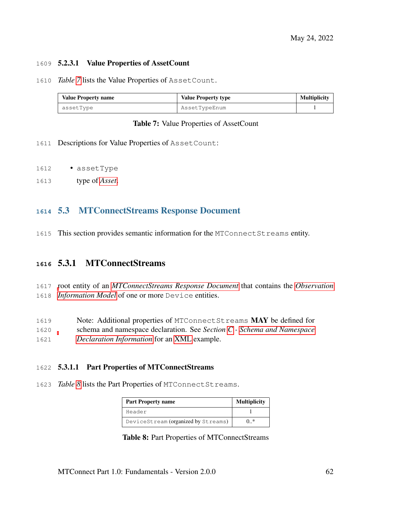#### 5.2.3.1 Value Properties of AssetCount

#### *Table [7](#page-66-1)* lists the Value Properties of AssetCount.

<span id="page-66-1"></span>

| <b>Value Property name</b> | <b>Value Property type</b> | <b>Multiplicity</b> |
|----------------------------|----------------------------|---------------------|
| assetType                  | AssetTypeEnum              |                     |

#### Table 7: Value Properties of AssetCount

- Descriptions for Value Properties of AssetCount:
- assetType
- type of *[Asset](#page-24-0)*.

### <span id="page-66-0"></span>5.3 MTConnectStreams Response Document

This section provides semantic information for the MTConnectStreams entity.

## 5.3.1 MTConnectStreams

- [r](#page-19-8)oot entity of an *[MTConnectStreams Response Document](#page-19-2)* that contains the *[Observation](#page-19-8) [Information Model](#page-19-8)* of one or more Device entities.
- Note: Additional properties of MTConnectStreams MAY be defined for
- schema and namespace declaration. See *Section [C](#page-90-0) - [Schema and Namespace](#page-90-0)*
- *[Declaration Information](#page-90-0)* for an [XML](#page-36-0) example.

#### 5.3.1.1 Part Properties of MTConnectStreams

<span id="page-66-2"></span>*Table [8](#page-66-2)* lists the Part Properties of MTConnectStreams.

| <b>Part Property name</b>           | <b>Multiplicity</b> |
|-------------------------------------|---------------------|
| Header                              |                     |
| DeviceStream (organized by Streams) | $0.*$               |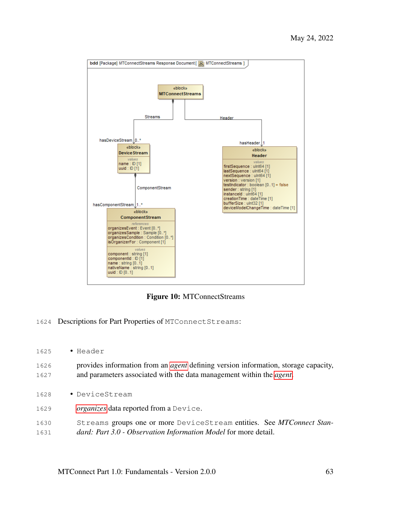

Figure 10: MTConnectStreams

- Descriptions for Part Properties of MTConnectStreams:
- Header
- provides information from an *[agent](#page-12-0)* defining version information, storage capacity, and parameters associated with the data management within the *[agent](#page-12-0)*.
- DeviceStream
- *[organizes](#page-15-3)* data reported from a Device.
- Streams groups one or more DeviceStream entities. See *MTConnect Stan-dard: Part 3.0 - Observation Information Model* for more detail.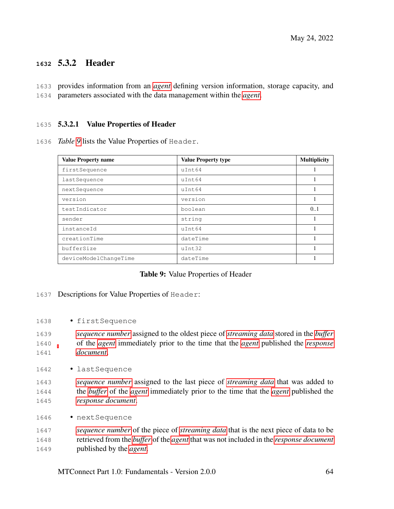## **<sup>1632</sup>** 5.3.2 Header

1633 provides information from an *[agent](#page-12-0)* defining version information, storage capacity, and 1634 parameters associated with the data management within the *[agent](#page-12-0)*.

#### 1635 5.3.2.1 Value Properties of Header

1636 *Table [9](#page-68-0)* lists the Value Properties of Header.

<span id="page-68-0"></span>

| <b>Value Property name</b> | <b>Value Property type</b> | <b>Multiplicity</b> |
|----------------------------|----------------------------|---------------------|
| firstSequence              | uInt64                     |                     |
| lastSequence               | uInt64                     |                     |
| nextSequence               | uInt64                     |                     |
| version                    | version                    |                     |
| testIndicator              | boolean                    | 0.1                 |
| sender                     | string                     |                     |
| instanceId                 | uInt64                     |                     |
| creationTime               | dateTime                   |                     |
| bufferSize                 | uInt32                     |                     |
| deviceModelChangeTime      | dateTime                   |                     |

#### Table 9: Value Properties of Header

- 1637 Descriptions for Value Properties of Header:
- 1638 firstSequence
- 1639 *[sequence number](#page-17-0)* assigned to the oldest piece of *[streaming data](#page-20-0)* stored in the *[buffer](#page-12-1)* 1640 of the *[agent](#page-12-0)* immediately prior to the time that the *[agent](#page-12-0)* published the *[response](#page-16-0)* 1641 *[document](#page-16-0)*.
- 1642 lastSequence
- 1643 *[sequence number](#page-17-0)* assigned to the last piece of *[streaming data](#page-20-0)* that was added to 1644 the *[buffer](#page-12-1)* of the *[agent](#page-12-0)* immediately prior to the time that the *[agent](#page-12-0)* published the 1645 *[response document](#page-16-0)*.
- 1646 nextSequence

1647 *[sequence number](#page-17-0)* of the piece of *[streaming data](#page-20-0)* that is the next piece of data to be 1648 retrieved from the *[buffer](#page-12-1)* of the *[agent](#page-12-0)* that was not included in the *[response document](#page-16-0)* 1649 published by the *[agent](#page-12-0)*.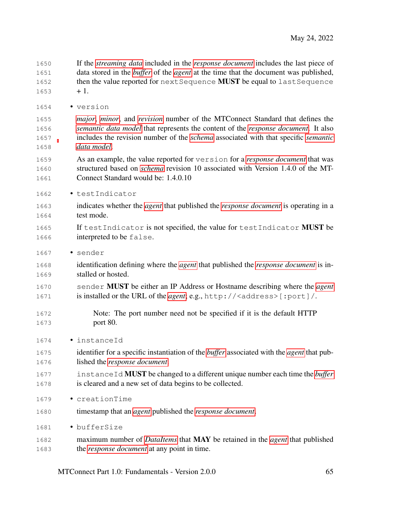If the *[streaming data](#page-20-0)* included in the *[response document](#page-16-0)* includes the last piece of data stored in the *[buffer](#page-12-1)* of the *[agent](#page-12-0)* at the time that the document was published, 1652 then the value reported for next Sequence **MUST** be equal to last Sequence  $1653 + 1.$ 

• version

 *[major](#page-15-1)*, *[minor](#page-15-2)*, and *[revision](#page-17-1)* number of the MTConnect Standard that defines the *[semantic data model](#page-17-2)* that represents the content of the *[response document](#page-16-0)*. It also includes the revision number of the *[schema](#page-17-3)* associated with that specific *[semantic](#page-17-2) [data model](#page-17-2)*.

- As an example, the value reported for version for a *[response document](#page-16-0)* that was structured based on *[schema](#page-17-3)* revision 10 associated with Version 1.4.0 of the MT-Connect Standard would be: 1.4.0.10
- testIndicator
- indicates whether the *[agent](#page-12-0)* that published the *[response document](#page-16-0)* is operating in a test mode.
- 1665 If testIndicator is not specified, the value for testIndicator **MUST** be interpreted to be false.
- sender
- identification defining where the *[agent](#page-12-0)* that published the *[response document](#page-16-0)* is in-stalled or hosted.
- sender MUST be either an IP Address or Hostname describing where the *[agent](#page-12-0)* is installed or the URL of the *[agent](#page-12-0)*; e.g., http://<address>[:port]/.
- Note: The port number need not be specified if it is the default HTTP port 80.
- instanceId
- identifier for a specific instantiation of the *[buffer](#page-12-1)* associated with the *[agent](#page-12-0)* that pub-lished the *[response document](#page-16-0)*.
- instanceId MUST be changed to a different unique number each time the *[buffer](#page-12-1)* is cleared and a new set of data begins to be collected.
- creationTime
- timestamp that an *[agent](#page-12-0)* published the *[response document](#page-16-0)*.
- bufferSize
- maximum number of *[DataItems](#page-24-1)* that MAY be retained in the *[agent](#page-12-0)* that published the *[response document](#page-16-0)* at any point in time.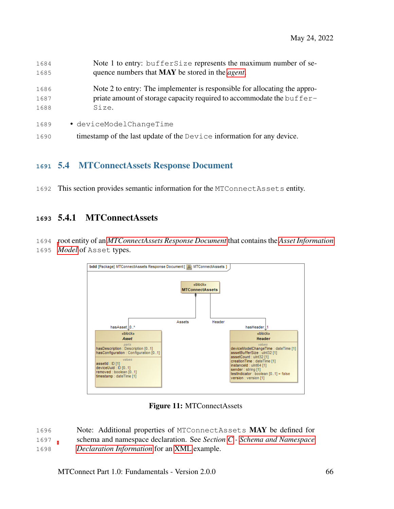| 1684 | Note 1 to entry: buffersize represents the maximum number of se-          |
|------|---------------------------------------------------------------------------|
| 1685 | quence numbers that <b>MAY</b> be stored in the <i>agent</i> .            |
| 1686 | Note 2 to entry: The implementer is responsible for allocating the appro- |
| 1687 | priate amount of storage capacity required to accommodate the buffer-     |
| 1688 | Size.                                                                     |
| 1689 | · deviceModelChangeTime                                                   |
| 1690 | timestamp of the last update of the Device information for any device.    |

## <span id="page-70-0"></span>5.4 MTConnectAssets Response Document

This section provides semantic information for the MTConnectAssets entity.

## 5.4.1 MTConnectAssets

 [r](#page-18-1)oot entity of an *[MTConnectAssets Response Document](#page-19-3)* that contains the *[Asset Information](#page-18-1) [Model](#page-18-1)* of Asset types.



Figure 11: MTConnectAssets

 Note: Additional properties of MTConnectAssets MAY be defined for schema and namespace declaration. See *Section [C](#page-90-0) - [Schema and Namespace](#page-90-0)*

*[Declaration Information](#page-90-0)* for an [XML](#page-36-0) example.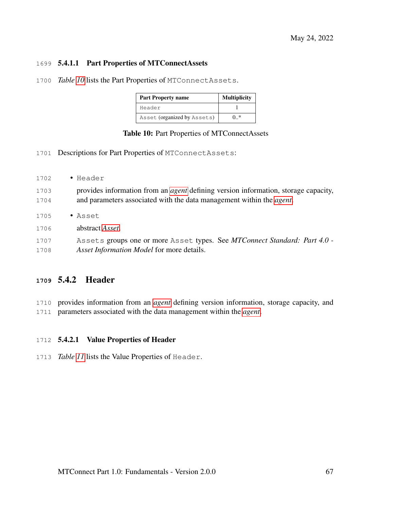#### 5.4.1.1 Part Properties of MTConnectAssets

<span id="page-71-0"></span>*Table [10](#page-71-0)* lists the Part Properties of MTConnectAssets.

| <b>Part Property name</b>   | <b>Multiplicity</b> |  |
|-----------------------------|---------------------|--|
| Header                      |                     |  |
| Asset (organized by Assets) | )*                  |  |

| Table 10: Part Properties of MTConnectAssets |  |  |  |  |
|----------------------------------------------|--|--|--|--|
|----------------------------------------------|--|--|--|--|

- Descriptions for Part Properties of MTConnectAssets:
- Header provides information from an *[agent](#page-12-0)* defining version information, storage capacity, and parameters associated with the data management within the *[agent](#page-12-0)*. • Asset abstract *[Asset](#page-24-0)*. Assets groups one or more Asset types. See *MTConnect Standard: Part 4.0 - Asset Information Model* for more details.

## 5.4.2 Header

 provides information from an *[agent](#page-12-0)* defining version information, storage capacity, and parameters associated with the data management within the *[agent](#page-12-0)*.

#### 5.4.2.1 Value Properties of Header

*Table [11](#page-72-0)* lists the Value Properties of Header.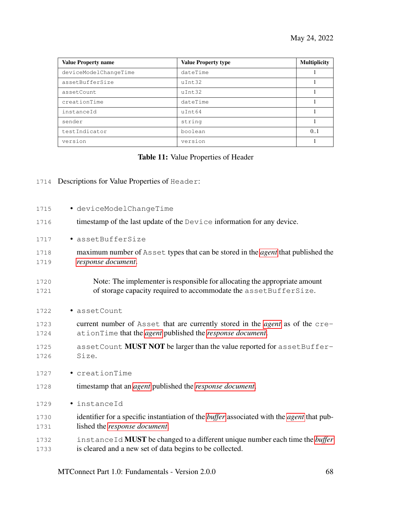| <b>Value Property name</b> | <b>Value Property type</b> | <b>Multiplicity</b> |
|----------------------------|----------------------------|---------------------|
| deviceModelChangeTime      | dateTime                   |                     |
| assetBufferSize            | uInt32                     |                     |
| assetCount                 | uInt32                     |                     |
| creationTime               | dateTime                   |                     |
| instanceId                 | uInt64                     |                     |
| sender                     | string                     |                     |
| testIndicator              | boolean                    | 0.1                 |
| version                    | version                    |                     |

## Table 11: Value Properties of Header

1714 Descriptions for Value Properties of Header:

| 1715         | · deviceModelChangeTime                                                                                                                           |
|--------------|---------------------------------------------------------------------------------------------------------------------------------------------------|
| 1716         | timestamp of the last update of the Device information for any device.                                                                            |
| 1717         | · assetBufferSize                                                                                                                                 |
| 1718<br>1719 | maximum number of Asset types that can be stored in the <i>agent</i> that published the<br>response document.                                     |
| 1720<br>1721 | Note: The implementer is responsible for allocating the appropriate amount<br>of storage capacity required to accommodate the assetBufferSize.    |
| 1722         | · assetCount                                                                                                                                      |
| 1723<br>1724 | current number of Asset that are currently stored in the <i>agent</i> as of the cre-<br>ationTime that the agent published the response document. |
| 1725<br>1726 | assetCount MUST NOT be larger than the value reported for assetBuffer-<br>Size.                                                                   |
| 1727         | · creationTime                                                                                                                                    |
| 1728         | timestamp that an <i>agent</i> published the <i>response document</i> .                                                                           |
| 1729         | · instanceId                                                                                                                                      |
| 1730<br>1731 | identifier for a specific instantiation of the <i>buffer</i> associated with the <i>agent</i> that pub-<br>lished the response document.          |
| 1732<br>1733 | instance Id <b>MUST</b> be changed to a different unique number each time the buffer<br>is cleared and a new set of data begins to be collected.  |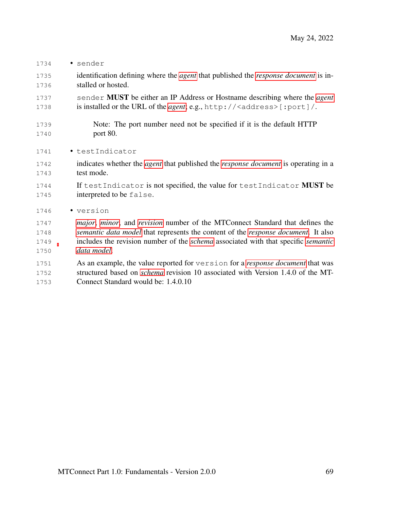- sender
- identification defining where the *[agent](#page-12-0)* that published the *[response document](#page-16-0)* is in-stalled or hosted.
- sender MUST be either an IP Address or Hostname describing where the *[agent](#page-12-0)* 1738 is installed or the URL of the *[agent](#page-12-0)*; e.g., http://<address>[:port]/.
- Note: The port number need not be specified if it is the default HTTP port 80.
- 1741 testIndicator
- indicates whether the *[agent](#page-12-0)* that published the *[response document](#page-16-0)* is operating in a test mode.
- 1744 If testIndicator is not specified, the value for testIndicator **MUST** be interpreted to be false.
- version
- *[major](#page-15-0)*, *[minor](#page-15-1)*, and *[revision](#page-17-0)* number of the MTConnect Standard that defines the *[semantic data model](#page-17-1)* that represents the content of the *[response document](#page-16-0)*. It also includes the revision number of the *[schema](#page-17-2)* associated with that specific *[semantic](#page-17-1) [data model](#page-17-1)*.
- As an example, the value reported for version for a *[response document](#page-16-0)* that was structured based on *[schema](#page-17-2)* revision 10 associated with Version 1.4.0 of the MT-
- Connect Standard would be: 1.4.0.10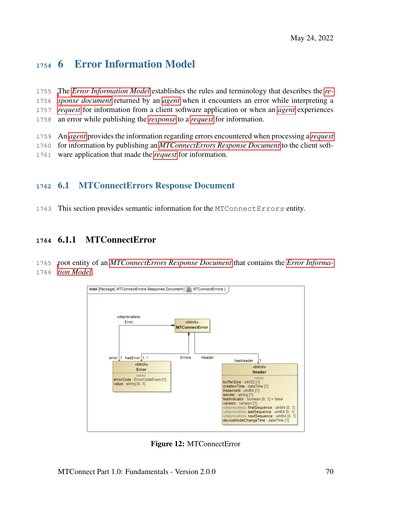# 6 Error Information Model

- [T](#page-16-0)he *[Error Information Model](#page-18-0)* establishes the rules and terminology that describes the *[re-](#page-16-0) [sponse document](#page-16-0)* returned by an *[agent](#page-12-0)* when it encounters an error while interpreting a *[request](#page-20-0)* for information from a client software application or when an *[agent](#page-12-0)* experiences an error while publishing the *[response](#page-20-1)* to a *[request](#page-20-0)* for information.
- An *[agent](#page-12-0)* provides the information regarding errors encountered when processing a *[request](#page-20-0)*
- for information by publishing an *[MTConnectErrors Response Document](#page-19-0)* to the client soft-
- ware application that made the *[request](#page-20-0)* for information.

## 6.1 MTConnectErrors Response Document

This section provides semantic information for the MTConnectErrors entity.

## 6.1.1 MTConnectError

 [r](#page-18-0)oot entity of an *[MTConnectErrors Response Document](#page-19-0)* that contains the *[Error Informa-](#page-18-0)[tion Model](#page-18-0)*.



Figure 12: MTConnectError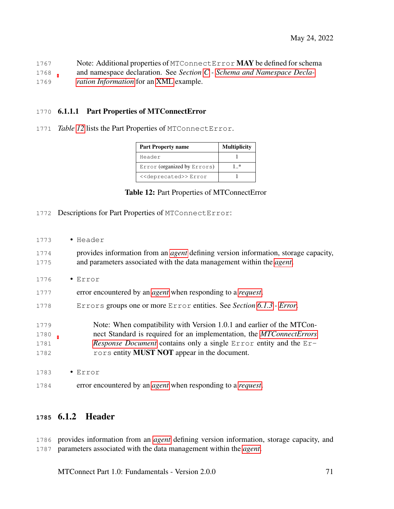| 1767 | Note: Additional properties of MTConnectError MAY be defined for schema  |
|------|--------------------------------------------------------------------------|
| 1768 | and namespace declaration. See Section $C$ - Schema and Namespace Decla- |
| 1769 | <i>ration Information</i> for an XML example.                            |

#### 6.1.1.1 Part Properties of MTConnectError

<span id="page-75-0"></span>*Table [12](#page-75-0)* lists the Part Properties of MTConnectError.

| <b>Part Property name</b>             | <b>Multiplicity</b> |
|---------------------------------------|---------------------|
| Header                                |                     |
| Error (organized by Errors)           | ⋰                   |
| < <deprecated>&gt; Error</deprecated> |                     |

#### Table 12: Part Properties of MTConnectError

- Descriptions for Part Properties of MTConnectError:
- Header provides information from an *[agent](#page-12-0)* defining version information, storage capacity, and parameters associated with the data management within the *[agent](#page-12-0)*. • Error error encountered by an *[agent](#page-12-0)* when responding to a *[request](#page-20-0)*. Errors groups one or more Error entities. See *Section [6.1.3](#page-78-0) - [Error](#page-78-0)*. Note: When compatibility with Version 1.0.1 and earlier of the MTCon- nect Standard is required for an implementation, the *[MTConnectErrors](#page-19-0) [Response Document](#page-19-0)* contains only a single Error entity and the Er-1782 rors entity **MUST NOT** appear in the document. • Error error encountered by an *[agent](#page-12-0)* when responding to a *[request](#page-20-0)*.

## 6.1.2 Header

 provides information from an *[agent](#page-12-0)* defining version information, storage capacity, and parameters associated with the data management within the *[agent](#page-12-0)*.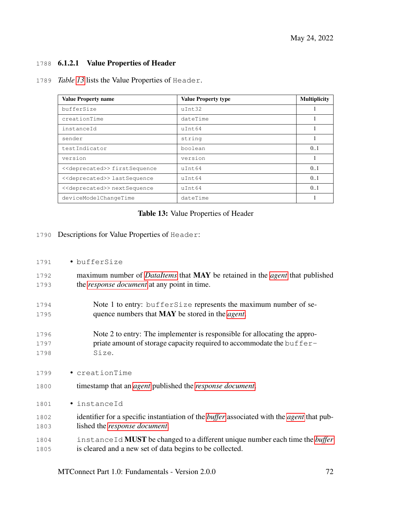#### 1788 6.1.2.1 Value Properties of Header

1789 *Table [13](#page-76-0)* lists the Value Properties of Header.

<span id="page-76-0"></span>

| <b>Value Property name</b>                   | <b>Value Property type</b> | <b>Multiplicity</b> |
|----------------------------------------------|----------------------------|---------------------|
| bufferSize                                   | $u$ Tnt.32                 |                     |
| creationTime                                 | dateTime                   |                     |
| instanceId                                   | $u$ Tnt.64                 |                     |
| sender                                       | string                     |                     |
| testIndicator                                | boolean                    | 0.1                 |
| version                                      | version                    |                     |
| < <deprecated>&gt;firstSequence</deprecated> | $u$ Tnt.64                 | 0.1                 |
| < <deprecated>&gt; lastSequence</deprecated> | $u$ Tnt.64                 | 0.1                 |
| < <deprecated>&gt; nextSequence</deprecated> | uInt64                     | 0.1                 |
| deviceModelChangeTime                        | dateTime                   |                     |

#### Table 13: Value Properties of Header

1790 Descriptions for Value Properties of Header:

#### 1791 • bufferSize

- 1792 maximum number of *[DataItems](#page-24-0)* that MAY be retained in the *[agent](#page-12-0)* that published 1793 the *[response document](#page-16-0)* at any point in time.
- 1794 Note 1 to entry: bufferSize represents the maximum number of se-1795 quence numbers that MAY be stored in the *[agent](#page-12-0)*.
- 1796 Note 2 to entry: The implementer is responsible for allocating the appro-1797 priate amount of storage capacity required to accommodate the buffer-1798 Size.
- 1799 creationTime
- 1800 timestamp that an *[agent](#page-12-0)* published the *[response document](#page-16-0)*.
- 1801 instanceId
- 1802 identifier for a specific instantiation of the *[buffer](#page-12-1)* associated with the *[agent](#page-12-0)* that pub-1803 lished the *[response document](#page-16-0)*.
- 1804 instanceId MUST be changed to a different unique number each time the *[buffer](#page-12-1)* 1805 is cleared and a new set of data begins to be collected.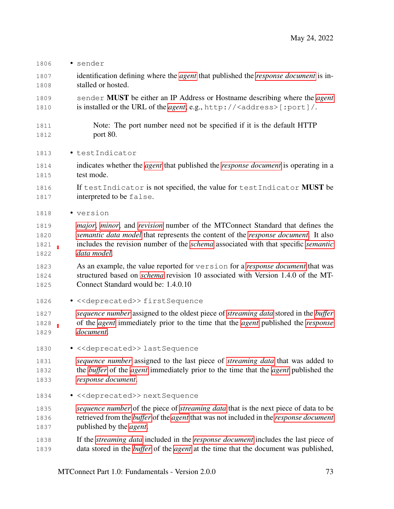identification defining where the *[agent](#page-12-0)* that published the *[response document](#page-16-0)* is in- stalled or hosted. sender MUST be either an IP Address or Hostname describing where the *[agent](#page-12-0)* is installed or the URL of the *[agent](#page-12-0)*; e.g., http://<address>[:port]/. Note: The port number need not be specified if it is the default HTTP port 80. • testIndicator indicates whether the *[agent](#page-12-0)* that published the *[response document](#page-16-0)* is operating in a test mode. 1816 If testIndicator is not specified, the value for testIndicator **MUST** be **interpreted to be false.**  • version *[major](#page-15-0)*, *[minor](#page-15-1)*, and *[revision](#page-17-0)* number of the MTConnect Standard that defines the *[semantic data model](#page-17-1)* that represents the content of the *[response document](#page-16-0)*. It also includes the revision number of the *[schema](#page-17-2)* associated with that specific *[semantic](#page-17-1) [data model](#page-17-1)*. As an example, the value reported for version for a *[response document](#page-16-0)* that was structured based on *[schema](#page-17-2)* revision 10 associated with Version 1.4.0 of the MT- Connect Standard would be: 1.4.0.10 1826 • << deprecated>>firstSequence *[sequence number](#page-17-3)* assigned to the oldest piece of *[streaming data](#page-20-2)* stored in the *[buffer](#page-12-1)* of the *[agent](#page-12-0)* immediately prior to the time that the *[agent](#page-12-0)* published the *[response](#page-16-0) [document](#page-16-0)*. 1830 • << deprecated>> lastSequence *[sequence number](#page-17-3)* assigned to the last piece of *[streaming data](#page-20-2)* that was added to the *[buffer](#page-12-1)* of the *[agent](#page-12-0)* immediately prior to the time that the *[agent](#page-12-0)* published the *[response document](#page-16-0)*. 1834 • << deprecated>> nextSequence *[sequence number](#page-17-3)* of the piece of *[streaming data](#page-20-2)* that is the next piece of data to be retrieved from the *[buffer](#page-12-1)* of the *[agent](#page-12-0)* that was not included in the *[response document](#page-16-0)* published by the *[agent](#page-12-0)*. If the *[streaming data](#page-20-2)* included in the *[response document](#page-16-0)* includes the last piece of data stored in the *[buffer](#page-12-1)* of the *[agent](#page-12-0)* at the time that the document was published,

• sender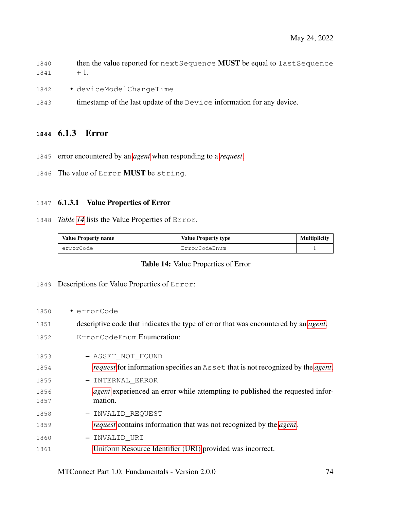- 1840 then the value reported for next Sequence MUST be equal to last Sequence  $1841 + 1.$
- 1842 deviceModelChangeTime
- 1843 timestamp of the last update of the Device information for any device.

#### <span id="page-78-0"></span>6.1.3 Error

- error encountered by an *[agent](#page-12-0)* when responding to a *[request](#page-20-0)*.
- 1846 The value of Error MUST be string.

#### 6.1.3.1 Value Properties of Error

*Table [14](#page-78-1)* lists the Value Properties of Error.

<span id="page-78-1"></span>

| <b>Value Property name</b> | <b>Value Property type</b> | <b>Multiplicity</b> |
|----------------------------|----------------------------|---------------------|
| errorCode                  | ErrorCodeEnum              |                     |

#### Table 14: Value Properties of Error

#### Descriptions for Value Properties of Error:

| 1850 | • errorCode                                                                                    |
|------|------------------------------------------------------------------------------------------------|
| 1851 | descriptive code that indicates the type of error that was encountered by an <i>agent</i> .    |
| 1852 | ErrorCodeEnum Enumeration:                                                                     |
| 1853 | - ASSET_NOT_FOUND                                                                              |
| 1854 | <i>request</i> for information specifies an Asset that is not recognized by the <i>agent</i> . |
| 1855 | - INTERNAL_ERROR                                                                               |
| 1856 | <i>agent</i> experienced an error while attempting to published the requested infor-           |
| 1857 | mation.                                                                                        |
| 1858 | - INVALID_REQUEST                                                                              |
| 1859 | <i>request</i> contains information that was not recognized by the <i>agent</i> .              |
| 1860 | - INVALID_URI                                                                                  |
| 1861 | Uniform Resource Identifier (URI) provided was incorrect.                                      |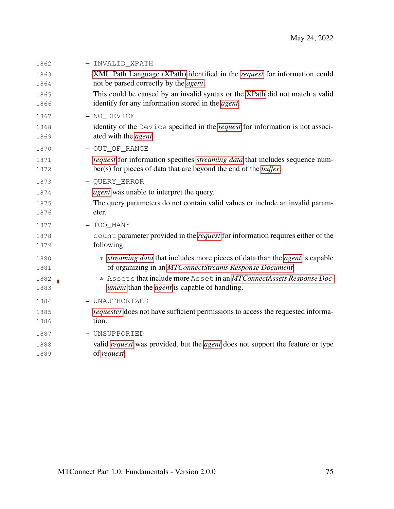| 1862 | - INVALID_XPATH                                                                              |
|------|----------------------------------------------------------------------------------------------|
| 1863 | XML Path Language (XPath) identified in the request for information could                    |
| 1864 | not be parsed correctly by the <i>agent</i> .                                                |
| 1865 | This could be caused by an invalid syntax or the XPath did not match a valid                 |
| 1866 | identify for any information stored in the agent.                                            |
| 1867 | - NO_DEVICE                                                                                  |
| 1868 | identity of the Device specified in the <i>request</i> for information is not associ-        |
| 1869 | ated with the <i>agent</i> .                                                                 |
| 1870 | - OUT_OF_RANGE                                                                               |
| 1871 | <i>request</i> for information specifies <i>streaming data</i> that includes sequence num-   |
| 1872 | ber(s) for pieces of data that are beyond the end of the <i>buffer</i> .                     |
| 1873 | - QUERY_ERROR                                                                                |
| 1874 | <i>agent</i> was unable to interpret the query.                                              |
| 1875 | The query parameters do not contain valid values or include an invalid param-                |
| 1876 | eter.                                                                                        |
| 1877 | $-$ TOO_MANY                                                                                 |
| 1878 | count parameter provided in the <i>request</i> for information requires either of the        |
| 1879 | following:                                                                                   |
| 1880 | * <i>streaming data</i> that includes more pieces of data than the <i>agent</i> is capable   |
| 1881 | of organizing in an MTConnectStreams Response Document.                                      |
| 1882 | * Assets that include more Asset in an MTConnectAssets Response Doc-                         |
| 1883 | <i>ument</i> than the <i>agent</i> is capable of handling.                                   |
| 1884 | - UNAUTHORIZED                                                                               |
| 1885 | <i>requester</i> does not have sufficient permissions to access the requested informa-       |
| 1886 | tion.                                                                                        |
| 1887 | - UNSUPPORTED                                                                                |
| 1888 | valid <i>request</i> was provided, but the <i>agent</i> does not support the feature or type |
| 1889 | of request.                                                                                  |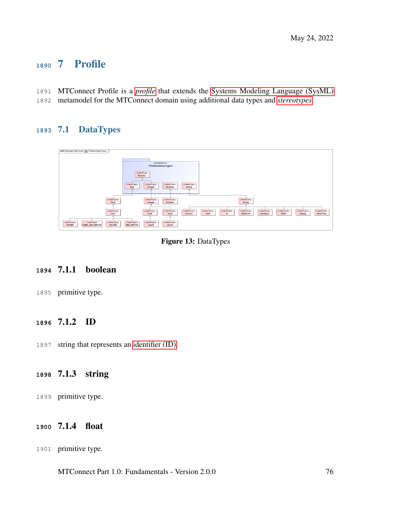# 7 Profile

- MTConnect Profile is a *[profile](#page-16-2)* that extends the [Systems Modeling Language \(SysML\)](#page-35-0)
- metamodel for the MTConnect domain using additional data types and *[stereotypes](#page-17-4)*.

# 7.1 DataTypes

| bdd [Package] DataTypes [ R PrimitiveValueTypes ]         |                                                                                                                                                    |
|-----------------------------------------------------------|----------------------------------------------------------------------------------------------------------------------------------------------------|
|                                                           |                                                                                                                                                    |
|                                                           |                                                                                                                                                    |
|                                                           |                                                                                                                                                    |
|                                                           | «ModelLibrary»                                                                                                                                     |
|                                                           | <b>PrimitiveValueTypes</b>                                                                                                                         |
|                                                           |                                                                                                                                                    |
|                                                           | evalueTypes                                                                                                                                        |
|                                                           | <b>Number</b>                                                                                                                                      |
|                                                           | $\overline{2N}$                                                                                                                                    |
|                                                           |                                                                                                                                                    |
|                                                           | evalueType»<br>«valueType»<br>«valueType»<br>evalueType»                                                                                           |
|                                                           | <b>String</b><br>Real<br><b>Boolean</b><br>Integer                                                                                                 |
|                                                           |                                                                                                                                                    |
|                                                           |                                                                                                                                                    |
|                                                           |                                                                                                                                                    |
| «valueType»                                               | «valueType»<br>«valueType»<br>«valueType»                                                                                                          |
| float                                                     | boolean<br>integer<br>string                                                                                                                       |
| $\overline{\mathcal{L}}$                                  | <b>Service</b>                                                                                                                                     |
|                                                           |                                                                                                                                                    |
| «valueType»                                               | «valueType»<br>evalueType»<br>evalueTypes<br>«valueType»<br>evalueType»<br>evalueTypes<br>«valueType»<br>«valueType»<br>«valueType»<br>«valueType» |
| unit                                                      | int32<br>xlinktype<br>dateTime<br>int64<br>version<br>x509<br>ID<br>xlinkhref<br><b>IDREF</b><br>xslang                                            |
|                                                           |                                                                                                                                                    |
|                                                           |                                                                                                                                                    |
| evalueType»<br>evalueTypes<br>«valueType»                 | «valueType»<br>«valueType»<br>evalueTypes                                                                                                          |
| <b>CUBIC_MILLIMETER</b><br><b>DEGREE</b><br><b>SECOND</b> | <b>MILLIMETER</b><br>ulnt64<br>ulnt32                                                                                                              |
|                                                           |                                                                                                                                                    |

Figure 13: DataTypes

## 7.1.1 boolean

primitive type.

## 7.1.2 ID

string that represents an [identifier \(ID\).](#page-29-0)

# 7.1.3 string

primitive type.

## 7.1.4 float

primitive type.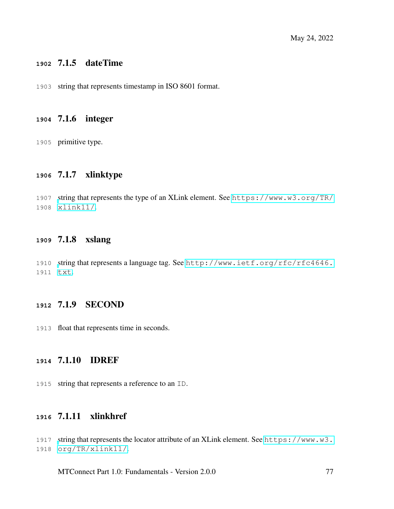#### 7.1.5 dateTime

string that represents timestamp in ISO 8601 format.

#### 7.1.6 integer

primitive type.

## 7.1.7 xlinktype

 [s](https://www.w3.org/TR/xlink11/)tring that represents the type of an XLink element. See [https://www.w3.org/TR/](https://www.w3.org/TR/xlink11/) [xlink11/](https://www.w3.org/TR/xlink11/).

#### 7.1.8 xslang

 [s](http://www.ietf.org/rfc/rfc4646.txt)tring that represents a language tag. See [http://www.ietf.org/rfc/rfc4646.](http://www.ietf.org/rfc/rfc4646.txt) [txt](http://www.ietf.org/rfc/rfc4646.txt).

## 7.1.9 SECOND

float that represents time in seconds.

#### 7.1.10 IDREF

string that represents a reference to an ID.

## 7.1.11 xlinkhref

[s](https://www.w3.org/TR/xlink11/)tring that represents the locator attribute of an XLink element. See [https://www.w3.](https://www.w3.org/TR/xlink11/) [org/TR/xlink11/](https://www.w3.org/TR/xlink11/).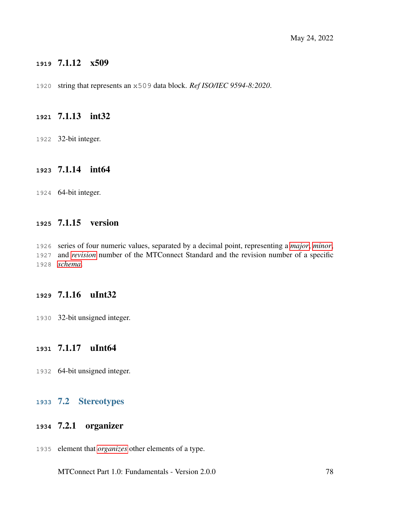## 7.1.12 x509

string that represents an x509 data block. *Ref ISO/IEC 9594-8:2020*.

#### 7.1.13 int32

32-bit integer.

#### 7.1.14 int64

64-bit integer.

## 7.1.15 version

 series of four numeric values, separated by a decimal point, representing a *[major](#page-15-0)*, *[minor](#page-15-1)*, and *[revision](#page-17-0)* number of the MTConnect Standard and the revision number of a specific *[schema](#page-17-2)*.

## 7.1.16 uInt32

32-bit unsigned integer.

#### 7.1.17 uInt64

64-bit unsigned integer.

#### 7.2 Stereotypes

#### 7.2.1 organizer

element that *[organizes](#page-15-2)* other elements of a type.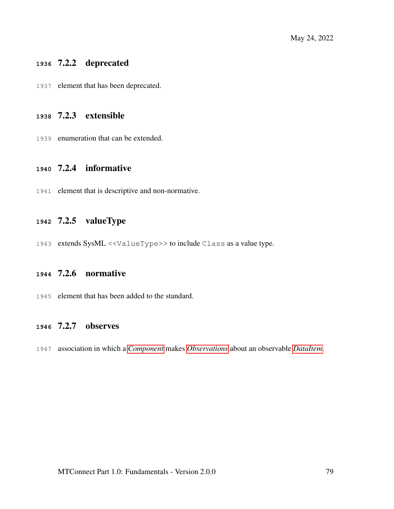## 7.2.2 deprecated

element that has been deprecated.

## 7.2.3 extensible

enumeration that can be extended.

#### 7.2.4 informative

element that is descriptive and non-normative.

## 7.2.5 valueType

extends SysML <<ValueType>> to include Class as a value type.

## 7.2.6 normative

element that has been added to the standard.

#### 7.2.7 observes

association in which a *[Component](#page-24-1)* makes *[Observations](#page-25-0)* about an observable *[DataItem](#page-24-0)*.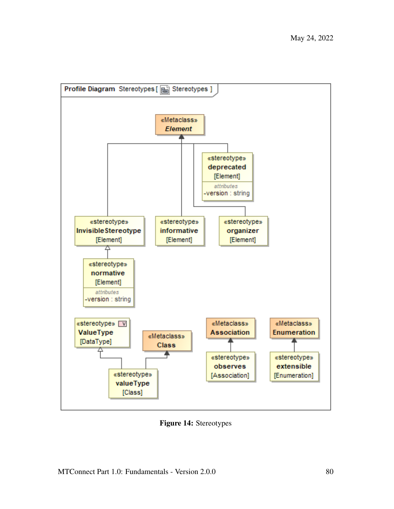

Figure 14: Stereotypes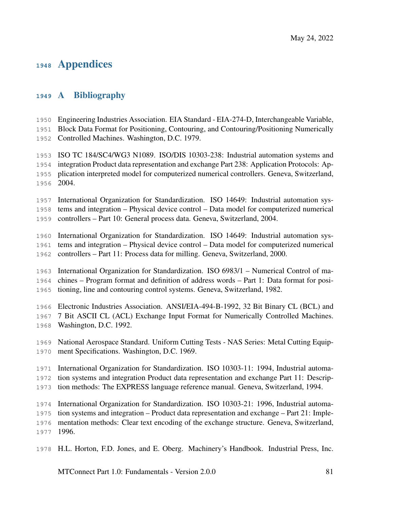# Appendices

# A Bibliography

 Engineering Industries Association. EIA Standard - EIA-274-D, Interchangeable Variable, Block Data Format for Positioning, Contouring, and Contouring/Positioning Numerically

Controlled Machines. Washington, D.C. 1979.

 ISO TC 184/SC4/WG3 N1089. ISO/DIS 10303-238: Industrial automation systems and integration Product data representation and exchange Part 238: Application Protocols: Ap- plication interpreted model for computerized numerical controllers. Geneva, Switzerland, 2004.

 International Organization for Standardization. ISO 14649: Industrial automation sys-tems and integration – Physical device control – Data model for computerized numerical

controllers – Part 10: General process data. Geneva, Switzerland, 2004.

 International Organization for Standardization. ISO 14649: Industrial automation sys- tems and integration – Physical device control – Data model for computerized numerical controllers – Part 11: Process data for milling. Geneva, Switzerland, 2000.

 International Organization for Standardization. ISO 6983/1 – Numerical Control of ma- chines – Program format and definition of address words – Part 1: Data format for posi-tioning, line and contouring control systems. Geneva, Switzerland, 1982.

Electronic Industries Association. ANSI/EIA-494-B-1992, 32 Bit Binary CL (BCL) and

 7 Bit ASCII CL (ACL) Exchange Input Format for Numerically Controlled Machines. Washington, D.C. 1992.

 National Aerospace Standard. Uniform Cutting Tests - NAS Series: Metal Cutting Equip-ment Specifications. Washington, D.C. 1969.

International Organization for Standardization. ISO 10303-11: 1994, Industrial automa-

- tion systems and integration Product data representation and exchange Part 11: Descrip-
- tion methods: The EXPRESS language reference manual. Geneva, Switzerland, 1994.

 International Organization for Standardization. ISO 10303-21: 1996, Industrial automa- tion systems and integration – Product data representation and exchange – Part 21: Imple- mentation methods: Clear text encoding of the exchange structure. Geneva, Switzerland, 1996.

H.L. Horton, F.D. Jones, and E. Oberg. Machinery's Handbook. Industrial Press, Inc.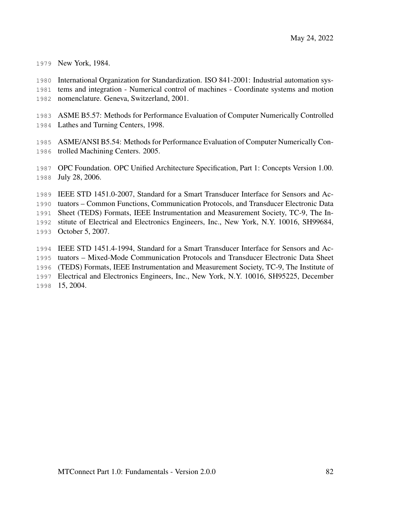New York, 1984.

 International Organization for Standardization. ISO 841-2001: Industrial automation sys- tems and integration - Numerical control of machines - Coordinate systems and motion nomenclature. Geneva, Switzerland, 2001.

 ASME B5.57: Methods for Performance Evaluation of Computer Numerically Controlled Lathes and Turning Centers, 1998.

 ASME/ANSI B5.54: Methods for Performance Evaluation of Computer Numerically Con-trolled Machining Centers. 2005.

 OPC Foundation. OPC Unified Architecture Specification, Part 1: Concepts Version 1.00. July 28, 2006.

 IEEE STD 1451.0-2007, Standard for a Smart Transducer Interface for Sensors and Ac- tuators – Common Functions, Communication Protocols, and Transducer Electronic Data Sheet (TEDS) Formats, IEEE Instrumentation and Measurement Society, TC-9, The In- stitute of Electrical and Electronics Engineers, Inc., New York, N.Y. 10016, SH99684, October 5, 2007.

 IEEE STD 1451.4-1994, Standard for a Smart Transducer Interface for Sensors and Ac- tuators – Mixed-Mode Communication Protocols and Transducer Electronic Data Sheet (TEDS) Formats, IEEE Instrumentation and Measurement Society, TC-9, The Institute of Electrical and Electronics Engineers, Inc., New York, N.Y. 10016, SH95225, December 15, 2004.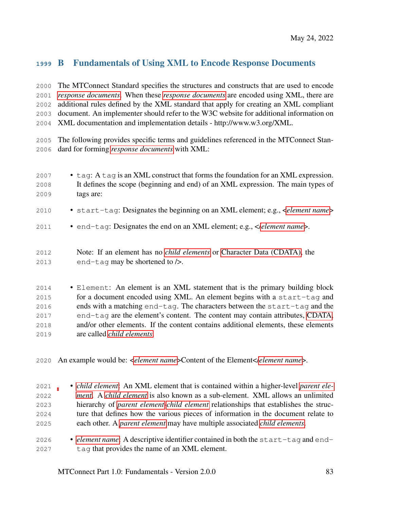# B Fundamentals of Using XML to Encode Response Documents

 The MTConnect Standard specifies the structures and constructs that are used to encode *[response documents](#page-16-0)*. When these *[response documents](#page-16-0)* are encoded using XML, there are additional rules defined by the XML standard that apply for creating an XML compliant document. An implementer should refer to the W3C website for additional information on XML documentation and implementation details - http://www.w3.org/XML.

 The following provides specific terms and guidelines referenced in the MTConnect Stan-dard for forming *[response documents](#page-16-0)* with XML:

2007 • tag: A tag is an XML construct that forms the foundation for an XML expression. It defines the scope (beginning and end) of an XML expression. The main types of tags are: • start-tag: Designates the beginning on an XML element; e.g., <*[element name](#page-23-0)*> • end-tag: Designates the end on an XML element; e.g., </*[element name](#page-23-0)*>. Note: If an element has no *[child elements](#page-23-1)* or [Character Data \(CDATA\),](#page-27-0) the end-tag may be shortened to />.

 • Element: An element is an XML statement that is the primary building block for a document encoded using XML. An element begins with a start-tag and ends with a matching end-tag. The characters between the start-tag and the end-tag are the element's content. The content may contain attributes, [CDATA,](#page-27-0) and/or other elements. If the content contains additional elements, these elements are called *[child elements](#page-23-1)*.

An example would be: <*[element name](#page-23-0)*>Content of the Element</*[element name](#page-23-0)*>.

- *[child element](#page-23-1)*: An XML element that is contained within a higher-level *[parent ele-](#page-23-2) [ment](#page-23-2)*. A *[child element](#page-23-1)* is also known as a sub-element. XML allows an unlimited hierarchy of *[parent element](#page-23-2)*-*[child element](#page-23-1)* relationships that establishes the struc- ture that defines how the various pieces of information in the document relate to each other. A *[parent element](#page-23-2)* may have multiple associated *[child elements](#page-23-1)*.
- *[element name](#page-23-0)*: A descriptive identifier contained in both the start-tag and end-tag that provides the name of an XML element.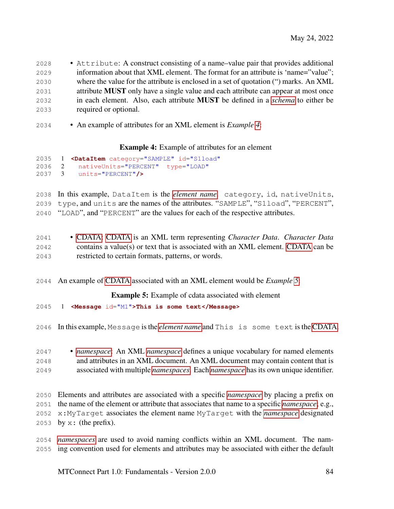- Attribute: A construct consisting of a name–value pair that provides additional information about that XML element. The format for an attribute is 'name="value"; where the value for the attribute is enclosed in a set of quotation (") marks. An XML attribute MUST only have a single value and each attribute can appear at most once in each element. Also, each attribute MUST be defined in a *[schema](#page-17-2)* to either be required or optional.
- An example of attributes for an XML element is *Example [4](#page-88-0)*:

#### Example 4: Example of attributes for an element

<span id="page-88-0"></span>

|  | 2035 1 <dataitem <="" category="SAMPLE" id="S1load" th=""></dataitem> |
|--|-----------------------------------------------------------------------|
|  | 2036 2 nativeUnits="PERCENT" type="LOAD"                              |
|  | $2037 \quad 3$ units="PERCENT"/>                                      |

 In this example, DataItem is the *[element name](#page-23-0)*. category, id, nativeUnits, type, and units are the names of the attributes. "SAMPLE", "S1load", "PERCENT", "LOAD", and "PERCENT" are the values for each of the respective attributes.

- [CDATA: CDATA](#page-27-0) is an XML term representing *Character Data*. *Character Data* contains a value(s) or text that is associated with an XML element. [CDATA](#page-27-0) can be restricted to certain formats, patterns, or words.
- <span id="page-88-1"></span>An example of [CDATA](#page-27-0) associated with an XML element would be *Example [5](#page-88-1)*:

Example 5: Example of cdata associated with element

- 1 **<Message** id="M1"**>This is some text</Message>**
- In this example, Message is the *[element name](#page-23-0)* and This is some text is the [CDATA.](#page-27-0)
- *[namespace](#page-23-3)*: An XML *[namespace](#page-23-3)* defines a unique vocabulary for named elements and attributes in an XML document. An XML document may contain content that is associated with multiple *[namespaces](#page-23-3)*. Each *[namespace](#page-23-3)* has its own unique identifier.
- Elements and attributes are associated with a specific *[namespace](#page-23-3)* by placing a prefix on the name of the element or attribute that associates that name to a specific *[namespace](#page-23-3)*; e.g., x:MyTarget associates the element name MyTarget with the *[namespace](#page-23-3)* designated 2053 by  $x:$  (the prefix).
- *[namespaces](#page-23-3)* are used to avoid naming conflicts within an XML document. The nam-ing convention used for elements and attributes may be associated with either the default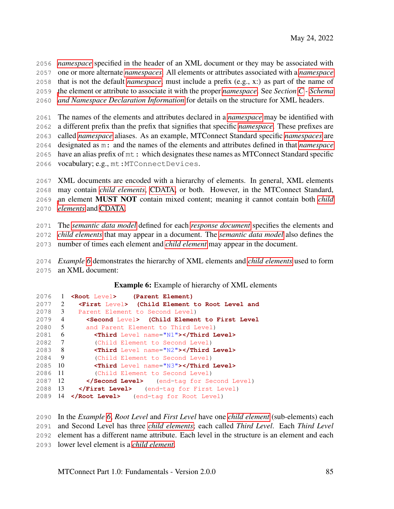*[namespace](#page-23-3)* specified in the header of an XML document or they may be associated with one or more alternate *[namespaces](#page-23-3)*. All elements or attributes associated with a *[namespace](#page-23-3)* that is not the default *[namespace](#page-23-3)*, must include a prefix (e.g., x:) as part of the name of [t](#page-90-0)he element or attribute to associate it with the proper *[namespace](#page-23-3)*. See *Section [C](#page-90-0) - [Schema](#page-90-0) [and Namespace Declaration Information](#page-90-0)* for details on the structure for XML headers.

 The names of the elements and attributes declared in a *[namespace](#page-23-3)* may be identified with a different prefix than the prefix that signifies that specific *[namespace](#page-23-3)*. These prefixes are called *[namespace](#page-23-3)* aliases. As an example, MTConnect Standard specific *[namespaces](#page-23-3)* are designated as m: and the names of the elements and attributes defined in that *[namespace](#page-23-3)* have an alias prefix of mt: which designates these names as MTConnect Standard specific vocabulary; e.g., mt:MTConnectDevices.

 XML documents are encoded with a hierarchy of elements. In general, XML elements may contain *[child elements](#page-23-1)*, [CDATA,](#page-27-0) or both. However, in the MTConnect Standard, [a](#page-23-1)n element MUST NOT contain mixed content; meaning it cannot contain both *[child](#page-23-1) [elements](#page-23-1)* and [CDATA.](#page-27-0)

 The *[semantic data model](#page-17-1)* defined for each *[response document](#page-16-0)* specifies the elements and *[child elements](#page-23-1)* that may appear in a document. The *[semantic data model](#page-17-1)* also defines the number of times each element and *[child element](#page-23-1)* may appear in the document.

 *Example [6](#page-89-0)* demonstrates the hierarchy of XML elements and *[child elements](#page-23-1)* used to form an XML document:

Example 6: Example of hierarchy of XML elements

<span id="page-89-0"></span>

| 2076    | $\mathbf{1}$   | <root level=""> (Parent Element)</root>                   |
|---------|----------------|-----------------------------------------------------------|
| 2077    | 2              | <first level=""> (Child Element to Root Level and</first> |
| 2078    | 3              | Parent Element to Second Level)                           |
| 2079    | 4              | <second level=""> (Child Element to First Level</second>  |
| 2080    | $\overline{5}$ | and Parent Element to Third Level)                        |
| 2081    | - 6            | <third level="" name="N1"></third>                        |
| 2082    | $\overline{7}$ | (Child Element to Second Level)                           |
| 2083 8  |                | <third level="" name="N2"></third>                        |
| 2084    | - 9            | (Child Element to Second Level)                           |
| 2085    | - 10           | <third level="" name="N3"></third>                        |
| 2086    | - 11           | (Child Element to Second Level)                           |
| 2087 12 |                | (end-tag for Second Level)                                |
| 2088 13 |                | (end-tag for First Level)                                 |
| 2089 14 |                | (end-tag for Root Level)                                  |

 In the *Example [6](#page-89-0)*, *Root Level* and *First Level* have one *[child element](#page-23-1)* (sub-elements) each and Second Level has three *[child elements](#page-23-1)*; each called *Third Level*. Each *Third Level* element has a different name attribute. Each level in the structure is an element and each lower level element is a *[child element](#page-23-1)*.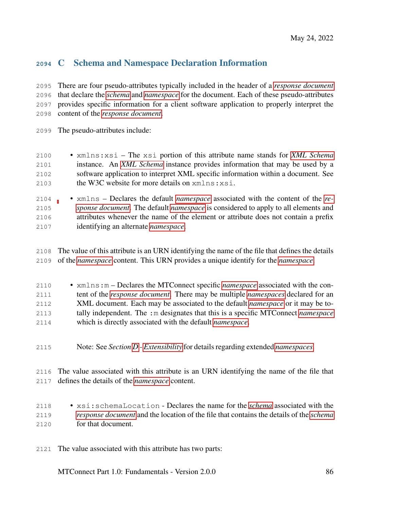# <span id="page-90-0"></span>C Schema and Namespace Declaration Information

 There are four pseudo-attributes typically included in the header of a *[response document](#page-16-0)* that declare the *[schema](#page-17-2)* and *[namespace](#page-23-3)* for the document. Each of these pseudo-attributes provides specific information for a client software application to properly interpret the content of the *[response document](#page-16-0)*.

The pseudo-attributes include:

- xmlns:xsi The xsi portion of this attribute name stands for *[XML Schema](#page-24-2)* instance. An *[XML Schema](#page-24-2)* instance provides information that may be used by a software application to interpret XML specific information within a document. See the W3C website for more details on xmlns:xsi.
- xmlns Declares the default *[namespace](#page-23-3)* associated with the content of the *[re-](#page-16-0) [sponse document](#page-16-0)*. The default *[namespace](#page-23-3)* is considered to apply to all elements and attributes whenever the name of the element or attribute does not contain a prefix identifying an alternate *[namespace](#page-23-3)*.
- The value of this attribute is an URN identifying the name of the file that defines the details of the *[namespace](#page-23-3)* content. This URN provides a unique identify for the *[namespace](#page-23-3)*.
- xmlns:m Declares the MTConnect specific *[namespace](#page-23-3)* associated with the con- tent of the *[response document](#page-16-0)*. There may be multiple *[namespaces](#page-23-3)* declared for an XML document. Each may be associated to the default *[namespace](#page-23-3)* or it may be to- tally independent. The :m designates that this is a specific MTConnect *[namespace](#page-23-3)* which is directly associated with the default *[namespace](#page-23-3)*.
- Note: See *Section [D](#page-92-0) - [Extensibility](#page-92-0)* for details regarding extended *[namespaces](#page-23-3)*.

 The value associated with this attribute is an URN identifying the name of the file that defines the details of the *[namespace](#page-23-3)* content.

- xsi:schemaLocation Declares the name for the *[schema](#page-17-2)* associated with the *[response document](#page-16-0)* and the location of the file that contains the details of the *[schema](#page-17-2)* for that document.
- The value associated with this attribute has two parts: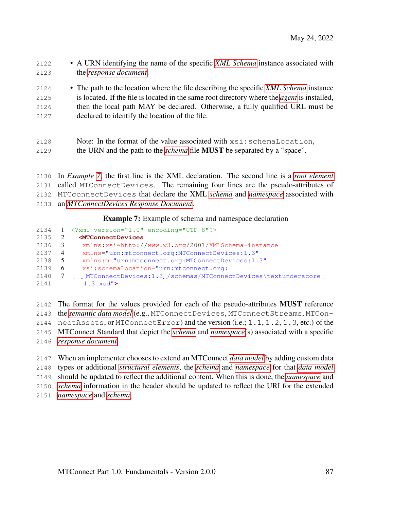- A URN identifying the name of the specific *[XML Schema](#page-24-2)* instance associated with the *[response document](#page-16-0)*.
- The path to the location where the file describing the specific *[XML Schema](#page-24-2)* instance is located. If the file is located in the same root directory where the *[agent](#page-12-0)* is installed, then the local path MAY be declared. Otherwise, a fully qualified URL must be declared to identify the location of the file.
- Note: In the format of the value associated with xsi:schemaLocation, the URN and the path to the *[schema](#page-17-2)* file MUST be separated by a "space".
- In *Example [7](#page-91-0)*, the first line is the XML declaration. The second line is a *[root element](#page-23-4)* called MTConnectDevices. The remaining four lines are the pseudo-attributes of MTCconnectDevices that declare the XML *[schema](#page-17-2)* and *[namespace](#page-23-3)* associated with an *[MTConnectDevices Response Document](#page-19-3)*.

Example 7: Example of schema and namespace declaration

<span id="page-91-0"></span>

|      |    | 2134 1 $\langle ? \text{xml version} = "1.0" encoding="UTE-8"? \rangle$ |
|------|----|-------------------------------------------------------------------------|
| 2135 |    | <mtconnectdevices< td=""></mtconnectdevices<>                           |
| 2136 | 3  | xmlns:xsi=http://www.w3.org/2001/XMLSchema-instance                     |
| 2137 | -4 | xmlns="urn:mtconnect.org:MTConnectDevices:1.3"                          |
| 2138 | 5  | xmlns: m="urn: mtconnect.org: MTConnectDevices: 1.3"                    |
| 2139 | -6 | xsi:schemaLocation="urn:mtconnect.org:                                  |
| 2140 |    | MIConnectDevices:1.3./schemas/MIConnectDevices\textunderscore           |
| 2141 |    | 1.3.xsd"                                                                |

- The format for the values provided for each of the pseudo-attributes MUST reference the *[semantic data model](#page-17-1)* (e.g., MTConnectDevices, MTConnectStreams, MTCon-2144 nectAssets, or MTConnectError) and the version  $(i.e., 1, 1, 1, 2, 1, 3, etc.)$  of the MTConnect Standard that depict the *[schema](#page-17-2)* and *[namespace](#page-23-3)*(s) associated with a specific *[response document](#page-16-0)*.
- When an implementer chooses to extend an MTConnect *[data model](#page-13-0)* by adding custom data types or additional *[structural elements](#page-24-3)*, the *[schema](#page-17-2)* and *[namespace](#page-23-3)* for that *[data model](#page-13-0)* should be updated to reflect the additional content. When this is done, the *[namespace](#page-23-3)* and *[schema](#page-17-2)* information in the header should be updated to reflect the URI for the extended *[namespace](#page-23-3)* and *[schema](#page-17-2)*.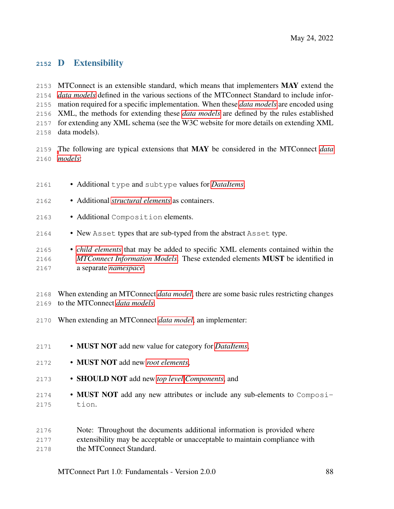## <span id="page-92-0"></span>D Extensibility

2153 MTConnect is an extensible standard, which means that implementers MAY extend the *[data models](#page-13-0)* defined in the various sections of the MTConnect Standard to include infor- mation required for a specific implementation. When these *[data models](#page-13-0)* are encoded using XML, the methods for extending these *[data models](#page-13-0)* are defined by the rules established for extending any XML schema (see the W3C website for more details on extending XML data models).

 [T](#page-13-0)he following are typical extensions that MAY be considered in the MTConnect *[data](#page-13-0) [models](#page-13-0)*:

- Additional type and subtype values for *[DataItems](#page-24-0)*.
- Additional *[structural elements](#page-24-3)* as containers.
- Additional Composition elements.
- New Asset types that are sub-typed from the abstract Asset type.
- *[child elements](#page-23-1)* that may be added to specific XML elements contained within the *[MTConnect Information Models](#page-18-1)*. These extended elements MUST be identified in a separate *[namespace](#page-23-3)*.

 When extending an MTConnect *[data model](#page-13-0)*, there are some basic rules restricting changes to the MTConnect *[data models](#page-13-0)*.

- When extending an MTConnect *[data model](#page-13-0)*, an implementer:
- MUST NOT add new value for category for *[DataItems](#page-24-0)*,
- MUST NOT add new *[root elements](#page-23-4)*,
- SHOULD NOT add new *[top level](#page-18-2) [Components](#page-24-1)*, and
- MUST NOT add any new attributes or include any sub-elements to Composi-tion.

 Note: Throughout the documents additional information is provided where extensibility may be acceptable or unacceptable to maintain compliance with the MTConnect Standard.